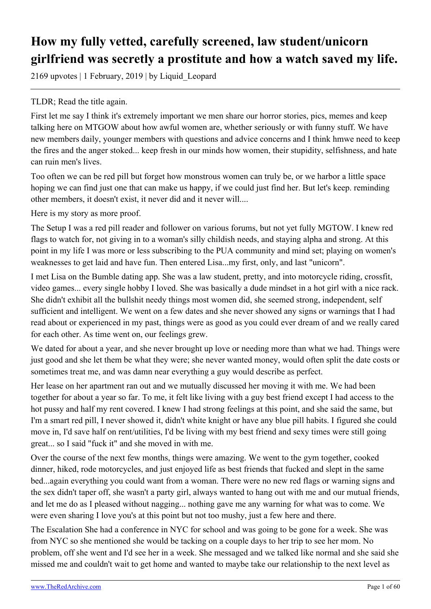# **How my fully vetted, carefully screened, law student/unicorn girlfriend was secretly a prostitute and how a watch saved my life.**

2169 upvotes | 1 February, 2019 | by Liquid\_Leopard

### TLDR; Read the title again.

First let me say I think it's extremely important we men share our horror stories, pics, memes and keep talking here on MTGOW about how awful women are, whether seriously or with funny stuff. We have new members daily, younger members with questions and advice concerns and I think hmwe need to keep the fires and the anger stoked... keep fresh in our minds how women, their stupidity, selfishness, and hate can ruin men's lives.

Too often we can be red pill but forget how monstrous women can truly be, or we harbor a little space hoping we can find just one that can make us happy, if we could just find her. But let's keep. reminding other members, it doesn't exist, it never did and it never will....

Here is my story as more proof.

The Setup I was a red pill reader and follower on various forums, but not yet fully MGTOW. I knew red flags to watch for, not giving in to a woman's silly childish needs, and staying alpha and strong. At this point in my life I was more or less subscribing to the PUA community and mind set; playing on women's weaknesses to get laid and have fun. Then entered Lisa...my first, only, and last "unicorn".

I met Lisa on the Bumble dating app. She was a law student, pretty, and into motorcycle riding, crossfit, video games... every single hobby I loved. She was basically a dude mindset in a hot girl with a nice rack. She didn't exhibit all the bullshit needy things most women did, she seemed strong, independent, self sufficient and intelligent. We went on a few dates and she never showed any signs or warnings that I had read about or experienced in my past, things were as good as you could ever dream of and we really cared for each other. As time went on, our feelings grew.

We dated for about a year, and she never brought up love or needing more than what we had. Things were just good and she let them be what they were; she never wanted money, would often split the date costs or sometimes treat me, and was damn near everything a guy would describe as perfect.

Her lease on her apartment ran out and we mutually discussed her moving it with me. We had been together for about a year so far. To me, it felt like living with a guy best friend except I had access to the hot pussy and half my rent covered. I knew I had strong feelings at this point, and she said the same, but I'm a smart red pill, I never showed it, didn't white knight or have any blue pill habits. I figured she could move in, I'd save half on rent/utilities, I'd be living with my best friend and sexy times were still going great... so I said "fuck it" and she moved in with me.

Over the course of the next few months, things were amazing. We went to the gym together, cooked dinner, hiked, rode motorcycles, and just enjoyed life as best friends that fucked and slept in the same bed...again everything you could want from a woman. There were no new red flags or warning signs and the sex didn't taper off, she wasn't a party girl, always wanted to hang out with me and our mutual friends, and let me do as I pleased without nagging... nothing gave me any warning for what was to come. We were even sharing I love you's at this point but not too mushy, just a few here and there.

The Escalation She had a conference in NYC for school and was going to be gone for a week. She was from NYC so she mentioned she would be tacking on a couple days to her trip to see her mom. No problem, off she went and I'd see her in a week. She messaged and we talked like normal and she said she missed me and couldn't wait to get home and wanted to maybe take our relationship to the next level as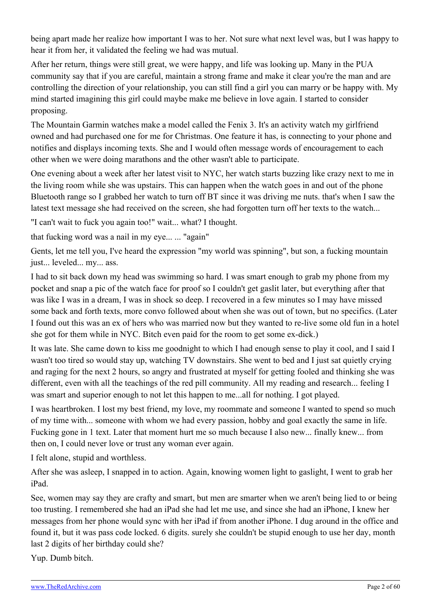being apart made her realize how important I was to her. Not sure what next level was, but I was happy to hear it from her, it validated the feeling we had was mutual.

After her return, things were still great, we were happy, and life was looking up. Many in the PUA community say that if you are careful, maintain a strong frame and make it clear you're the man and are controlling the direction of your relationship, you can still find a girl you can marry or be happy with. My mind started imagining this girl could maybe make me believe in love again. I started to consider proposing.

The Mountain Garmin watches make a model called the Fenix 3. It's an activity watch my girlfriend owned and had purchased one for me for Christmas. One feature it has, is connecting to your phone and notifies and displays incoming texts. She and I would often message words of encouragement to each other when we were doing marathons and the other wasn't able to participate.

One evening about a week after her latest visit to NYC, her watch starts buzzing like crazy next to me in the living room while she was upstairs. This can happen when the watch goes in and out of the phone Bluetooth range so I grabbed her watch to turn off BT since it was driving me nuts. that's when I saw the latest text message she had received on the screen, she had forgotten turn off her texts to the watch...

"I can't wait to fuck you again too!" wait... what? I thought.

that fucking word was a nail in my eye... ... "again"

Gents, let me tell you, I've heard the expression "my world was spinning", but son, a fucking mountain just... leveled... my... ass.

I had to sit back down my head was swimming so hard. I was smart enough to grab my phone from my pocket and snap a pic of the watch face for proof so I couldn't get gaslit later, but everything after that was like I was in a dream, I was in shock so deep. I recovered in a few minutes so I may have missed some back and forth texts, more convo followed about when she was out of town, but no specifics. (Later I found out this was an ex of hers who was married now but they wanted to re-live some old fun in a hotel she got for them while in NYC. Bitch even paid for the room to get some ex-dick.)

It was late. She came down to kiss me goodnight to which I had enough sense to play it cool, and I said I wasn't too tired so would stay up, watching TV downstairs. She went to bed and I just sat quietly crying and raging for the next 2 hours, so angry and frustrated at myself for getting fooled and thinking she was different, even with all the teachings of the red pill community. All my reading and research... feeling I was smart and superior enough to not let this happen to me...all for nothing. I got played.

I was heartbroken. I lost my best friend, my love, my roommate and someone I wanted to spend so much of my time with... someone with whom we had every passion, hobby and goal exactly the same in life. Fucking gone in 1 text. Later that moment hurt me so much because I also new... finally knew... from then on, I could never love or trust any woman ever again.

I felt alone, stupid and worthless.

After she was asleep, I snapped in to action. Again, knowing women light to gaslight, I went to grab her iPad.

See, women may say they are crafty and smart, but men are smarter when we aren't being lied to or being too trusting. I remembered she had an iPad she had let me use, and since she had an iPhone, I knew her messages from her phone would sync with her iPad if from another iPhone. I dug around in the office and found it, but it was pass code locked. 6 digits. surely she couldn't be stupid enough to use her day, month last 2 digits of her birthday could she?

Yup. Dumb bitch.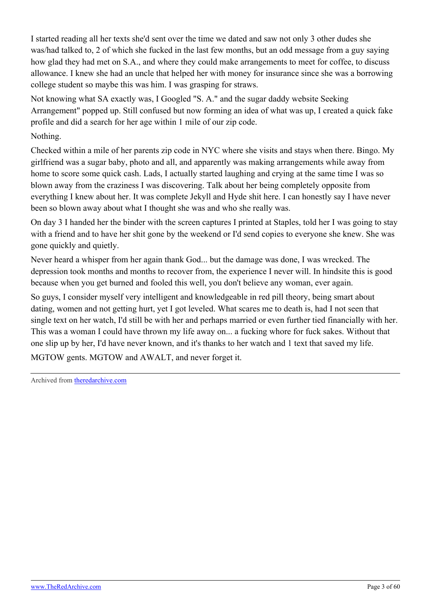I started reading all her texts she'd sent over the time we dated and saw not only 3 other dudes she was/had talked to, 2 of which she fucked in the last few months, but an odd message from a guy saying how glad they had met on S.A., and where they could make arrangements to meet for coffee, to discuss allowance. I knew she had an uncle that helped her with money for insurance since she was a borrowing college student so maybe this was him. I was grasping for straws.

Not knowing what SA exactly was, I Googled "S. A." and the sugar daddy website Seeking Arrangement" popped up. Still confused but now forming an idea of what was up, I created a quick fake profile and did a search for her age within 1 mile of our zip code.

Nothing.

Checked within a mile of her parents zip code in NYC where she visits and stays when there. Bingo. My girlfriend was a sugar baby, photo and all, and apparently was making arrangements while away from home to score some quick cash. Lads, I actually started laughing and crying at the same time I was so blown away from the craziness I was discovering. Talk about her being completely opposite from everything I knew about her. It was complete Jekyll and Hyde shit here. I can honestly say I have never been so blown away about what I thought she was and who she really was.

On day 3 I handed her the binder with the screen captures I printed at Staples, told her I was going to stay with a friend and to have her shit gone by the weekend or I'd send copies to everyone she knew. She was gone quickly and quietly.

Never heard a whisper from her again thank God... but the damage was done, I was wrecked. The depression took months and months to recover from, the experience I never will. In hindsite this is good because when you get burned and fooled this well, you don't believe any woman, ever again.

So guys, I consider myself very intelligent and knowledgeable in red pill theory, being smart about dating, women and not getting hurt, yet I got leveled. What scares me to death is, had I not seen that single text on her watch, I'd still be with her and perhaps married or even further tied financially with her. This was a woman I could have thrown my life away on... a fucking whore for fuck sakes. Without that one slip up by her, I'd have never known, and it's thanks to her watch and 1 text that saved my life.

MGTOW gents. MGTOW and AWALT, and never forget it.

Archived from [theredarchive.com](https://theredarchive.com/r/MGTOW/how-my-fully-vetted-carefully-screened-law.404226)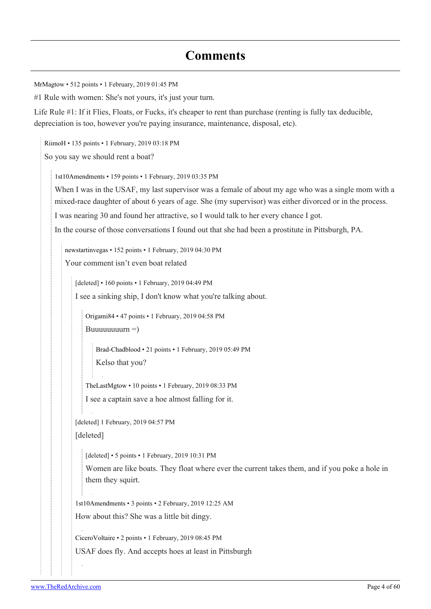## **Comments**

[MrMagtow](https://old.reddit.com/user/MrMagtow) • 512 points • 1 February, 2019 01:45 PM

#1 Rule with women: She's not yours, it's just your turn.

Life Rule #1: If it Flies, Floats, or Fucks, it's cheaper to rent than purchase (renting is fully tax deducible, depreciation is too, however you're paying insurance, maintenance, disposal, etc).

[RiimoH](https://old.reddit.com/user/RiimoH) • 135 points • 1 February, 2019 03:18 PM

So you say we should rent a boat?

[1st10Amendments](https://old.reddit.com/user/1st10Amendments) • 159 points • 1 February, 2019 03:35 PM

When I was in the USAF, my last supervisor was a female of about my age who was a single mom with a mixed-race daughter of about 6 years of age. She (my supervisor) was either divorced or in the process.

I was nearing 30 and found her attractive, so I would talk to her every chance I got.

In the course of those conversations I found out that she had been a prostitute in Pittsburgh, PA.

[newstartinvegas](https://old.reddit.com/user/newstartinvegas) • 152 points • 1 February, 2019 04:30 PM Your comment isn't even boat related

[deleted] • 160 points • 1 February, 2019 04:49 PM

I see a sinking ship, I don't know what you're talking about.

[Origami84](https://old.reddit.com/user/Origami84) • 47 points • 1 February, 2019 04:58 PM

Buuuuuuuun  $=$ )

[Brad-Chadblood](https://old.reddit.com/user/Brad-Chadblood) • 21 points • 1 February, 2019 05:49 PM Kelso that you?

[TheLastMgtow](https://old.reddit.com/user/TheLastMgtow) • 10 points • 1 February, 2019 08:33 PM

I see a captain save a hoe almost falling for it.

[deleted] 1 February, 2019 04:57 PM

[deleted]

[deleted] • 5 points • 1 February, 2019 10:31 PM

Women are like boats. They float where ever the current takes them, and if you poke a hole in them they squirt.

[1st10Amendments](https://old.reddit.com/user/1st10Amendments) • 3 points • 2 February, 2019 12:25 AM How about this? She was a little bit dingy.

[CiceroVoltaire](https://old.reddit.com/user/CiceroVoltaire) • 2 points • 1 February, 2019 08:45 PM USAF does fly. And accepts hoes at least in Pittsburgh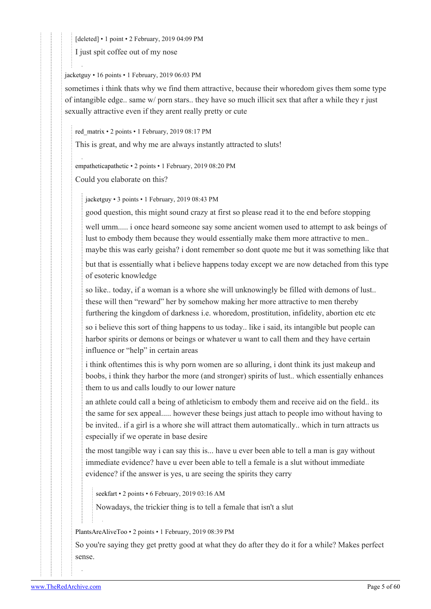[deleted] • 1 point • 2 February, 2019 04:09 PM

I just spit coffee out of my nose

#### [jacketguy](https://old.reddit.com/user/jacketguy) • 16 points • 1 February, 2019 06:03 PM

sometimes i think thats why we find them attractive, because their whoredom gives them some type of intangible edge.. same w/ porn stars.. they have so much illicit sex that after a while they r just sexually attractive even if they arent really pretty or cute

#### [red\\_matrix](https://old.reddit.com/user/red_matrix) • 2 points • 1 February, 2019 08:17 PM

This is great, and why me are always instantly attracted to sluts!

[empatheticapathetic](https://old.reddit.com/user/empatheticapathetic) • 2 points • 1 February, 2019 08:20 PM Could you elaborate on this?

[jacketguy](https://old.reddit.com/user/jacketguy) • 3 points • 1 February, 2019 08:43 PM

good question, this might sound crazy at first so please read it to the end before stopping well umm..... i once heard someone say some ancient women used to attempt to ask beings of lust to embody them because they would essentially make them more attractive to men.. maybe this was early geisha? i dont remember so dont quote me but it was something like that but that is essentially what i believe happens today except we are now detached from this type of esoteric knowledge

so like.. today, if a woman is a whore she will unknowingly be filled with demons of lust.. these will then "reward" her by somehow making her more attractive to men thereby furthering the kingdom of darkness i.e. whoredom, prostitution, infidelity, abortion etc etc

so i believe this sort of thing happens to us today.. like i said, its intangible but people can harbor spirits or demons or beings or whatever u want to call them and they have certain influence or "help" in certain areas

i think oftentimes this is why porn women are so alluring, i dont think its just makeup and boobs, i think they harbor the more (and stronger) spirits of lust.. which essentially enhances them to us and calls loudly to our lower nature

an athlete could call a being of athleticism to embody them and receive aid on the field.. its the same for sex appeal..... however these beings just attach to people imo without having to be invited.. if a girl is a whore she will attract them automatically.. which in turn attracts us especially if we operate in base desire

the most tangible way i can say this is... have u ever been able to tell a man is gay without immediate evidence? have u ever been able to tell a female is a slut without immediate evidence? if the answer is yes, u are seeing the spirits they carry

[seekfart](https://old.reddit.com/user/seekfart) • 2 points • 6 February, 2019 03:16 AM

Nowadays, the trickier thing is to tell a female that isn't a slut

[PlantsAreAliveToo](https://old.reddit.com/user/PlantsAreAliveToo) • 2 points • 1 February, 2019 08:39 PM

So you're saying they get pretty good at what they do after they do it for a while? Makes perfect sense.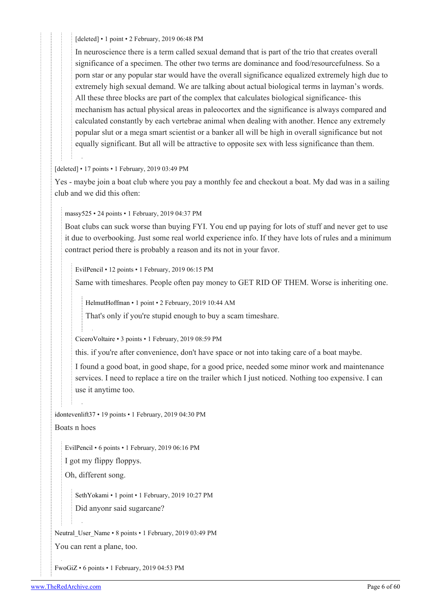[deleted] • 1 point • 2 February, 2019 06:48 PM

In neuroscience there is a term called sexual demand that is part of the trio that creates overall significance of a specimen. The other two terms are dominance and food/resourcefulness. So a porn star or any popular star would have the overall significance equalized extremely high due to extremely high sexual demand. We are talking about actual biological terms in layman's words. All these three blocks are part of the complex that calculates biological significance- this mechanism has actual physical areas in paleocortex and the significance is always compared and calculated constantly by each vertebrae animal when dealing with another. Hence any extremely popular slut or a mega smart scientist or a banker all will be high in overall significance but not equally significant. But all will be attractive to opposite sex with less significance than them.

[deleted] • 17 points • 1 February, 2019 03:49 PM

Yes - maybe join a boat club where you pay a monthly fee and checkout a boat. My dad was in a sailing club and we did this often:

[massy525](https://old.reddit.com/user/massy525) • 24 points • 1 February, 2019 04:37 PM

Boat clubs can suck worse than buying FYI. You end up paying for lots of stuff and never get to use it due to overbooking. Just some real world experience info. If they have lots of rules and a minimum contract period there is probably a reason and its not in your favor.

[EvilPencil](https://old.reddit.com/user/EvilPencil) • 12 points • 1 February, 2019 06:15 PM

Same with timeshares. People often pay money to GET RID OF THEM. Worse is inheriting one.

[HelmutHoffman](https://old.reddit.com/user/HelmutHoffman) • 1 point • 2 February, 2019 10:44 AM

That's only if you're stupid enough to buy a scam timeshare.

[CiceroVoltaire](https://old.reddit.com/user/CiceroVoltaire) • 3 points • 1 February, 2019 08:59 PM

this. if you're after convenience, don't have space or not into taking care of a boat maybe.

I found a good boat, in good shape, for a good price, needed some minor work and maintenance services. I need to replace a tire on the trailer which I just noticed. Nothing too expensive. I can use it anytime too.

[idontevenlift37](https://old.reddit.com/user/idontevenlift37) • 19 points • 1 February, 2019 04:30 PM Boats n hoes

[EvilPencil](https://old.reddit.com/user/EvilPencil) • 6 points • 1 February, 2019 06:16 PM

I got my flippy floppys.

Oh, different song.

[SethYokami](https://old.reddit.com/user/SethYokami) • 1 point • 1 February, 2019 10:27 PM

Did anyonr said sugarcane?

Neutral User Name • 8 points • 1 February, 2019 03:49 PM

You can rent a plane, too.

[FwoGiZ](https://old.reddit.com/user/FwoGiZ) • 6 points • 1 February, 2019 04:53 PM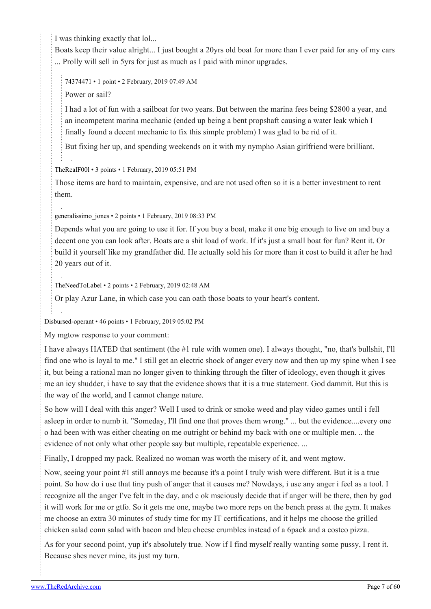I was thinking exactly that lol...

Boats keep their value alright... I just bought a 20yrs old boat for more than I ever paid for any of my cars ... Prolly will sell in 5yrs for just as much as I paid with minor upgrades.

[74374471](https://old.reddit.com/user/74374471) • 1 point • 2 February, 2019 07:49 AM

Power or sail?

I had a lot of fun with a sailboat for two years. But between the marina fees being \$2800 a year, and an incompetent marina mechanic (ended up being a bent propshaft causing a water leak which I finally found a decent mechanic to fix this simple problem) I was glad to be rid of it.

But fixing her up, and spending weekends on it with my nympho Asian girlfriend were brilliant.

[TheRealF00l](https://old.reddit.com/user/TheRealF00l) • 3 points • 1 February, 2019 05:51 PM

Those items are hard to maintain, expensive, and are not used often so it is a better investment to rent them.

[generalissimo\\_jones](https://old.reddit.com/user/generalissimo_jones) • 2 points • 1 February, 2019 08:33 PM

Depends what you are going to use it for. If you buy a boat, make it one big enough to live on and buy a decent one you can look after. Boats are a shit load of work. If it's just a small boat for fun? Rent it. Or build it yourself like my grandfather did. He actually sold his for more than it cost to build it after he had 20 years out of it.

[TheNeedToLabel](https://old.reddit.com/user/TheNeedToLabel) • 2 points • 2 February, 2019 02:48 AM

Or play Azur Lane, in which case you can oath those boats to your heart's content.

[Disbursed-operant](https://old.reddit.com/user/Disbursed-operant) • 46 points • 1 February, 2019 05:02 PM

My mgtow response to your comment:

I have always HATED that sentiment (the #1 rule with women one). I always thought, "no, that's bullshit, I'll find one who is loyal to me." I still get an electric shock of anger every now and then up my spine when I see it, but being a rational man no longer given to thinking through the filter of ideology, even though it gives me an icy shudder, i have to say that the evidence shows that it is a true statement. God dammit. But this is the way of the world, and I cannot change nature.

So how will I deal with this anger? Well I used to drink or smoke weed and play video games until i fell asleep in order to numb it. "Someday, I'll find one that proves them wrong." ... but the evidence....every one o had been with was either cheating on me outright or behind my back with one or multiple men. .. the evidence of not only what other people say but multiple, repeatable experience. ...

Finally, I dropped my pack. Realized no woman was worth the misery of it, and went mgtow.

Now, seeing your point #1 still annoys me because it's a point I truly wish were different. But it is a true point. So how do i use that tiny push of anger that it causes me? Nowdays, i use any anger i feel as a tool. I recognize all the anger I've felt in the day, and c ok msciously decide that if anger will be there, then by god it will work for me or gtfo. So it gets me one, maybe two more reps on the bench press at the gym. It makes me choose an extra 30 minutes of study time for my IT certifications, and it helps me choose the grilled chicken salad conn salad with bacon and bleu cheese crumbles instead of a 6pack and a costco pizza.

As for your second point, yup it's absolutely true. Now if I find myself really wanting some pussy, I rent it. Because shes never mine, its just my turn.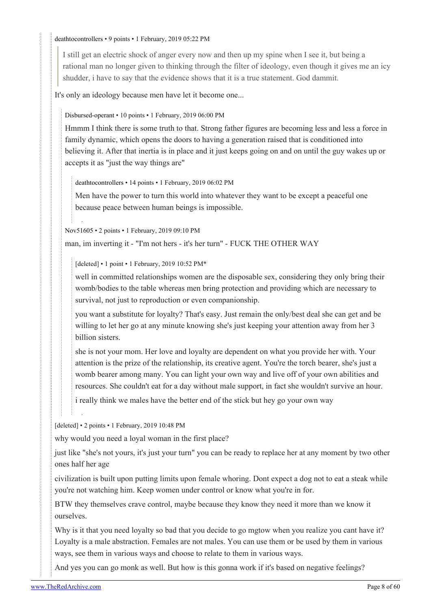#### [deathtocontrollers](https://old.reddit.com/user/deathtocontrollers) • 9 points • 1 February, 2019 05:22 PM

I still get an electric shock of anger every now and then up my spine when I see it, but being a rational man no longer given to thinking through the filter of ideology, even though it gives me an icy shudder, i have to say that the evidence shows that it is a true statement. God dammit.

It's only an ideology because men have let it become one...

[Disbursed-operant](https://old.reddit.com/user/Disbursed-operant) • 10 points • 1 February, 2019 06:00 PM

Hmmm I think there is some truth to that. Strong father figures are becoming less and less a force in family dynamic, which opens the doors to having a generation raised that is conditioned into believing it. After that inertia is in place and it just keeps going on and on until the guy wakes up or accepts it as "just the way things are"

[deathtocontrollers](https://old.reddit.com/user/deathtocontrollers) • 14 points • 1 February, 2019 06:02 PM

Men have the power to turn this world into whatever they want to be except a peaceful one because peace between human beings is impossible.

[Nov51605](https://old.reddit.com/user/Nov51605) • 2 points • 1 February, 2019 09:10 PM

man, im inverting it - "I'm not hers - it's her turn" - FUCK THE OTHER WAY

[deleted] • 1 point • 1 February, 2019 10:52 PM\*

well in committed relationships women are the disposable sex, considering they only bring their womb/bodies to the table whereas men bring protection and providing which are necessary to survival, not just to reproduction or even companionship.

you want a substitute for loyalty? That's easy. Just remain the only/best deal she can get and be willing to let her go at any minute knowing she's just keeping your attention away from her 3 billion sisters.

she is not your mom. Her love and loyalty are dependent on what you provide her with. Your attention is the prize of the relationship, its creative agent. You're the torch bearer, she's just a womb bearer among many. You can light your own way and live off of your own abilities and resources. She couldn't eat for a day without male support, in fact she wouldn't survive an hour.

i really think we males have the better end of the stick but hey go your own way

[deleted] • 2 points • 1 February, 2019 10:48 PM

why would you need a loyal woman in the first place?

just like "she's not yours, it's just your turn" you can be ready to replace her at any moment by two other ones half her age

civilization is built upon putting limits upon female whoring. Dont expect a dog not to eat a steak while you're not watching him. Keep women under control or know what you're in for.

BTW they themselves crave control, maybe because they know they need it more than we know it ourselves.

Why is it that you need loyalty so bad that you decide to go mgtow when you realize you cant have it? Loyalty is a male abstraction. Females are not males. You can use them or be used by them in various ways, see them in various ways and choose to relate to them in various ways.

And yes you can go monk as well. But how is this gonna work if it's based on negative feelings?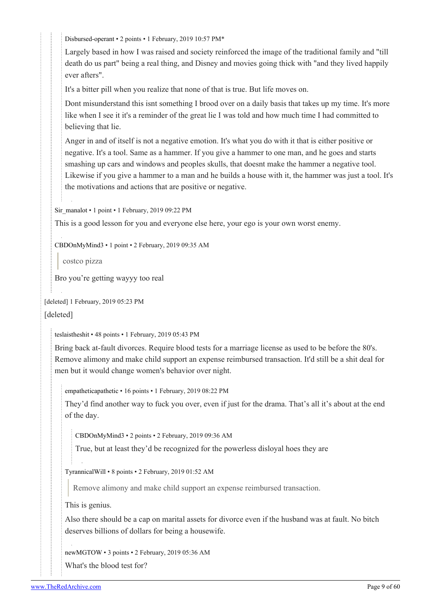[Disbursed-operant](https://old.reddit.com/user/Disbursed-operant) • 2 points • 1 February, 2019 10:57 PM\*

Largely based in how I was raised and society reinforced the image of the traditional family and "till death do us part" being a real thing, and Disney and movies going thick with "and they lived happily ever afters".

It's a bitter pill when you realize that none of that is true. But life moves on.

Dont misunderstand this isnt something I brood over on a daily basis that takes up my time. It's more like when I see it it's a reminder of the great lie I was told and how much time I had committed to believing that lie.

Anger in and of itself is not a negative emotion. It's what you do with it that is either positive or negative. It's a tool. Same as a hammer. If you give a hammer to one man, and he goes and starts smashing up cars and windows and peoples skulls, that doesnt make the hammer a negative tool. Likewise if you give a hammer to a man and he builds a house with it, the hammer was just a tool. It's the motivations and actions that are positive or negative.

[Sir\\_manalot](https://old.reddit.com/user/Sir_manalot) • 1 point • 1 February, 2019 09:22 PM

This is a good lesson for you and everyone else here, your ego is your own worst enemy.

[CBDOnMyMind3](https://old.reddit.com/user/CBDOnMyMind3) • 1 point • 2 February, 2019 09:35 AM

costco pizza

Bro you're getting wayyy too real

```
[deleted] 1 February, 2019 05:23 PM
```
[deleted]

[teslaistheshit](https://old.reddit.com/user/teslaistheshit) • 48 points • 1 February, 2019 05:43 PM

Bring back at-fault divorces. Require blood tests for a marriage license as used to be before the 80's. Remove alimony and make child support an expense reimbursed transaction. It'd still be a shit deal for men but it would change women's behavior over night.

[empatheticapathetic](https://old.reddit.com/user/empatheticapathetic) • 16 points • 1 February, 2019 08:22 PM

They'd find another way to fuck you over, even if just for the drama. That's all it's about at the end of the day.

[CBDOnMyMind3](https://old.reddit.com/user/CBDOnMyMind3) • 2 points • 2 February, 2019 09:36 AM

True, but at least they'd be recognized for the powerless disloyal hoes they are

[TyrannicalWill](https://old.reddit.com/user/TyrannicalWill) • 8 points • 2 February, 2019 01:52 AM

Remove alimony and make child support an expense reimbursed transaction.

This is genius.

Also there should be a cap on marital assets for divorce even if the husband was at fault. No bitch deserves billions of dollars for being a housewife.

[newMGTOW](https://old.reddit.com/user/newMGTOW) • 3 points • 2 February, 2019 05:36 AM

What's the blood test for?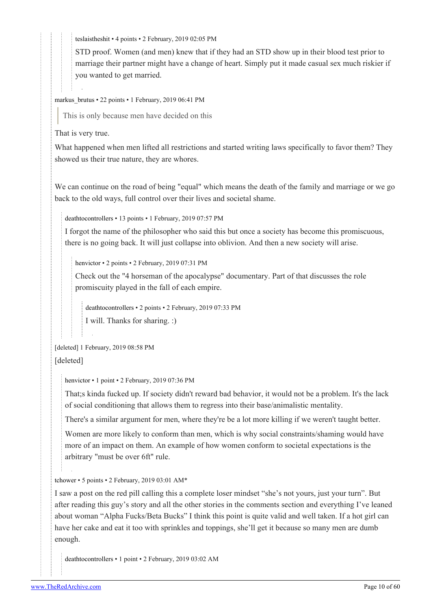[teslaistheshit](https://old.reddit.com/user/teslaistheshit) • 4 points • 2 February, 2019 02:05 PM

STD proof. Women (and men) knew that if they had an STD show up in their blood test prior to marriage their partner might have a change of heart. Simply put it made casual sex much riskier if you wanted to get married.

markus brutus • 22 points • 1 February, 2019 06:41 PM

This is only because men have decided on this

That is very true.

What happened when men lifted all restrictions and started writing laws specifically to favor them? They showed us their true nature, they are whores.

We can continue on the road of being "equal" which means the death of the family and marriage or we go back to the old ways, full control over their lives and societal shame.

[deathtocontrollers](https://old.reddit.com/user/deathtocontrollers) • 13 points • 1 February, 2019 07:57 PM

I forgot the name of the philosopher who said this but once a society has become this promiscuous, there is no going back. It will just collapse into oblivion. And then a new society will arise.

[henvictor](https://old.reddit.com/user/henvictor) • 2 points • 2 February, 2019 07:31 PM

Check out the "4 horseman of the apocalypse" documentary. Part of that discusses the role promiscuity played in the fall of each empire.

[deathtocontrollers](https://old.reddit.com/user/deathtocontrollers) • 2 points • 2 February, 2019 07:33 PM

I will. Thanks for sharing. :)

[deleted] 1 February, 2019 08:58 PM

[deleted]

[henvictor](https://old.reddit.com/user/henvictor) • 1 point • 2 February, 2019 07:36 PM

That;s kinda fucked up. If society didn't reward bad behavior, it would not be a problem. It's the lack of social conditioning that allows them to regress into their base/animalistic mentality.

There's a similar argument for men, where they're be a lot more killing if we weren't taught better.

Women are more likely to conform than men, which is why social constraints/shaming would have more of an impact on them. An example of how women conform to societal expectations is the arbitrary "must be over 6ft" rule.

[tchower](https://old.reddit.com/user/tchower) • 5 points • 2 February, 2019 03:01 AM\*

I saw a post on the red pill calling this a complete loser mindset "she's not yours, just your turn". But after reading this guy's story and all the other stories in the comments section and everything I've leaned about woman "Alpha Fucks/Beta Bucks" I think this point is quite valid and well taken. If a hot girl can have her cake and eat it too with sprinkles and toppings, she'll get it because so many men are dumb enough.

[deathtocontrollers](https://old.reddit.com/user/deathtocontrollers) • 1 point • 2 February, 2019 03:02 AM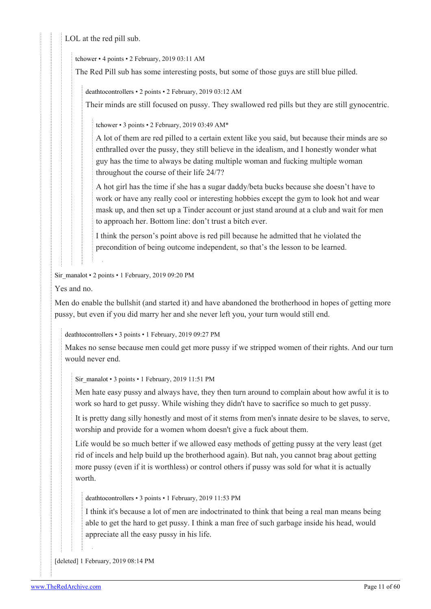LOL at the red pill sub.

[tchower](https://old.reddit.com/user/tchower) • 4 points • 2 February, 2019 03:11 AM

The Red Pill sub has some interesting posts, but some of those guys are still blue pilled.

[deathtocontrollers](https://old.reddit.com/user/deathtocontrollers) • 2 points • 2 February, 2019 03:12 AM

Their minds are still focused on pussy. They swallowed red pills but they are still gynocentric.

[tchower](https://old.reddit.com/user/tchower) • 3 points • 2 February, 2019 03:49 AM\*

A lot of them are red pilled to a certain extent like you said, but because their minds are so enthralled over the pussy, they still believe in the idealism, and I honestly wonder what guy has the time to always be dating multiple woman and fucking multiple woman throughout the course of their life 24/7?

A hot girl has the time if she has a sugar daddy/beta bucks because she doesn't have to work or have any really cool or interesting hobbies except the gym to look hot and wear mask up, and then set up a Tinder account or just stand around at a club and wait for men to approach her. Bottom line: don't trust a bitch ever.

I think the person's point above is red pill because he admitted that he violated the precondition of being outcome independent, so that's the lesson to be learned.

[Sir\\_manalot](https://old.reddit.com/user/Sir_manalot) • 2 points • 1 February, 2019 09:20 PM

Yes and no.

Men do enable the bullshit (and started it) and have abandoned the brotherhood in hopes of getting more pussy, but even if you did marry her and she never left you, your turn would still end.

[deathtocontrollers](https://old.reddit.com/user/deathtocontrollers) • 3 points • 1 February, 2019 09:27 PM

Makes no sense because men could get more pussy if we stripped women of their rights. And our turn would never end.

[Sir\\_manalot](https://old.reddit.com/user/Sir_manalot) • 3 points • 1 February, 2019 11:51 PM

Men hate easy pussy and always have, they then turn around to complain about how awful it is to work so hard to get pussy. While wishing they didn't have to sacrifice so much to get pussy.

It is pretty dang silly honestly and most of it stems from men's innate desire to be slaves, to serve, worship and provide for a women whom doesn't give a fuck about them.

Life would be so much better if we allowed easy methods of getting pussy at the very least (get rid of incels and help build up the brotherhood again). But nah, you cannot brag about getting more pussy (even if it is worthless) or control others if pussy was sold for what it is actually worth.

[deathtocontrollers](https://old.reddit.com/user/deathtocontrollers) • 3 points • 1 February, 2019 11:53 PM

I think it's because a lot of men are indoctrinated to think that being a real man means being able to get the hard to get pussy. I think a man free of such garbage inside his head, would appreciate all the easy pussy in his life.

[deleted] 1 February, 2019 08:14 PM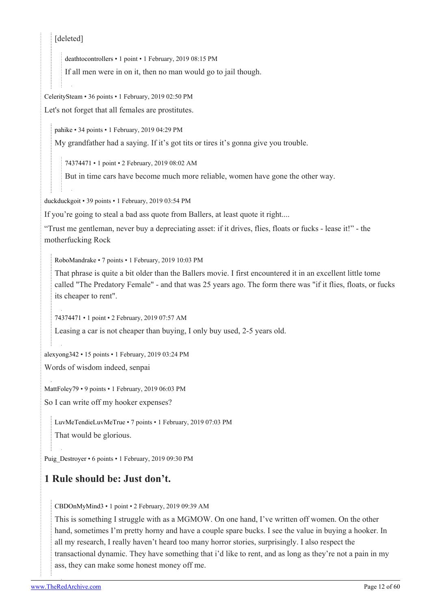#### [deleted]

[deathtocontrollers](https://old.reddit.com/user/deathtocontrollers) • 1 point • 1 February, 2019 08:15 PM

If all men were in on it, then no man would go to jail though.

[CeleritySteam](https://old.reddit.com/user/CeleritySteam) • 36 points • 1 February, 2019 02:50 PM Let's not forget that all females are prostitutes.

[pahike](https://old.reddit.com/user/pahike) • 34 points • 1 February, 2019 04:29 PM

My grandfather had a saying. If it's got tits or tires it's gonna give you trouble.

[74374471](https://old.reddit.com/user/74374471) • 1 point • 2 February, 2019 08:02 AM

But in time cars have become much more reliable, women have gone the other way.

[duckduckgoit](https://old.reddit.com/user/duckduckgoit) • 39 points • 1 February, 2019 03:54 PM

If you're going to steal a bad ass quote from Ballers, at least quote it right....

"Trust me gentleman, never buy a depreciating asset: if it drives, flies, floats or fucks - lease it!" - the motherfucking Rock

[RoboMandrake](https://old.reddit.com/user/RoboMandrake) • 7 points • 1 February, 2019 10:03 PM

That phrase is quite a bit older than the Ballers movie. I first encountered it in an excellent little tome called "The Predatory Female" - and that was 25 years ago. The form there was "if it flies, floats, or fucks its cheaper to rent".

[74374471](https://old.reddit.com/user/74374471) • 1 point • 2 February, 2019 07:57 AM

Leasing a car is not cheaper than buying, I only buy used, 2-5 years old.

[alexyong342](https://old.reddit.com/user/alexyong342) • 15 points • 1 February, 2019 03:24 PM

Words of wisdom indeed, senpai

[MattFoley79](https://old.reddit.com/user/MattFoley79) • 9 points • 1 February, 2019 06:03 PM

So I can write off my hooker expenses?

[LuvMeTendieLuvMeTrue](https://old.reddit.com/user/LuvMeTendieLuvMeTrue) • 7 points • 1 February, 2019 07:03 PM

That would be glorious.

[Puig\\_Destroyer](https://old.reddit.com/user/Puig_Destroyer) • 6 points • 1 February, 2019 09:30 PM

### **1 Rule should be: Just don't.**

[CBDOnMyMind3](https://old.reddit.com/user/CBDOnMyMind3) • 1 point • 2 February, 2019 09:39 AM

This is something I struggle with as a MGMOW. On one hand, I've written off women. On the other hand, sometimes I'm pretty horny and have a couple spare bucks. I see the value in buying a hooker. In all my research, I really haven't heard too many horror stories, surprisingly. I also respect the transactional dynamic. They have something that i'd like to rent, and as long as they're not a pain in my ass, they can make some honest money off me.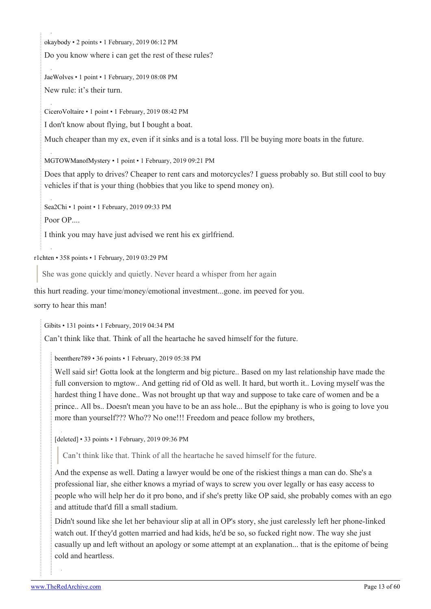[okaybody](https://old.reddit.com/user/okaybody) • 2 points • 1 February, 2019 06:12 PM

Do you know where i can get the rest of these rules?

[JaeWolves](https://old.reddit.com/user/JaeWolves) • 1 point • 1 February, 2019 08:08 PM New rule: it's their turn.

[CiceroVoltaire](https://old.reddit.com/user/CiceroVoltaire) • 1 point • 1 February, 2019 08:42 PM

I don't know about flying, but I bought a boat.

Much cheaper than my ex, even if it sinks and is a total loss. I'll be buying more boats in the future.

[MGTOWManofMystery](https://old.reddit.com/user/MGTOWManofMystery) • 1 point • 1 February, 2019 09:21 PM

Does that apply to drives? Cheaper to rent cars and motorcycles? I guess probably so. But still cool to buy vehicles if that is your thing (hobbies that you like to spend money on).

[Sea2Chi](https://old.reddit.com/user/Sea2Chi) • 1 point • 1 February, 2019 09:33 PM

Poor OP....

I think you may have just advised we rent his ex girlfriend.

[r1chten](https://old.reddit.com/user/r1chten) • 358 points • 1 February, 2019 03:29 PM

She was gone quickly and quietly. Never heard a whisper from her again

this hurt reading. your time/money/emotional investment...gone. im peeved for you.

sorry to hear this man!

[Gibits](https://old.reddit.com/user/Gibits) • 131 points • 1 February, 2019 04:34 PM

Can't think like that. Think of all the heartache he saved himself for the future.

[beenthere789](https://old.reddit.com/user/beenthere789) • 36 points • 1 February, 2019 05:38 PM

Well said sir! Gotta look at the longterm and big picture.. Based on my last relationship have made the full conversion to mgtow.. And getting rid of Old as well. It hard, but worth it.. Loving myself was the hardest thing I have done.. Was not brought up that way and suppose to take care of women and be a prince.. All bs.. Doesn't mean you have to be an ass hole... But the epiphany is who is going to love you more than yourself??? Who?? No one!!! Freedom and peace follow my brothers,

[deleted] • 33 points • 1 February, 2019 09:36 PM

Can't think like that. Think of all the heartache he saved himself for the future.

And the expense as well. Dating a lawyer would be one of the riskiest things a man can do. She's a professional liar, she either knows a myriad of ways to screw you over legally or has easy access to people who will help her do it pro bono, and if she's pretty like OP said, she probably comes with an ego and attitude that'd fill a small stadium.

Didn't sound like she let her behaviour slip at all in OP's story, she just carelessly left her phone-linked watch out. If they'd gotten married and had kids, he'd be so, so fucked right now. The way she just casually up and left without an apology or some attempt at an explanation... that is the epitome of being cold and heartless.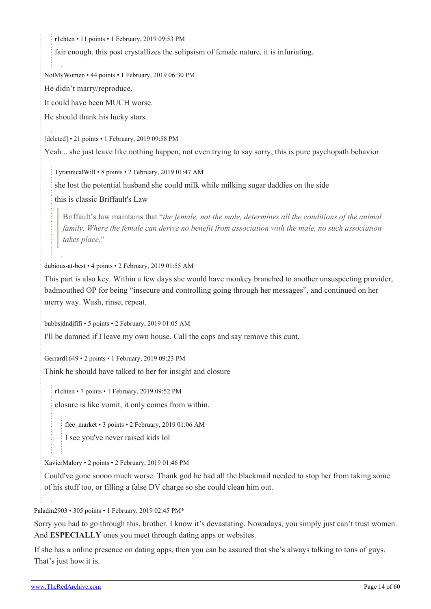[r1chten](https://old.reddit.com/user/r1chten) • 11 points • 1 February, 2019 09:53 PM

fair enough. this post crystallizes the solipsism of female nature. it is infuriating.

[NotMyWomen](https://old.reddit.com/user/NotMyWomen) • 44 points • 1 February, 2019 06:30 PM

He didn't marry/reproduce.

It could have been MUCH worse.

He should thank his lucky stars.

[deleted] • 21 points • 1 February, 2019 09:58 PM

Yeah... she just leave like nothing happen, not even trying to say sorry, this is pure psychopath behavior

[TyrannicalWill](https://old.reddit.com/user/TyrannicalWill) • 8 points • 2 February, 2019 01:47 AM

she lost the potential husband she could milk while milking sugar daddies on the side

this is classic Briffault's Law

Briffault's law maintains that "*the female, not the male, determines all the conditions of the animal family. Where the female can derive no benefit from association with the male, no such association takes place*."

[dubious-at-best](https://old.reddit.com/user/dubious-at-best) • 4 points • 2 February, 2019 01:55 AM

This part is also key. Within a few days she would have monkey branched to another unsuspecting provider, badmouthed OP for being "insecure and controlling going through her messages", and continued on her merry way. Wash, rinse, repeat.

[bubbsjdndjfifi](https://old.reddit.com/user/bubbsjdndjfifi) • 5 points • 2 February, 2019 01:05 AM

I'll be damned if I leave my own house. Call the cops and say remove this cunt.

[Gerrard1649](https://old.reddit.com/user/Gerrard1649) • 2 points • 1 February, 2019 09:23 PM

Think he should have talked to her for insight and closure

[r1chten](https://old.reddit.com/user/r1chten) • 7 points • 1 February, 2019 09:52 PM

closure is like vomit, it only comes from within.

[flee\\_market](https://old.reddit.com/user/flee_market) • 3 points • 2 February, 2019 01:06 AM

I see you've never raised kids lol

[XavierMalory](https://old.reddit.com/user/XavierMalory) • 2 points • 2 February, 2019 01:46 PM

Could've gone soooo much worse. Thank god he had all the blackmail needed to stop her from taking some of his stuff too, or filling a false DV charge so she could clean him out.

[Paladin2903](https://old.reddit.com/user/Paladin2903) • 305 points • 1 February, 2019 02:45 PM\*

Sorry you had to go through this, brother. I know it's devastating. Nowadays, you simply just can't trust women. And **ESPECIALLY** ones you meet through dating apps or websites.

If she has a online presence on dating apps, then you can be assured that she's always talking to tons of guys. That's just how it is.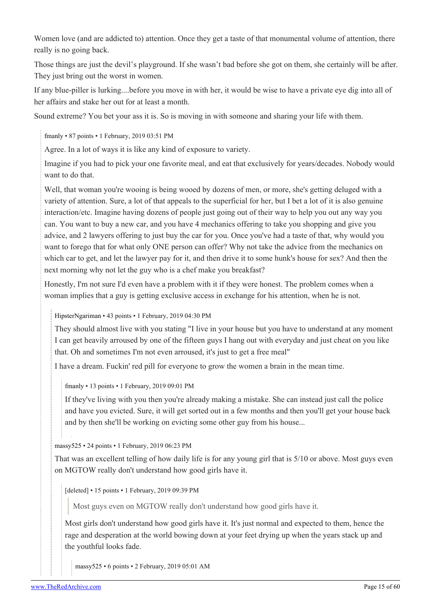Women love (and are addicted to) attention. Once they get a taste of that monumental volume of attention, there really is no going back.

Those things are just the devil's playground. If she wasn't bad before she got on them, she certainly will be after. They just bring out the worst in women.

If any blue-piller is lurking....before you move in with her, it would be wise to have a private eye dig into all of her affairs and stake her out for at least a month.

Sound extreme? You bet your ass it is. So is moving in with someone and sharing your life with them.

[fmanly](https://old.reddit.com/user/fmanly) • 87 points • 1 February, 2019 03:51 PM

Agree. In a lot of ways it is like any kind of exposure to variety.

Imagine if you had to pick your one favorite meal, and eat that exclusively for years/decades. Nobody would want to do that.

Well, that woman you're wooing is being wooed by dozens of men, or more, she's getting deluged with a variety of attention. Sure, a lot of that appeals to the superficial for her, but I bet a lot of it is also genuine interaction/etc. Imagine having dozens of people just going out of their way to help you out any way you can. You want to buy a new car, and you have 4 mechanics offering to take you shopping and give you advice, and 2 lawyers offering to just buy the car for you. Once you've had a taste of that, why would you want to forego that for what only ONE person can offer? Why not take the advice from the mechanics on which car to get, and let the lawyer pay for it, and then drive it to some hunk's house for sex? And then the next morning why not let the guy who is a chef make you breakfast?

Honestly, I'm not sure I'd even have a problem with it if they were honest. The problem comes when a woman implies that a guy is getting exclusive access in exchange for his attention, when he is not.

[HipsterNgariman](https://old.reddit.com/user/HipsterNgariman) • 43 points • 1 February, 2019 04:30 PM

They should almost live with you stating "I live in your house but you have to understand at any moment I can get heavily arroused by one of the fifteen guys I hang out with everyday and just cheat on you like that. Oh and sometimes I'm not even arroused, it's just to get a free meal"

I have a dream. Fuckin' red pill for everyone to grow the women a brain in the mean time.

[fmanly](https://old.reddit.com/user/fmanly) • 13 points • 1 February, 2019 09:01 PM

If they've living with you then you're already making a mistake. She can instead just call the police and have you evicted. Sure, it will get sorted out in a few months and then you'll get your house back and by then she'll be working on evicting some other guy from his house...

[massy525](https://old.reddit.com/user/massy525) • 24 points • 1 February, 2019 06:23 PM

That was an excellent telling of how daily life is for any young girl that is 5/10 or above. Most guys even on MGTOW really don't understand how good girls have it.

[deleted] • 15 points • 1 February, 2019 09:39 PM

Most guys even on MGTOW really don't understand how good girls have it.

Most girls don't understand how good girls have it. It's just normal and expected to them, hence the rage and desperation at the world bowing down at your feet drying up when the years stack up and the youthful looks fade.

[massy525](https://old.reddit.com/user/massy525) • 6 points • 2 February, 2019 05:01 AM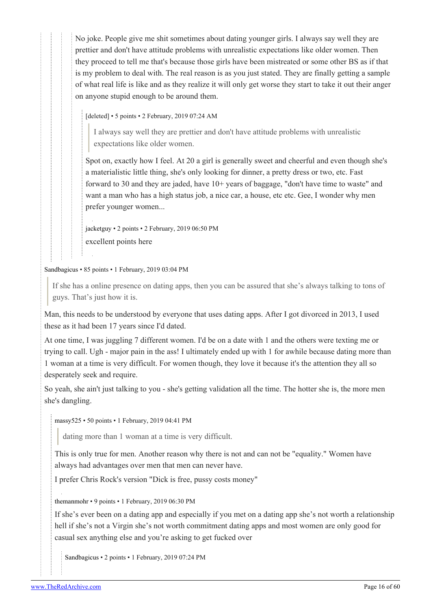No joke. People give me shit sometimes about dating younger girls. I always say well they are prettier and don't have attitude problems with unrealistic expectations like older women. Then they proceed to tell me that's because those girls have been mistreated or some other BS as if that is my problem to deal with. The real reason is as you just stated. They are finally getting a sample of what real life is like and as they realize it will only get worse they start to take it out their anger on anyone stupid enough to be around them.

[deleted] • 5 points • 2 February, 2019 07:24 AM

I always say well they are prettier and don't have attitude problems with unrealistic expectations like older women.

Spot on, exactly how I feel. At 20 a girl is generally sweet and cheerful and even though she's a materialistic little thing, she's only looking for dinner, a pretty dress or two, etc. Fast forward to 30 and they are jaded, have 10+ years of baggage, "don't have time to waste" and want a man who has a high status job, a nice car, a house, etc etc. Gee, I wonder why men prefer younger women...

[jacketguy](https://old.reddit.com/user/jacketguy) • 2 points • 2 February, 2019 06:50 PM excellent points here

[Sandbagicus](https://old.reddit.com/user/Sandbagicus) • 85 points • 1 February, 2019 03:04 PM

If she has a online presence on dating apps, then you can be assured that she's always talking to tons of guys. That's just how it is.

Man, this needs to be understood by everyone that uses dating apps. After I got divorced in 2013, I used these as it had been 17 years since I'd dated.

At one time, I was juggling 7 different women. I'd be on a date with 1 and the others were texting me or trying to call. Ugh - major pain in the ass! I ultimately ended up with 1 for awhile because dating more than 1 woman at a time is very difficult. For women though, they love it because it's the attention they all so desperately seek and require.

So yeah, she ain't just talking to you - she's getting validation all the time. The hotter she is, the more men she's dangling.

[massy525](https://old.reddit.com/user/massy525) • 50 points • 1 February, 2019 04:41 PM

dating more than 1 woman at a time is very difficult.

This is only true for men. Another reason why there is not and can not be "equality." Women have always had advantages over men that men can never have.

I prefer Chris Rock's version "Dick is free, pussy costs money"

[themanmohr](https://old.reddit.com/user/themanmohr) • 9 points • 1 February, 2019 06:30 PM

If she's ever been on a dating app and especially if you met on a dating app she's not worth a relationship hell if she's not a Virgin she's not worth commitment dating apps and most women are only good for casual sex anything else and you're asking to get fucked over

[Sandbagicus](https://old.reddit.com/user/Sandbagicus) • 2 points • 1 February, 2019 07:24 PM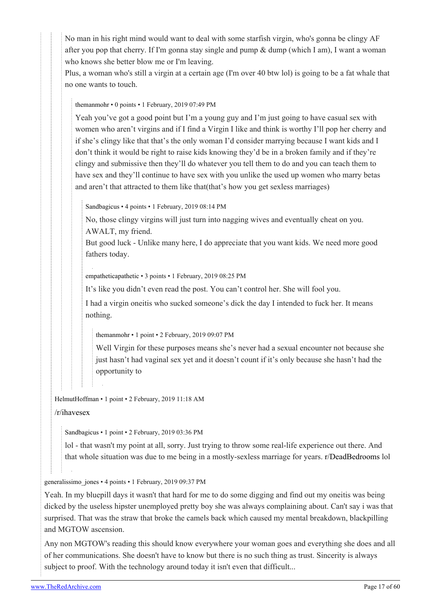No man in his right mind would want to deal with some starfish virgin, who's gonna be clingy AF after you pop that cherry. If I'm gonna stay single and pump  $\&$  dump (which I am), I want a woman who knows she better blow me or I'm leaving.

Plus, a woman who's still a virgin at a certain age (I'm over 40 btw lol) is going to be a fat whale that no one wants to touch.

#### [themanmohr](https://old.reddit.com/user/themanmohr) • 0 points • 1 February, 2019 07:49 PM

Yeah you've got a good point but I'm a young guy and I'm just going to have casual sex with women who aren't virgins and if I find a Virgin I like and think is worthy I'll pop her cherry and if she's clingy like that that's the only woman I'd consider marrying because I want kids and I don't think it would be right to raise kids knowing they'd be in a broken family and if they're clingy and submissive then they'll do whatever you tell them to do and you can teach them to have sex and they'll continue to have sex with you unlike the used up women who marry betas and aren't that attracted to them like that(that's how you get sexless marriages)

[Sandbagicus](https://old.reddit.com/user/Sandbagicus) • 4 points • 1 February, 2019 08:14 PM

No, those clingy virgins will just turn into nagging wives and eventually cheat on you. AWALT, my friend.

But good luck - Unlike many here, I do appreciate that you want kids. We need more good fathers today.

[empatheticapathetic](https://old.reddit.com/user/empatheticapathetic) • 3 points • 1 February, 2019 08:25 PM

It's like you didn't even read the post. You can't control her. She will fool you.

I had a virgin oneitis who sucked someone's dick the day I intended to fuck her. It means nothing.

[themanmohr](https://old.reddit.com/user/themanmohr) • 1 point • 2 February, 2019 09:07 PM

Well Virgin for these purposes means she's never had a sexual encounter not because she just hasn't had vaginal sex yet and it doesn't count if it's only because she hasn't had the opportunity to

[HelmutHoffman](https://old.reddit.com/user/HelmutHoffman) • 1 point • 2 February, 2019 11:18 AM

[/r/ihavesex](https://theredarchive.com/r/ihavesex)

[Sandbagicus](https://old.reddit.com/user/Sandbagicus) • 1 point • 2 February, 2019 03:36 PM

lol - that wasn't my point at all, sorry. Just trying to throw some real-life experience out there. And that whole situation was due to me being in a mostly-sexless marriage for years. [r/DeadBedrooms](https://theredarchive.com/r/DeadBedrooms) lol

[generalissimo\\_jones](https://old.reddit.com/user/generalissimo_jones) • 4 points • 1 February, 2019 09:37 PM

Yeah. In my bluepill days it wasn't that hard for me to do some digging and find out my oneitis was being dicked by the useless hipster unemployed pretty boy she was always complaining about. Can't say i was that surprised. That was the straw that broke the camels back which caused my mental breakdown, blackpilling and MGTOW ascension.

Any non MGTOW's reading this should know everywhere your woman goes and everything she does and all of her communications. She doesn't have to know but there is no such thing as trust. Sincerity is always subject to proof. With the technology around today it isn't even that difficult...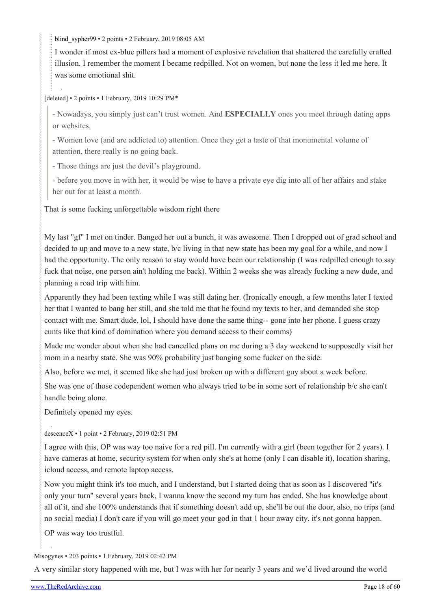blind sypher99 • 2 points • 2 February, 2019 08:05 AM

I wonder if most ex-blue pillers had a moment of explosive revelation that shattered the carefully crafted illusion. I remember the moment I became redpilled. Not on women, but none the less it led me here. It was some emotional shit.

[deleted] • 2 points • 1 February, 2019 10:29 PM\*

- Nowadays, you simply just can't trust women. And **ESPECIALLY** ones you meet through dating apps or websites.

- Women love (and are addicted to) attention. Once they get a taste of that monumental volume of attention, there really is no going back.

- Those things are just the devil's playground.

- before you move in with her, it would be wise to have a private eye dig into all of her affairs and stake her out for at least a month.

That is some fucking unforgettable wisdom right there

My last "gf" I met on tinder. Banged her out a bunch, it was awesome. Then I dropped out of grad school and decided to up and move to a new state, b/c living in that new state has been my goal for a while, and now I had the opportunity. The only reason to stay would have been our relationship (I was redpilled enough to say fuck that noise, one person ain't holding me back). Within 2 weeks she was already fucking a new dude, and planning a road trip with him.

Apparently they had been texting while I was still dating her. (Ironically enough, a few months later I texted her that I wanted to bang her still, and she told me that he found my texts to her, and demanded she stop contact with me. Smart dude, lol, I should have done the same thing-- gone into her phone. I guess crazy cunts like that kind of domination where you demand access to their comms)

Made me wonder about when she had cancelled plans on me during a 3 day weekend to supposedly visit her mom in a nearby state. She was 90% probability just banging some fucker on the side.

Also, before we met, it seemed like she had just broken up with a different guy about a week before.

She was one of those codependent women who always tried to be in some sort of relationship b/c she can't handle being alone.

Definitely opened my eyes.

[descenceX](https://old.reddit.com/user/descenceX) • 1 point • 2 February, 2019 02:51 PM

I agree with this, OP was way too naive for a red pill. I'm currently with a girl (been together for 2 years). I have cameras at home, security system for when only she's at home (only I can disable it), location sharing, icloud access, and remote laptop access.

Now you might think it's too much, and I understand, but I started doing that as soon as I discovered "it's only your turn" several years back, I wanna know the second my turn has ended. She has knowledge about all of it, and she 100% understands that if something doesn't add up, she'll be out the door, also, no trips (and no social media) I don't care if you will go meet your god in that 1 hour away city, it's not gonna happen.

OP was way too trustful.

[Misogynes](https://old.reddit.com/user/Misogynes) • 203 points • 1 February, 2019 02:42 PM

A very similar story happened with me, but I was with her for nearly 3 years and we'd lived around the world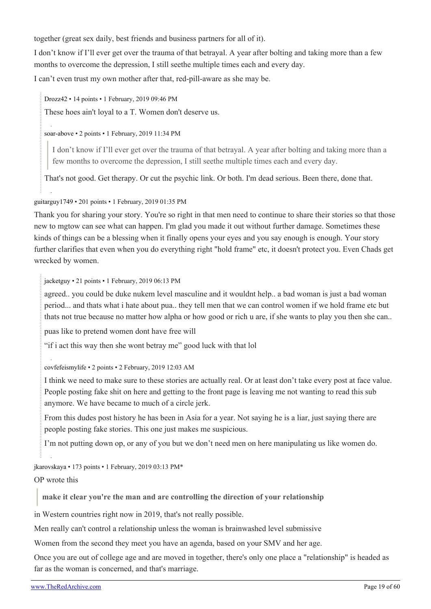together (great sex daily, best friends and business partners for all of it).

I don't know if I'll ever get over the trauma of that betrayal. A year after bolting and taking more than a few months to overcome the depression, I still seethe multiple times each and every day.

I can't even trust my own mother after that, red-pill-aware as she may be.

[Drozz42](https://old.reddit.com/user/Drozz42) • 14 points • 1 February, 2019 09:46 PM

These hoes ain't loyal to a T. Women don't deserve us.

[soar-above](https://old.reddit.com/user/soar-above) • 2 points • 1 February, 2019 11:34 PM

I don't know if I'll ever get over the trauma of that betrayal. A year after bolting and taking more than a few months to overcome the depression, I still seethe multiple times each and every day.

That's not good. Get therapy. Or cut the psychic link. Or both. I'm dead serious. Been there, done that.

[guitarguy1749](https://old.reddit.com/user/guitarguy1749) • 201 points • 1 February, 2019 01:35 PM

Thank you for sharing your story. You're so right in that men need to continue to share their stories so that those new to mgtow can see what can happen. I'm glad you made it out without further damage. Sometimes these kinds of things can be a blessing when it finally opens your eyes and you say enough is enough. Your story further clarifies that even when you do everything right "hold frame" etc, it doesn't protect you. Even Chads get wrecked by women.

[jacketguy](https://old.reddit.com/user/jacketguy) • 21 points • 1 February, 2019 06:13 PM

agreed.. you could be duke nukem level masculine and it wouldnt help.. a bad woman is just a bad woman period... and thats what i hate about pua.. they tell men that we can control women if we hold frame etc but thats not true because no matter how alpha or how good or rich u are, if she wants to play you then she can..

puas like to pretend women dont have free will

"if i act this way then she wont betray me" good luck with that lol

[covfefeismylife](https://old.reddit.com/user/covfefeismylife) • 2 points • 2 February, 2019 12:03 AM

I think we need to make sure to these stories are actually real. Or at least don't take every post at face value. People posting fake shit on here and getting to the front page is leaving me not wanting to read this sub anymore. We have became to much of a circle jerk.

From this dudes post history he has been in Asia for a year. Not saying he is a liar, just saying there are people posting fake stories. This one just makes me suspicious.

I'm not putting down op, or any of you but we don't need men on here manipulating us like women do.

[jkarovskaya](https://old.reddit.com/user/jkarovskaya) • 173 points • 1 February, 2019 03:13 PM\*

OP wrote this

**make it clear you're the man and are controlling the direction of your relationship**

in Western countries right now in 2019, that's not really possible.

Men really can't control a relationship unless the woman is brainwashed level submissive

Women from the second they meet you have an agenda, based on your SMV and her age.

Once you are out of college age and are moved in together, there's only one place a "relationship" is headed as far as the woman is concerned, and that's marriage.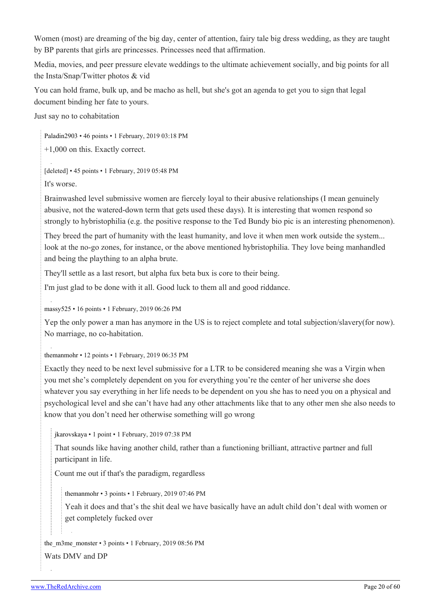Women (most) are dreaming of the big day, center of attention, fairy tale big dress wedding, as they are taught by BP parents that girls are princesses. Princesses need that affirmation.

Media, movies, and peer pressure elevate weddings to the ultimate achievement socially, and big points for all the Insta/Snap/Twitter photos & vid

You can hold frame, bulk up, and be macho as hell, but she's got an agenda to get you to sign that legal document binding her fate to yours.

Just say no to cohabitation

[Paladin2903](https://old.reddit.com/user/Paladin2903) • 46 points • 1 February, 2019 03:18 PM

+1,000 on this. Exactly correct.

[deleted] • 45 points • 1 February, 2019 05:48 PM It's worse.

Brainwashed level submissive women are fiercely loyal to their abusive relationships (I mean genuinely abusive, not the watered-down term that gets used these days). It is interesting that women respond so strongly to hybristophilia (e.g. the positive response to the Ted Bundy bio pic is an interesting phenomenon).

They breed the part of humanity with the least humanity, and love it when men work outside the system... look at the no-go zones, for instance, or the above mentioned hybristophilia. They love being manhandled and being the plaything to an alpha brute.

They'll settle as a last resort, but alpha fux beta bux is core to their being.

I'm just glad to be done with it all. Good luck to them all and good riddance.

[massy525](https://old.reddit.com/user/massy525) • 16 points • 1 February, 2019 06:26 PM

Yep the only power a man has anymore in the US is to reject complete and total subjection/slavery(for now). No marriage, no co-habitation.

[themanmohr](https://old.reddit.com/user/themanmohr) • 12 points • 1 February, 2019 06:35 PM

Exactly they need to be next level submissive for a LTR to be considered meaning she was a Virgin when you met she's completely dependent on you for everything you're the center of her universe she does whatever you say everything in her life needs to be dependent on you she has to need you on a physical and psychological level and she can't have had any other attachments like that to any other men she also needs to know that you don't need her otherwise something will go wrong

[jkarovskaya](https://old.reddit.com/user/jkarovskaya) • 1 point • 1 February, 2019 07:38 PM

That sounds like having another child, rather than a functioning brilliant, attractive partner and full participant in life.

Count me out if that's the paradigm, regardless

[themanmohr](https://old.reddit.com/user/themanmohr) • 3 points • 1 February, 2019 07:46 PM

Yeah it does and that's the shit deal we have basically have an adult child don't deal with women or get completely fucked over

the m3me monster • 3 points • 1 February, 2019 08:56 PM Wats DMV and DP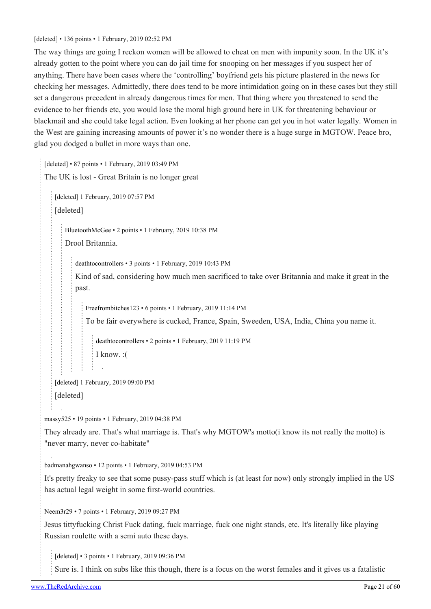#### [deleted] • 136 points • 1 February, 2019 02:52 PM

The way things are going I reckon women will be allowed to cheat on men with impunity soon. In the UK it's already gotten to the point where you can do jail time for snooping on her messages if you suspect her of anything. There have been cases where the 'controlling' boyfriend gets his picture plastered in the news for checking her messages. Admittedly, there does tend to be more intimidation going on in these cases but they still set a dangerous precedent in already dangerous times for men. That thing where you threatened to send the evidence to her friends etc, you would lose the moral high ground here in UK for threatening behaviour or blackmail and she could take legal action. Even looking at her phone can get you in hot water legally. Women in the West are gaining increasing amounts of power it's no wonder there is a huge surge in MGTOW. Peace bro, glad you dodged a bullet in more ways than one.

[deleted] • 87 points • 1 February, 2019 03:49 PM

```
The UK is lost - Great Britain is no longer great
```
[deleted] 1 February, 2019 07:57 PM [deleted]

[BluetoothMcGee](https://old.reddit.com/user/BluetoothMcGee) • 2 points • 1 February, 2019 10:38 PM Drool Britannia.

[deathtocontrollers](https://old.reddit.com/user/deathtocontrollers) • 3 points • 1 February, 2019 10:43 PM

Kind of sad, considering how much men sacrificed to take over Britannia and make it great in the past.

[Freefrombitches123](https://old.reddit.com/user/Freefrombitches123) • 6 points • 1 February, 2019 11:14 PM

To be fair everywhere is cucked, France, Spain, Sweeden, USA, India, China you name it.

[deathtocontrollers](https://old.reddit.com/user/deathtocontrollers) • 2 points • 1 February, 2019 11:19 PM I know. :(

[deleted] 1 February, 2019 09:00 PM

[deleted]

[massy525](https://old.reddit.com/user/massy525) • 19 points • 1 February, 2019 04:38 PM

They already are. That's what marriage is. That's why MGTOW's motto(i know its not really the motto) is "never marry, never co-habitate"

[badmanahgwanso](https://old.reddit.com/user/badmanahgwanso) • 12 points • 1 February, 2019 04:53 PM

It's pretty freaky to see that some pussy-pass stuff which is (at least for now) only strongly implied in the US has actual legal weight in some first-world countries.

[Neem3r29](https://old.reddit.com/user/Neem3r29) • 7 points • 1 February, 2019 09:27 PM

Jesus tittyfucking Christ Fuck dating, fuck marriage, fuck one night stands, etc. It's literally like playing Russian roulette with a semi auto these days.

[deleted] • 3 points • 1 February, 2019 09:36 PM

Sure is. I think on subs like this though, there is a focus on the worst females and it gives us a fatalistic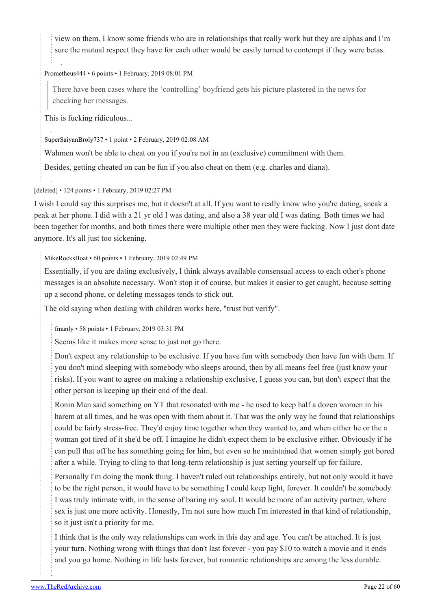view on them. I know some friends who are in relationships that really work but they are alphas and I'm sure the mutual respect they have for each other would be easily turned to contempt if they were betas.

#### [Prometheus444](https://old.reddit.com/user/Prometheus444) • 6 points • 1 February, 2019 08:01 PM

There have been cases where the 'controlling' boyfriend gets his picture plastered in the news for checking her messages.

This is fucking ridiculous...

[SuperSaiyanBroly737](https://old.reddit.com/user/SuperSaiyanBroly737) • 1 point • 2 February, 2019 02:08 AM

Wahmen won't be able to cheat on you if you're not in an (exclusive) commitment with them.

Besides, getting cheated on can be fun if you also cheat on them (e.g. charles and diana).

#### [deleted] • 124 points • 1 February, 2019 02:27 PM

I wish I could say this surprises me, but it doesn't at all. If you want to really know who you're dating, sneak a peak at her phone. I did with a 21 yr old I was dating, and also a 38 year old I was dating. Both times we had been together for months, and both times there were multiple other men they were fucking. Now I just dont date anymore. It's all just too sickening.

#### [MikeRocksBoat](https://old.reddit.com/user/MikeRocksBoat) • 60 points • 1 February, 2019 02:49 PM

Essentially, if you are dating exclusively, I think always available consensual access to each other's phone messages is an absolute necessary. Won't stop it of course, but makes it easier to get caught, because setting up a second phone, or deleting messages tends to stick out.

The old saying when dealing with children works here, "trust but verify".

[fmanly](https://old.reddit.com/user/fmanly) • 58 points • 1 February, 2019 03:31 PM

Seems like it makes more sense to just not go there.

Don't expect any relationship to be exclusive. If you have fun with somebody then have fun with them. If you don't mind sleeping with somebody who sleeps around, then by all means feel free (just know your risks). If you want to agree on making a relationship exclusive, I guess you can, but don't expect that the other person is keeping up their end of the deal.

Ronin Man said something on YT that resonated with me - he used to keep half a dozen women in his harem at all times, and he was open with them about it. That was the only way he found that relationships could be fairly stress-free. They'd enjoy time together when they wanted to, and when either he or the a woman got tired of it she'd be off. I imagine he didn't expect them to be exclusive either. Obviously if he can pull that off he has something going for him, but even so he maintained that women simply got bored after a while. Trying to cling to that long-term relationship is just setting yourself up for failure.

Personally I'm doing the monk thing. I haven't ruled out relationships entirely, but not only would it have to be the right person, it would have to be something I could keep light, forever. It couldn't be somebody I was truly intimate with, in the sense of baring my soul. It would be more of an activity partner, where sex is just one more activity. Honestly, I'm not sure how much I'm interested in that kind of relationship, so it just isn't a priority for me.

I think that is the only way relationships can work in this day and age. You can't be attached. It is just your turn. Nothing wrong with things that don't last forever - you pay \$10 to watch a movie and it ends and you go home. Nothing in life lasts forever, but romantic relationships are among the less durable.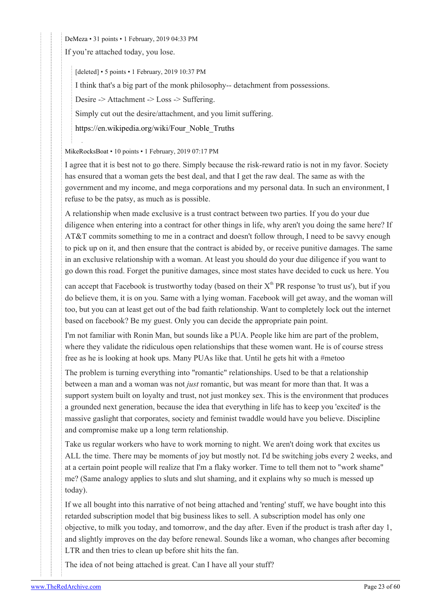[DeMeza](https://old.reddit.com/user/DeMeza) • 31 points • 1 February, 2019 04:33 PM

If you're attached today, you lose.

[deleted] • 5 points • 1 February, 2019 10:37 PM

I think that's a big part of the monk philosophy-- detachment from possessions.

Desire -> Attachment -> Loss -> Suffering.

Simply cut out the desire/attachment, and you limit suffering.

[https://en.wikipedia.org/wiki/Four\\_Noble\\_Truths](https://en.wikipedia.org/wiki/Four_Noble_Truths)

#### [MikeRocksBoat](https://old.reddit.com/user/MikeRocksBoat) • 10 points • 1 February, 2019 07:17 PM

I agree that it is best not to go there. Simply because the risk-reward ratio is not in my favor. Society has ensured that a woman gets the best deal, and that I get the raw deal. The same as with the government and my income, and mega corporations and my personal data. In such an environment, I refuse to be the patsy, as much as is possible.

A relationship when made exclusive is a trust contract between two parties. If you do your due diligence when entering into a contract for other things in life, why aren't you doing the same here? If AT&T commits something to me in a contract and doesn't follow through, I need to be savvy enough to pick up on it, and then ensure that the contract is abided by, or receive punitive damages. The same in an exclusive relationship with a woman. At least you should do your due diligence if you want to go down this road. Forget the punitive damages, since most states have decided to cuck us here. You

can accept that Facebook is trustworthy today (based on their  $X^{\text{th}}$  PR response 'to trust us'), but if you do believe them, it is on you. Same with a lying woman. Facebook will get away, and the woman will too, but you can at least get out of the bad faith relationship. Want to completely lock out the internet based on facebook? Be my guest. Only you can decide the appropriate pain point.

I'm not familiar with Ronin Man, but sounds like a PUA. People like him are part of the problem, where they validate the ridiculous open relationships that these women want. He is of course stress free as he is looking at hook ups. Many PUAs like that. Until he gets hit with a #metoo

The problem is turning everything into "romantic" relationships. Used to be that a relationship between a man and a woman was not *just* romantic, but was meant for more than that. It was a support system built on loyalty and trust, not just monkey sex. This is the environment that produces a grounded next generation, because the idea that everything in life has to keep you 'excited' is the massive gaslight that corporates, society and feminist twaddle would have you believe. Discipline and compromise make up a long term relationship.

Take us regular workers who have to work morning to night. We aren't doing work that excites us ALL the time. There may be moments of joy but mostly not. I'd be switching jobs every 2 weeks, and at a certain point people will realize that I'm a flaky worker. Time to tell them not to "work shame" me? (Same analogy applies to sluts and slut shaming, and it explains why so much is messed up today).

If we all bought into this narrative of not being attached and 'renting' stuff, we have bought into this retarded subscription model that big business likes to sell. A subscription model has only one objective, to milk you today, and tomorrow, and the day after. Even if the product is trash after day 1, and slightly improves on the day before renewal. Sounds like a woman, who changes after becoming LTR and then tries to clean up before shit hits the fan.

The idea of not being attached is great. Can I have all your stuff?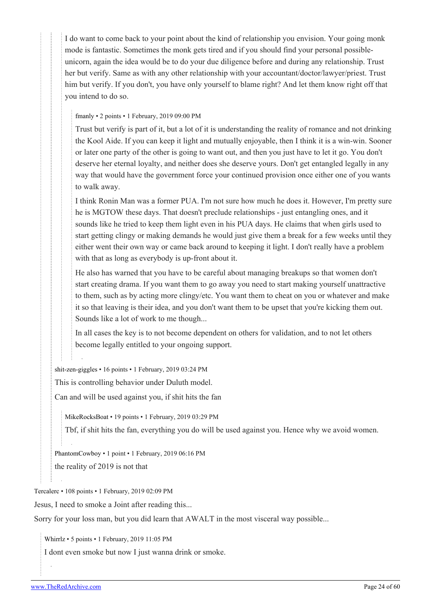I do want to come back to your point about the kind of relationship you envision. Your going monk mode is fantastic. Sometimes the monk gets tired and if you should find your personal possibleunicorn, again the idea would be to do your due diligence before and during any relationship. Trust her but verify. Same as with any other relationship with your accountant/doctor/lawyer/priest. Trust him but verify. If you don't, you have only yourself to blame right? And let them know right off that you intend to do so.

[fmanly](https://old.reddit.com/user/fmanly) • 2 points • 1 February, 2019 09:00 PM

Trust but verify is part of it, but a lot of it is understanding the reality of romance and not drinking the Kool Aide. If you can keep it light and mutually enjoyable, then I think it is a win-win. Sooner or later one party of the other is going to want out, and then you just have to let it go. You don't deserve her eternal loyalty, and neither does she deserve yours. Don't get entangled legally in any way that would have the government force your continued provision once either one of you wants to walk away.

I think Ronin Man was a former PUA. I'm not sure how much he does it. However, I'm pretty sure he is MGTOW these days. That doesn't preclude relationships - just entangling ones, and it sounds like he tried to keep them light even in his PUA days. He claims that when girls used to start getting clingy or making demands he would just give them a break for a few weeks until they either went their own way or came back around to keeping it light. I don't really have a problem with that as long as everybody is up-front about it.

He also has warned that you have to be careful about managing breakups so that women don't start creating drama. If you want them to go away you need to start making yourself unattractive to them, such as by acting more clingy/etc. You want them to cheat on you or whatever and make it so that leaving is their idea, and you don't want them to be upset that you're kicking them out. Sounds like a lot of work to me though...

In all cases the key is to not become dependent on others for validation, and to not let others become legally entitled to your ongoing support.

[shit-zen-giggles](https://old.reddit.com/user/shit-zen-giggles) • 16 points • 1 February, 2019 03:24 PM

This is controlling behavior under Duluth model.

Can and will be used against you, if shit hits the fan

[MikeRocksBoat](https://old.reddit.com/user/MikeRocksBoat) • 19 points • 1 February, 2019 03:29 PM

Tbf, if shit hits the fan, everything you do will be used against you. Hence why we avoid women.

[PhantomCowboy](https://old.reddit.com/user/PhantomCowboy) • 1 point • 1 February, 2019 06:16 PM the reality of 2019 is not that

[Tercalerc](https://old.reddit.com/user/Tercalerc) • 108 points • 1 February, 2019 02:09 PM

Jesus, I need to smoke a Joint after reading this...

Sorry for your loss man, but you did learn that AWALT in the most visceral way possible...

[Whirrlz](https://old.reddit.com/user/Whirrlz) • 5 points • 1 February, 2019 11:05 PM

I dont even smoke but now I just wanna drink or smoke.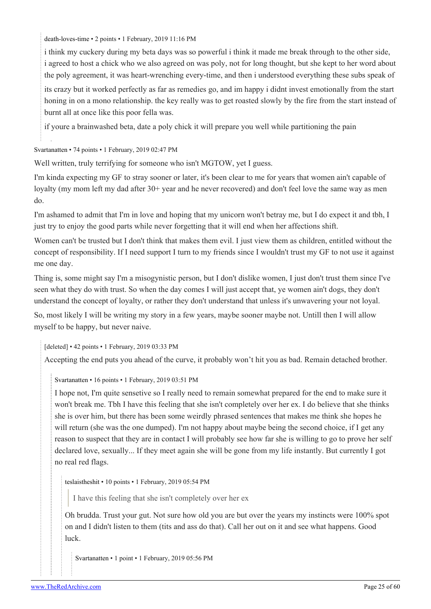[death-loves-time](https://old.reddit.com/user/death-loves-time) • 2 points • 1 February, 2019 11:16 PM

i think my cuckery during my beta days was so powerful i think it made me break through to the other side, i agreed to host a chick who we also agreed on was poly, not for long thought, but she kept to her word about the poly agreement, it was heart-wrenching every-time, and then i understood everything these subs speak of

its crazy but it worked perfectly as far as remedies go, and im happy i didnt invest emotionally from the start honing in on a mono relationship. the key really was to get roasted slowly by the fire from the start instead of burnt all at once like this poor fella was.

if youre a brainwashed beta, date a poly chick it will prepare you well while partitioning the pain

[Svartanatten](https://old.reddit.com/user/Svartanatten) • 74 points • 1 February, 2019 02:47 PM

Well written, truly terrifying for someone who isn't MGTOW, yet I guess.

I'm kinda expecting my GF to stray sooner or later, it's been clear to me for years that women ain't capable of loyalty (my mom left my dad after 30+ year and he never recovered) and don't feel love the same way as men do.

I'm ashamed to admit that I'm in love and hoping that my unicorn won't betray me, but I do expect it and tbh, I just try to enjoy the good parts while never forgetting that it will end when her affections shift.

Women can't be trusted but I don't think that makes them evil. I just view them as children, entitled without the concept of responsibility. If I need support I turn to my friends since I wouldn't trust my GF to not use it against me one day.

Thing is, some might say I'm a misogynistic person, but I don't dislike women, I just don't trust them since I've seen what they do with trust. So when the day comes I will just accept that, ye women ain't dogs, they don't understand the concept of loyalty, or rather they don't understand that unless it's unwavering your not loyal.

So, most likely I will be writing my story in a few years, maybe sooner maybe not. Untill then I will allow myself to be happy, but never naive.

[deleted] • 42 points • 1 February, 2019 03:33 PM

Accepting the end puts you ahead of the curve, it probably won't hit you as bad. Remain detached brother.

[Svartanatten](https://old.reddit.com/user/Svartanatten) • 16 points • 1 February, 2019 03:51 PM

I hope not, I'm quite sensetive so I really need to remain somewhat prepared for the end to make sure it won't break me. Tbh I have this feeling that she isn't completely over her ex. I do believe that she thinks she is over him, but there has been some weirdly phrased sentences that makes me think she hopes he will return (she was the one dumped). I'm not happy about maybe being the second choice, if I get any reason to suspect that they are in contact I will probably see how far she is willing to go to prove her self declared love, sexually... If they meet again she will be gone from my life instantly. But currently I got no real red flags.

[teslaistheshit](https://old.reddit.com/user/teslaistheshit) • 10 points • 1 February, 2019 05:54 PM

I have this feeling that she isn't completely over her ex

Oh brudda. Trust your gut. Not sure how old you are but over the years my instincts were 100% spot on and I didn't listen to them (tits and ass do that). Call her out on it and see what happens. Good luck.

[Svartanatten](https://old.reddit.com/user/Svartanatten) • 1 point • 1 February, 2019 05:56 PM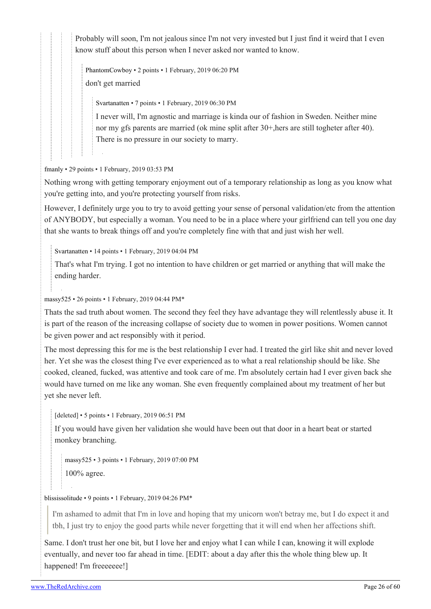Probably will soon, I'm not jealous since I'm not very invested but I just find it weird that I even know stuff about this person when I never asked nor wanted to know.

[PhantomCowboy](https://old.reddit.com/user/PhantomCowboy) • 2 points • 1 February, 2019 06:20 PM don't get married

[Svartanatten](https://old.reddit.com/user/Svartanatten) • 7 points • 1 February, 2019 06:30 PM

I never will, I'm agnostic and marriage is kinda our of fashion in Sweden. Neither mine nor my gfs parents are married (ok mine split after 30+,hers are still togheter after 40). There is no pressure in our society to marry.

[fmanly](https://old.reddit.com/user/fmanly) • 29 points • 1 February, 2019 03:53 PM

Nothing wrong with getting temporary enjoyment out of a temporary relationship as long as you know what you're getting into, and you're protecting yourself from risks.

However, I definitely urge you to try to avoid getting your sense of personal validation/etc from the attention of ANYBODY, but especially a woman. You need to be in a place where your girlfriend can tell you one day that she wants to break things off and you're completely fine with that and just wish her well.

[Svartanatten](https://old.reddit.com/user/Svartanatten) • 14 points • 1 February, 2019 04:04 PM

That's what I'm trying. I got no intention to have children or get married or anything that will make the ending harder.

[massy525](https://old.reddit.com/user/massy525) • 26 points • 1 February, 2019 04:44 PM\*

Thats the sad truth about women. The second they feel they have advantage they will relentlessly abuse it. It is part of the reason of the increasing collapse of society due to women in power positions. Women cannot be given power and act responsibly with it period.

The most depressing this for me is the best relationship I ever had. I treated the girl like shit and never loved her. Yet she was the closest thing I've ever experienced as to what a real relationship should be like. She cooked, cleaned, fucked, was attentive and took care of me. I'm absolutely certain had I ever given back she would have turned on me like any woman. She even frequently complained about my treatment of her but yet she never left.

[deleted] • 5 points • 1 February, 2019 06:51 PM

If you would have given her validation she would have been out that door in a heart beat or started monkey branching.

[massy525](https://old.reddit.com/user/massy525) • 3 points • 1 February, 2019 07:00 PM 100% agree.

[blississolitude](https://old.reddit.com/user/blississolitude) • 9 points • 1 February, 2019 04:26 PM\*

I'm ashamed to admit that I'm in love and hoping that my unicorn won't betray me, but I do expect it and tbh, I just try to enjoy the good parts while never forgetting that it will end when her affections shift.

Same. I don't trust her one bit, but I love her and enjoy what I can while I can, knowing it will explode eventually, and never too far ahead in time. [EDIT: about a day after this the whole thing blew up. It happened! I'm freeeeeee!]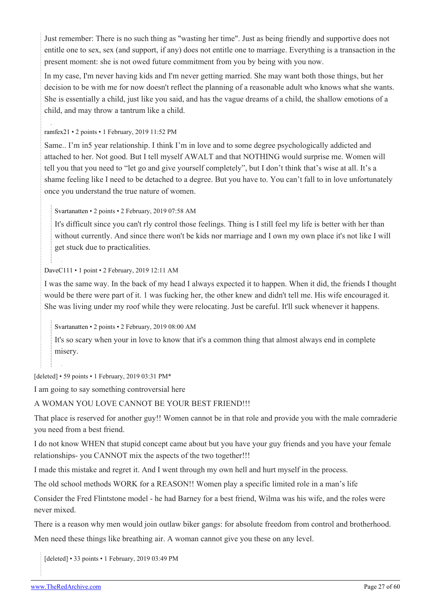Just remember: There is no such thing as "wasting her time". Just as being friendly and supportive does not entitle one to sex, sex (and support, if any) does not entitle one to marriage. Everything is a transaction in the present moment: she is not owed future commitment from you by being with you now.

In my case, I'm never having kids and I'm never getting married. She may want both those things, but her decision to be with me for now doesn't reflect the planning of a reasonable adult who knows what she wants. She is essentially a child, just like you said, and has the vague dreams of a child, the shallow emotions of a child, and may throw a tantrum like a child.

[ramfex21](https://old.reddit.com/user/ramfex21) • 2 points • 1 February, 2019 11:52 PM

Same.. I'm in5 year relationship. I think I'm in love and to some degree psychologically addicted and attached to her. Not good. But I tell myself AWALT and that NOTHING would surprise me. Women will tell you that you need to "let go and give yourself completely", but I don't think that's wise at all. It's a shame feeling like I need to be detached to a degree. But you have to. You can't fall to in love unfortunately once you understand the true nature of women.

[Svartanatten](https://old.reddit.com/user/Svartanatten) • 2 points • 2 February, 2019 07:58 AM

It's difficult since you can't rly control those feelings. Thing is I still feel my life is better with her than without currently. And since there won't be kids nor marriage and I own my own place it's not like I will get stuck due to practicalities.

[DaveC111](https://old.reddit.com/user/DaveC111) • 1 point • 2 February, 2019 12:11 AM

I was the same way. In the back of my head I always expected it to happen. When it did, the friends I thought would be there were part of it. 1 was fucking her, the other knew and didn't tell me. His wife encouraged it. She was living under my roof while they were relocating. Just be careful. It'll suck whenever it happens.

[Svartanatten](https://old.reddit.com/user/Svartanatten) • 2 points • 2 February, 2019 08:00 AM

It's so scary when your in love to know that it's a common thing that almost always end in complete misery.

[deleted] • 59 points • 1 February, 2019 03:31 PM\*

I am going to say something controversial here

#### A WOMAN YOU LOVE CANNOT BE YOUR BEST FRIEND!!!

That place is reserved for another guy!! Women cannot be in that role and provide you with the male comraderie you need from a best friend.

I do not know WHEN that stupid concept came about but you have your guy friends and you have your female relationships- you CANNOT mix the aspects of the two together!!!

I made this mistake and regret it. And I went through my own hell and hurt myself in the process.

The old school methods WORK for a REASON!! Women play a specific limited role in a man's life

Consider the Fred Flintstone model - he had Barney for a best friend, Wilma was his wife, and the roles were never mixed.

There is a reason why men would join outlaw biker gangs: for absolute freedom from control and brotherhood. Men need these things like breathing air. A woman cannot give you these on any level.

[deleted] • 33 points • 1 February, 2019 03:49 PM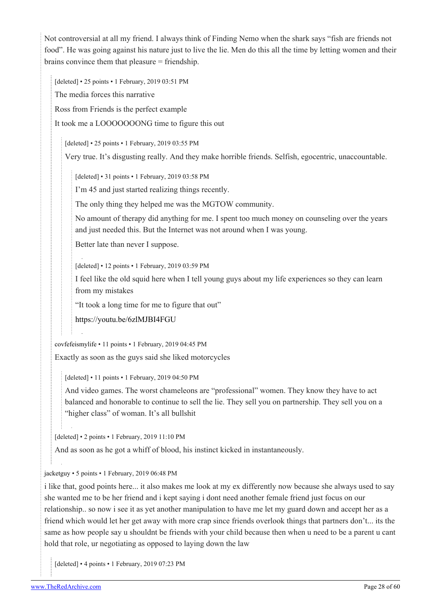Not controversial at all my friend. I always think of Finding Nemo when the shark says "fish are friends not food". He was going against his nature just to live the lie. Men do this all the time by letting women and their brains convince them that pleasure = friendship.

[deleted] • 25 points • 1 February, 2019 03:51 PM The media forces this narrative Ross from Friends is the perfect example It took me a LOOOOOOONG time to figure this out

[deleted] • 25 points • 1 February, 2019 03:55 PM

Very true. It's disgusting really. And they make horrible friends. Selfish, egocentric, unaccountable.

[deleted] • 31 points • 1 February, 2019 03:58 PM

I'm 45 and just started realizing things recently.

The only thing they helped me was the MGTOW community.

No amount of therapy did anything for me. I spent too much money on counseling over the years and just needed this. But the Internet was not around when I was young.

Better late than never I suppose.

[deleted] • 12 points • 1 February, 2019 03:59 PM

I feel like the old squid here when I tell young guys about my life experiences so they can learn from my mistakes

"It took a long time for me to figure that out"

<https://youtu.be/6zlMJBI4FGU>

[covfefeismylife](https://old.reddit.com/user/covfefeismylife) • 11 points • 1 February, 2019 04:45 PM

Exactly as soon as the guys said she liked motorcycles

[deleted] • 11 points • 1 February, 2019 04:50 PM

And video games. The worst chameleons are "professional" women. They know they have to act balanced and honorable to continue to sell the lie. They sell you on partnership. They sell you on a "higher class" of woman. It's all bullshit

[deleted] • 2 points • 1 February, 2019 11:10 PM

And as soon as he got a whiff of blood, his instinct kicked in instantaneously.

[jacketguy](https://old.reddit.com/user/jacketguy) • 5 points • 1 February, 2019 06:48 PM

i like that, good points here... it also makes me look at my ex differently now because she always used to say she wanted me to be her friend and i kept saying i dont need another female friend just focus on our relationship.. so now i see it as yet another manipulation to have me let my guard down and accept her as a friend which would let her get away with more crap since friends overlook things that partners don't... its the same as how people say u shouldnt be friends with your child because then when u need to be a parent u cant hold that role, ur negotiating as opposed to laying down the law

[deleted] • 4 points • 1 February, 2019 07:23 PM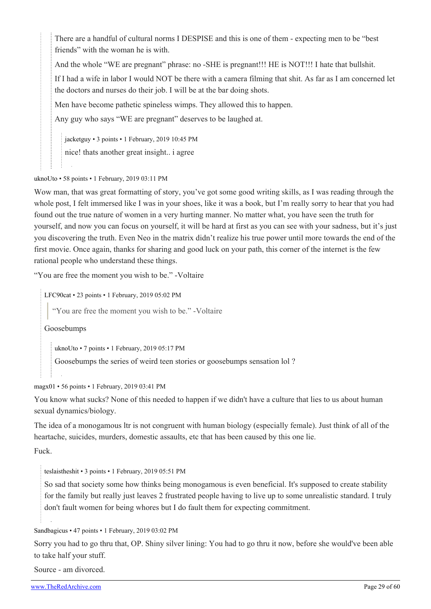There are a handful of cultural norms I DESPISE and this is one of them - expecting men to be "best friends" with the woman he is with.

And the whole "WE are pregnant" phrase: no -SHE is pregnant!!! HE is NOT!!! I hate that bullshit.

If I had a wife in labor I would NOT be there with a camera filming that shit. As far as I am concerned let the doctors and nurses do their job. I will be at the bar doing shots.

Men have become pathetic spineless wimps. They allowed this to happen.

Any guy who says "WE are pregnant" deserves to be laughed at.

[jacketguy](https://old.reddit.com/user/jacketguy) • 3 points • 1 February, 2019 10:45 PM nice! thats another great insight.. i agree

[uknoUto](https://old.reddit.com/user/uknoUto) • 58 points • 1 February, 2019 03:11 PM

Wow man, that was great formatting of story, you've got some good writing skills, as I was reading through the whole post, I felt immersed like I was in your shoes, like it was a book, but I'm really sorry to hear that you had found out the true nature of women in a very hurting manner. No matter what, you have seen the truth for yourself, and now you can focus on yourself, it will be hard at first as you can see with your sadness, but it's just you discovering the truth. Even Neo in the matrix didn't realize his true power until more towards the end of the first movie. Once again, thanks for sharing and good luck on your path, this corner of the internet is the few rational people who understand these things.

"You are free the moment you wish to be." -Voltaire

[LFC90cat](https://old.reddit.com/user/LFC90cat) • 23 points • 1 February, 2019 05:02 PM

"You are free the moment you wish to be." -Voltaire

Goosebumps

[uknoUto](https://old.reddit.com/user/uknoUto) • 7 points • 1 February, 2019 05:17 PM

Goosebumps the series of weird teen stories or goosebumps sensation lol ?

[magx01](https://old.reddit.com/user/magx01) • 56 points • 1 February, 2019 03:41 PM

You know what sucks? None of this needed to happen if we didn't have a culture that lies to us about human sexual dynamics/biology.

The idea of a monogamous ltr is not congruent with human biology (especially female). Just think of all of the heartache, suicides, murders, domestic assaults, etc that has been caused by this one lie.

Fuck.

[teslaistheshit](https://old.reddit.com/user/teslaistheshit) • 3 points • 1 February, 2019 05:51 PM

So sad that society some how thinks being monogamous is even beneficial. It's supposed to create stability for the family but really just leaves 2 frustrated people having to live up to some unrealistic standard. I truly don't fault women for being whores but I do fault them for expecting commitment.

[Sandbagicus](https://old.reddit.com/user/Sandbagicus) • 47 points • 1 February, 2019 03:02 PM

Sorry you had to go thru that, OP. Shiny silver lining: You had to go thru it now, before she would've been able to take half your stuff.

Source - am divorced.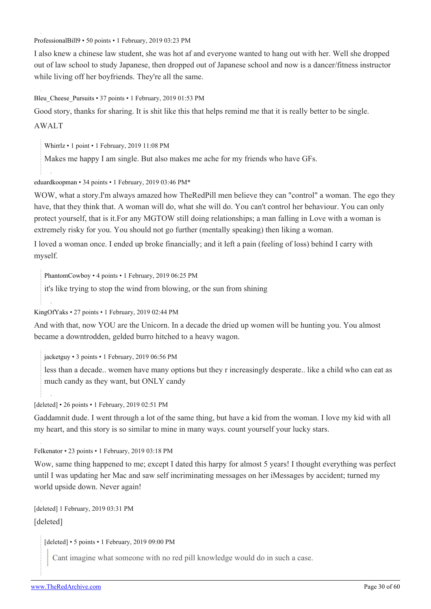[ProfessionalBill9](https://old.reddit.com/user/ProfessionalBill9) • 50 points • 1 February, 2019 03:23 PM

I also knew a chinese law student, she was hot af and everyone wanted to hang out with her. Well she dropped out of law school to study Japanese, then dropped out of Japanese school and now is a dancer/fitness instructor while living off her boyfriends. They're all the same.

Bleu Cheese Pursuits • 37 points • 1 February, 2019 01:53 PM

Good story, thanks for sharing. It is shit like this that helps remind me that it is really better to be single.

#### AWALT

[Whirrlz](https://old.reddit.com/user/Whirrlz) • 1 point • 1 February, 2019 11:08 PM

Makes me happy I am single. But also makes me ache for my friends who have GFs.

#### [eduardkoopman](https://old.reddit.com/user/eduardkoopman) • 34 points • 1 February, 2019 03:46 PM\*

WOW, what a story.I'm always amazed how TheRedPill men believe they can "control" a woman. The ego they have, that they think that. A woman will do, what she will do. You can't control her behaviour. You can only protect yourself, that is it.For any MGTOW still doing relationships; a man falling in Love with a woman is extremely risky for you. You should not go further (mentally speaking) then liking a woman.

I loved a woman once. I ended up broke financially; and it left a pain (feeling of loss) behind I carry with myself.

[PhantomCowboy](https://old.reddit.com/user/PhantomCowboy) • 4 points • 1 February, 2019 06:25 PM

it's like trying to stop the wind from blowing, or the sun from shining

[KingOfYaks](https://old.reddit.com/user/KingOfYaks) • 27 points • 1 February, 2019 02:44 PM

And with that, now YOU are the Unicorn. In a decade the dried up women will be hunting you. You almost became a downtrodden, gelded burro hitched to a heavy wagon.

[jacketguy](https://old.reddit.com/user/jacketguy) • 3 points • 1 February, 2019 06:56 PM

less than a decade.. women have many options but they r increasingly desperate.. like a child who can eat as much candy as they want, but ONLY candy

[deleted] • 26 points • 1 February, 2019 02:51 PM

Gaddamnit dude. I went through a lot of the same thing, but have a kid from the woman. I love my kid with all my heart, and this story is so similar to mine in many ways. count yourself your lucky stars.

[Felkenator](https://old.reddit.com/user/Felkenator) • 23 points • 1 February, 2019 03:18 PM

Wow, same thing happened to me; except I dated this harpy for almost 5 years! I thought everything was perfect until I was updating her Mac and saw self incriminating messages on her iMessages by accident; turned my world upside down. Never again!

[deleted] 1 February, 2019 03:31 PM [deleted]

[deleted] • 5 points • 1 February, 2019 09:00 PM

Cant imagine what someone with no red pill knowledge would do in such a case.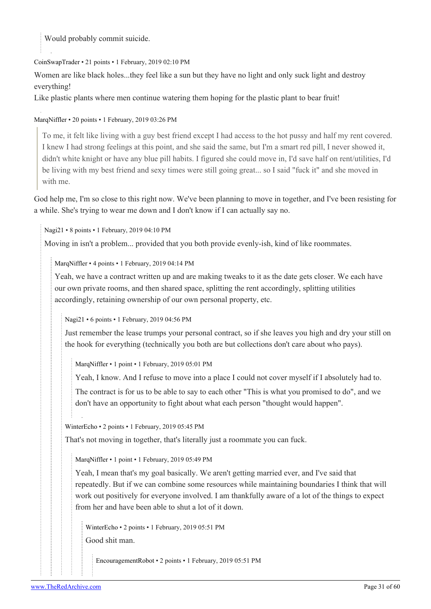Would probably commit suicide.

#### [CoinSwapTrader](https://old.reddit.com/user/CoinSwapTrader) • 21 points • 1 February, 2019 02:10 PM

Women are like black holes...they feel like a sun but they have no light and only suck light and destroy everything!

Like plastic plants where men continue watering them hoping for the plastic plant to bear fruit!

#### [MarqNiffler](https://old.reddit.com/user/MarqNiffler) • 20 points • 1 February, 2019 03:26 PM

To me, it felt like living with a guy best friend except I had access to the hot pussy and half my rent covered. I knew I had strong feelings at this point, and she said the same, but I'm a smart red pill, I never showed it, didn't white knight or have any blue pill habits. I figured she could move in, I'd save half on rent/utilities, I'd be living with my best friend and sexy times were still going great... so I said "fuck it" and she moved in with me.

God help me, I'm so close to this right now. We've been planning to move in together, and I've been resisting for a while. She's trying to wear me down and I don't know if I can actually say no.

[Nagi21](https://old.reddit.com/user/Nagi21) • 8 points • 1 February, 2019 04:10 PM

Moving in isn't a problem... provided that you both provide evenly-ish, kind of like roommates.

[MarqNiffler](https://old.reddit.com/user/MarqNiffler) • 4 points • 1 February, 2019 04:14 PM

Yeah, we have a contract written up and are making tweaks to it as the date gets closer. We each have our own private rooms, and then shared space, splitting the rent accordingly, splitting utilities accordingly, retaining ownership of our own personal property, etc.

[Nagi21](https://old.reddit.com/user/Nagi21) • 6 points • 1 February, 2019 04:56 PM

Just remember the lease trumps your personal contract, so if she leaves you high and dry your still on the hook for everything (technically you both are but collections don't care about who pays).

[MarqNiffler](https://old.reddit.com/user/MarqNiffler) • 1 point • 1 February, 2019 05:01 PM

Yeah, I know. And I refuse to move into a place I could not cover myself if I absolutely had to.

The contract is for us to be able to say to each other "This is what you promised to do", and we don't have an opportunity to fight about what each person "thought would happen".

[WinterEcho](https://old.reddit.com/user/WinterEcho) • 2 points • 1 February, 2019 05:45 PM

That's not moving in together, that's literally just a roommate you can fuck.

[MarqNiffler](https://old.reddit.com/user/MarqNiffler) • 1 point • 1 February, 2019 05:49 PM

Yeah, I mean that's my goal basically. We aren't getting married ever, and I've said that repeatedly. But if we can combine some resources while maintaining boundaries I think that will work out positively for everyone involved. I am thankfully aware of a lot of the things to expect from her and have been able to shut a lot of it down.

[WinterEcho](https://old.reddit.com/user/WinterEcho) • 2 points • 1 February, 2019 05:51 PM Good shit man.

[EncouragementRobot](https://old.reddit.com/user/EncouragementRobot) • 2 points • 1 February, 2019 05:51 PM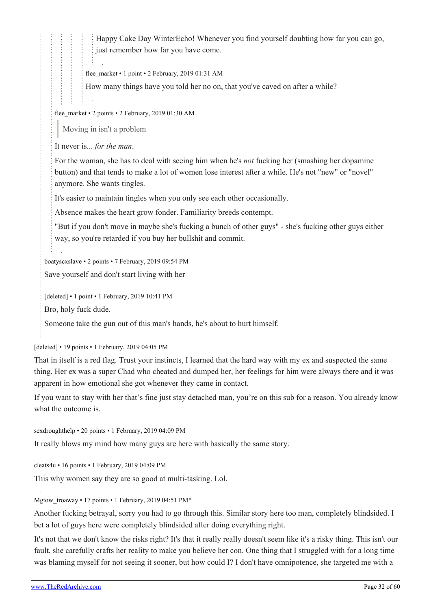Happy Cake Day WinterEcho! Whenever you find yourself doubting how far you can go, just remember how far you have come.

[flee\\_market](https://old.reddit.com/user/flee_market) • 1 point • 2 February, 2019 01:31 AM

How many things have you told her no on, that you've caved on after a while?

[flee\\_market](https://old.reddit.com/user/flee_market) • 2 points • 2 February, 2019 01:30 AM

Moving in isn't a problem

It never is... *for the man*.

For the woman, she has to deal with seeing him when he's *not* fucking her (smashing her dopamine button) and that tends to make a lot of women lose interest after a while. He's not "new" or "novel" anymore. She wants tingles.

It's easier to maintain tingles when you only see each other occasionally.

Absence makes the heart grow fonder. Familiarity breeds contempt.

"But if you don't move in maybe she's fucking a bunch of other guys" - she's fucking other guys either way, so you're retarded if you buy her bullshit and commit.

[boatyscxslave](https://old.reddit.com/user/boatyscxslave) • 2 points • 7 February, 2019 09:54 PM

Save yourself and don't start living with her

[deleted] • 1 point • 1 February, 2019 10:41 PM

Bro, holy fuck dude.

Someone take the gun out of this man's hands, he's about to hurt himself.

[deleted] • 19 points • 1 February, 2019 04:05 PM

That in itself is a red flag. Trust your instincts, I learned that the hard way with my ex and suspected the same thing. Her ex was a super Chad who cheated and dumped her, her feelings for him were always there and it was apparent in how emotional she got whenever they came in contact.

If you want to stay with her that's fine just stay detached man, you're on this sub for a reason. You already know what the outcome is.

[sexdroughthelp](https://old.reddit.com/user/sexdroughthelp) • 20 points • 1 February, 2019 04:09 PM

It really blows my mind how many guys are here with basically the same story.

[cleats4u](https://old.reddit.com/user/cleats4u) • 16 points • 1 February, 2019 04:09 PM

This why women say they are so good at multi-tasking. Lol.

[Mgtow\\_troaway](https://old.reddit.com/user/Mgtow_troaway) • 17 points • 1 February, 2019 04:51 PM\*

Another fucking betrayal, sorry you had to go through this. Similar story here too man, completely blindsided. I bet a lot of guys here were completely blindsided after doing everything right.

It's not that we don't know the risks right? It's that it really really doesn't seem like it's a risky thing. This isn't our fault, she carefully crafts her reality to make you believe her con. One thing that I struggled with for a long time was blaming myself for not seeing it sooner, but how could I? I don't have omnipotence, she targeted me with a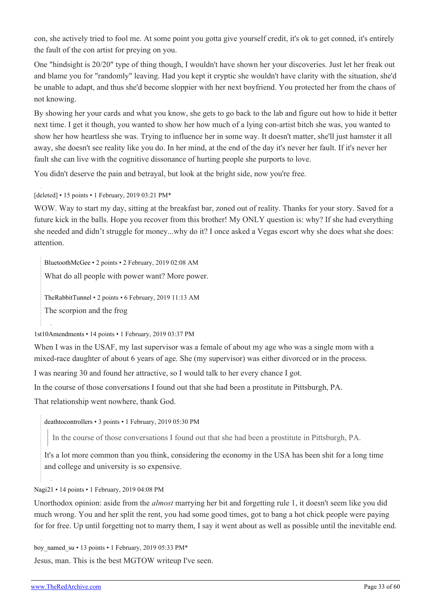con, she actively tried to fool me. At some point you gotta give yourself credit, it's ok to get conned, it's entirely the fault of the con artist for preying on you.

One "hindsight is 20/20" type of thing though, I wouldn't have shown her your discoveries. Just let her freak out and blame you for "randomly" leaving. Had you kept it cryptic she wouldn't have clarity with the situation, she'd be unable to adapt, and thus she'd become sloppier with her next boyfriend. You protected her from the chaos of not knowing.

By showing her your cards and what you know, she gets to go back to the lab and figure out how to hide it better next time. I get it though, you wanted to show her how much of a lying con-artist bitch she was, you wanted to show her how heartless she was. Trying to influence her in some way. It doesn't matter, she'll just hamster it all away, she doesn't see reality like you do. In her mind, at the end of the day it's never her fault. If it's never her fault she can live with the cognitive dissonance of hurting people she purports to love.

You didn't deserve the pain and betrayal, but look at the bright side, now you're free.

[deleted] • 15 points • 1 February, 2019 03:21 PM\*

WOW. Way to start my day, sitting at the breakfast bar, zoned out of reality. Thanks for your story. Saved for a future kick in the balls. Hope you recover from this brother! My ONLY question is: why? If she had everything she needed and didn't struggle for money...why do it? I once asked a Vegas escort why she does what she does: attention.

[BluetoothMcGee](https://old.reddit.com/user/BluetoothMcGee) • 2 points • 2 February, 2019 02:08 AM What do all people with power want? More power. [TheRabbitTunnel](https://old.reddit.com/user/TheRabbitTunnel) • 2 points • 6 February, 2019 11:13 AM The scorpion and the frog

[1st10Amendments](https://old.reddit.com/user/1st10Amendments) • 14 points • 1 February, 2019 03:37 PM

When I was in the USAF, my last supervisor was a female of about my age who was a single mom with a mixed-race daughter of about 6 years of age. She (my supervisor) was either divorced or in the process.

I was nearing 30 and found her attractive, so I would talk to her every chance I got.

In the course of those conversations I found out that she had been a prostitute in Pittsburgh, PA.

That relationship went nowhere, thank God.

[deathtocontrollers](https://old.reddit.com/user/deathtocontrollers) • 3 points • 1 February, 2019 05:30 PM

In the course of those conversations I found out that she had been a prostitute in Pittsburgh, PA.

It's a lot more common than you think, considering the economy in the USA has been shit for a long time and college and university is so expensive.

[Nagi21](https://old.reddit.com/user/Nagi21) • 14 points • 1 February, 2019 04:08 PM

Unorthodox opinion: aside from the *almost* marrying her bit and forgetting rule 1, it doesn't seem like you did much wrong. You and her split the rent, you had some good times, got to bang a hot chick people were paying for for free. Up until forgetting not to marry them, I say it went about as well as possible until the inevitable end.

boy named su • 13 points • 1 February, 2019 05:33 PM\*

Jesus, man. This is the best MGTOW writeup I've seen.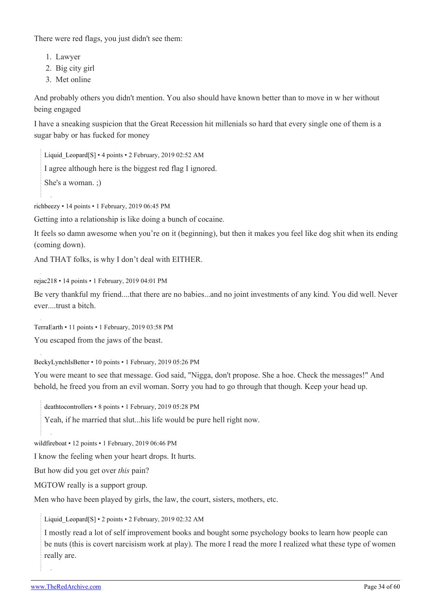There were red flags, you just didn't see them:

- 1. Lawyer
- 2. Big city girl
- 3. Met online

And probably others you didn't mention. You also should have known better than to move in w her without being engaged

I have a sneaking suspicion that the Great Recession hit millenials so hard that every single one of them is a sugar baby or has fucked for money

Liquid Leopard[\[S\]](https://theredarchive.com/r/MGTOW/comments/am1u3l/how_my_fully_vetted_carefully_screened_law/) • 4 points • 2 February, 2019 02:52 AM

I agree although here is the biggest red flag I ignored.

She's a woman. ;)

[richbeezy](https://old.reddit.com/user/richbeezy) • 14 points • 1 February, 2019 06:45 PM

Getting into a relationship is like doing a bunch of cocaine.

It feels so damn awesome when you're on it (beginning), but then it makes you feel like dog shit when its ending (coming down).

And THAT folks, is why I don't deal with EITHER.

[rejac218](https://old.reddit.com/user/rejac218) • 14 points • 1 February, 2019 04:01 PM

Be very thankful my friend....that there are no babies...and no joint investments of any kind. You did well. Never ever....trust a bitch.

[TerraEarth](https://old.reddit.com/user/TerraEarth) • 11 points • 1 February, 2019 03:58 PM

You escaped from the jaws of the beast.

[BeckyLynchIsBetter](https://old.reddit.com/user/BeckyLynchIsBetter) • 10 points • 1 February, 2019 05:26 PM

You were meant to see that message. God said, "Nigga, don't propose. She a hoe. Check the messages!" And behold, he freed you from an evil woman. Sorry you had to go through that though. Keep your head up.

[deathtocontrollers](https://old.reddit.com/user/deathtocontrollers) • 8 points • 1 February, 2019 05:28 PM

Yeah, if he married that slut...his life would be pure hell right now.

[wildfireboat](https://old.reddit.com/user/wildfireboat) • 12 points • 1 February, 2019 06:46 PM

I know the feeling when your heart drops. It hurts.

But how did you get over *this* pain?

MGTOW really is a support group.

Men who have been played by girls, the law, the court, sisters, mothers, etc.

Liquid Leopard[\[S\]](https://theredarchive.com/r/MGTOW/comments/am1u3l/how_my_fully_vetted_carefully_screened_law/) • 2 points • 2 February, 2019 02:32 AM

I mostly read a lot of self improvement books and bought some psychology books to learn how people can be nuts (this is covert narcisism work at play). The more I read the more I realized what these type of women really are.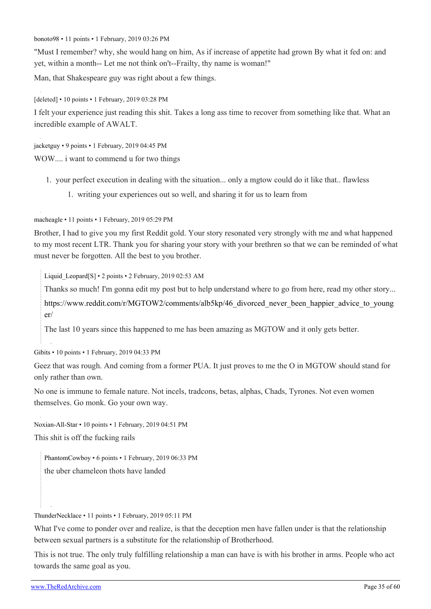[bonoto98](https://old.reddit.com/user/bonoto98) • 11 points • 1 February, 2019 03:26 PM

"Must I remember? why, she would hang on him, As if increase of appetite had grown By what it fed on: and yet, within a month-- Let me not think on't--Frailty, thy name is woman!"

Man, that Shakespeare guy was right about a few things.

[deleted] • 10 points • 1 February, 2019 03:28 PM

I felt your experience just reading this shit. Takes a long ass time to recover from something like that. What an incredible example of AWALT.

[jacketguy](https://old.reddit.com/user/jacketguy) • 9 points • 1 February, 2019 04:45 PM WOW.... i want to commend u for two things

- 1. your perfect execution in dealing with the situation... only a mgtow could do it like that.. flawless
	- 1. writing your experiences out so well, and sharing it for us to learn from

[macheagle](https://old.reddit.com/user/macheagle) • 11 points • 1 February, 2019 05:29 PM

Brother, I had to give you my first Reddit gold. Your story resonated very strongly with me and what happened to my most recent LTR. Thank you for sharing your story with your brethren so that we can be reminded of what must never be forgotten. All the best to you brother.

[Liquid\\_Leopard](https://old.reddit.com/user/Liquid_Leopard)[\[S\]](https://theredarchive.com/r/MGTOW/comments/am1u3l/how_my_fully_vetted_carefully_screened_law/) • 2 points • 2 February, 2019 02:53 AM

Thanks so much! I'm gonna edit my post but to help understand where to go from here, read my other story...

[https://www.reddit.com/r/MGTOW2/comments/alb5kp/46\\_divorced\\_never\\_been\\_happier\\_advice\\_to\\_young](https://www.reddit.com/r/MGTOW2/comments/alb5kp/46_divorced_never_been_happier_advice_to_younger/) [er/](https://www.reddit.com/r/MGTOW2/comments/alb5kp/46_divorced_never_been_happier_advice_to_younger/)

The last 10 years since this happened to me has been amazing as MGTOW and it only gets better.

[Gibits](https://old.reddit.com/user/Gibits) • 10 points • 1 February, 2019 04:33 PM

Geez that was rough. And coming from a former PUA. It just proves to me the O in MGTOW should stand for only rather than own.

No one is immune to female nature. Not incels, tradcons, betas, alphas, Chads, Tyrones. Not even women themselves. Go monk. Go your own way.

[Noxian-All-Star](https://old.reddit.com/user/Noxian-All-Star) • 10 points • 1 February, 2019 04:51 PM

This shit is off the fucking rails

[PhantomCowboy](https://old.reddit.com/user/PhantomCowboy) • 6 points • 1 February, 2019 06:33 PM the uber chameleon thots have landed

[ThunderNecklace](https://old.reddit.com/user/ThunderNecklace) • 11 points • 1 February, 2019 05:11 PM

What I've come to ponder over and realize, is that the deception men have fallen under is that the relationship between sexual partners is a substitute for the relationship of Brotherhood.

This is not true. The only truly fulfilling relationship a man can have is with his brother in arms. People who act towards the same goal as you.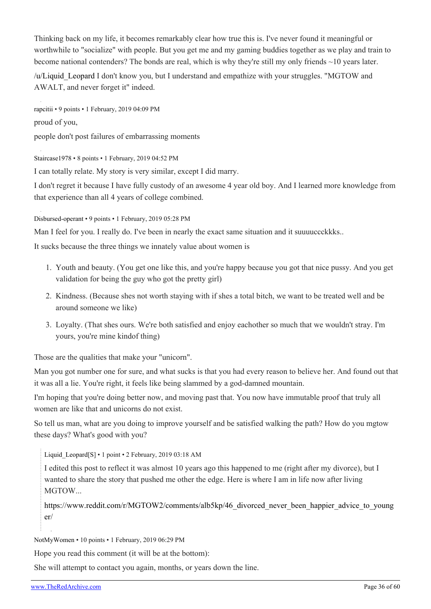Thinking back on my life, it becomes remarkably clear how true this is. I've never found it meaningful or worthwhile to "socialize" with people. But you get me and my gaming buddies together as we play and train to become national contenders? The bonds are real, which is why they're still my only friends  $\sim$ 10 years later.

[/u/Liquid\\_Leopard](https://theredarchive.com/u/Liquid_Leopard) I don't know you, but I understand and empathize with your struggles. "MGTOW and AWALT, and never forget it" indeed.

[rapcitii](https://old.reddit.com/user/rapcitii) • 9 points • 1 February, 2019 04:09 PM proud of you, people don't post failures of embarrassing moments

[Staircase1978](https://old.reddit.com/user/Staircase1978) • 8 points • 1 February, 2019 04:52 PM

I can totally relate. My story is very similar, except I did marry.

I don't regret it because I have fully custody of an awesome 4 year old boy. And I learned more knowledge from that experience than all 4 years of college combined.

[Disbursed-operant](https://old.reddit.com/user/Disbursed-operant) • 9 points • 1 February, 2019 05:28 PM

Man I feel for you. I really do. I've been in nearly the exact same situation and it suuuuccckkks..

It sucks because the three things we innately value about women is

- 1. Youth and beauty. (You get one like this, and you're happy because you got that nice pussy. And you get validation for being the guy who got the pretty girl)
- 2. Kindness. (Because shes not worth staying with if shes a total bitch, we want to be treated well and be around someone we like)
- 3. Loyalty. (That shes ours. We're both satisfied and enjoy eachother so much that we wouldn't stray. I'm yours, you're mine kindof thing)

Those are the qualities that make your "unicorn".

Man you got number one for sure, and what sucks is that you had every reason to believe her. And found out that it was all a lie. You're right, it feels like being slammed by a god-damned mountain.

I'm hoping that you're doing better now, and moving past that. You now have immutable proof that truly all women are like that and unicorns do not exist.

So tell us man, what are you doing to improve yourself and be satisfied walking the path? How do you mgtow these days? What's good with you?

Liquid Leopard[\[S\]](https://theredarchive.com/r/MGTOW/comments/am1u3l/how_my_fully_vetted_carefully_screened_law/) • 1 point • 2 February, 2019 03:18 AM

I edited this post to reflect it was almost 10 years ago this happened to me (right after my divorce), but I wanted to share the story that pushed me other the edge. Here is where I am in life now after living MGTOW...

[https://www.reddit.com/r/MGTOW2/comments/alb5kp/46\\_divorced\\_never\\_been\\_happier\\_advice\\_to\\_young](https://www.reddit.com/r/MGTOW2/comments/alb5kp/46_divorced_never_been_happier_advice_to_younger/) [er/](https://www.reddit.com/r/MGTOW2/comments/alb5kp/46_divorced_never_been_happier_advice_to_younger/)

[NotMyWomen](https://old.reddit.com/user/NotMyWomen) • 10 points • 1 February, 2019 06:29 PM

Hope you read this comment (it will be at the bottom):

She will attempt to contact you again, months, or years down the line.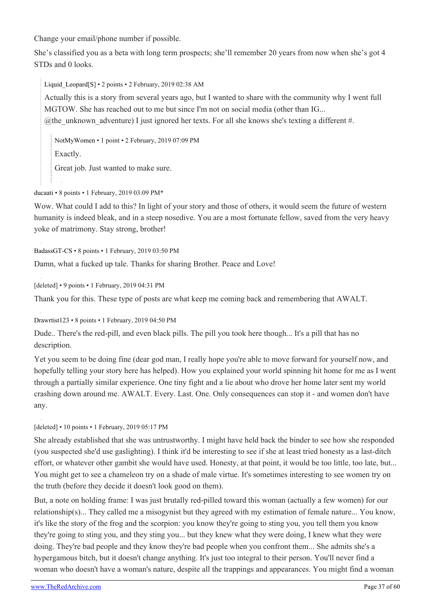Change your email/phone number if possible.

She's classified you as a beta with long term prospects; she'll remember 20 years from now when she's got 4 STDs and 0 looks.

Liquid Leopard[\[S\]](https://theredarchive.com/r/MGTOW/comments/am1u3l/how_my_fully_vetted_carefully_screened_law/) • 2 points • 2 February, 2019 02:38 AM

Actually this is a story from several years ago, but I wanted to share with the community why I went full MGTOW. She has reached out to me but since I'm not on social media (other than IG... @the\_unknown\_adventure) I just ignored her texts. For all she knows she's texting a different #.

[NotMyWomen](https://old.reddit.com/user/NotMyWomen) • 1 point • 2 February, 2019 07:09 PM

Exactly.

Great job. Just wanted to make sure.

[ducaati](https://old.reddit.com/user/ducaati) • 8 points • 1 February, 2019 03:09 PM\*

Wow. What could I add to this? In light of your story and those of others, it would seem the future of western humanity is indeed bleak, and in a steep nosedive. You are a most fortunate fellow, saved from the very heavy yoke of matrimony. Stay strong, brother!

[BadassGT-CS](https://old.reddit.com/user/BadassGT-CS) • 8 points • 1 February, 2019 03:50 PM

Damn, what a fucked up tale. Thanks for sharing Brother. Peace and Love!

[deleted] • 9 points • 1 February, 2019 04:31 PM

Thank you for this. These type of posts are what keep me coming back and remembering that AWALT.

[Drawrtist123](https://old.reddit.com/user/Drawrtist123) • 8 points • 1 February, 2019 04:50 PM

Dude.. There's the red-pill, and even black pills. The pill you took here though... It's a pill that has no description.

Yet you seem to be doing fine (dear god man, I really hope you're able to move forward for yourself now, and hopefully telling your story here has helped). How you explained your world spinning hit home for me as I went through a partially similar experience. One tiny fight and a lie about who drove her home later sent my world crashing down around me. AWALT. Every. Last. One. Only consequences can stop it - and women don't have any.

#### [deleted] • 10 points • 1 February, 2019 05:17 PM

She already established that she was untrustworthy. I might have held back the binder to see how she responded (you suspected she'd use gaslighting). I think it'd be interesting to see if she at least tried honesty as a last-ditch effort, or whatever other gambit she would have used. Honesty, at that point, it would be too little, too late, but... You might get to see a chameleon try on a shade of male virtue. It's sometimes interesting to see women try on the truth (before they decide it doesn't look good on them).

But, a note on holding frame: I was just brutally red-pilled toward this woman (actually a few women) for our relationship(s)... They called me a misogynist but they agreed with my estimation of female nature... You know, it's like the story of the frog and the scorpion: you know they're going to sting you, you tell them you know they're going to sting you, and they sting you... but they knew what they were doing, I knew what they were doing. They're bad people and they know they're bad people when you confront them... She admits she's a hypergamous bitch, but it doesn't change anything. It's just too integral to their person. You'll never find a woman who doesn't have a woman's nature, despite all the trappings and appearances. You might find a woman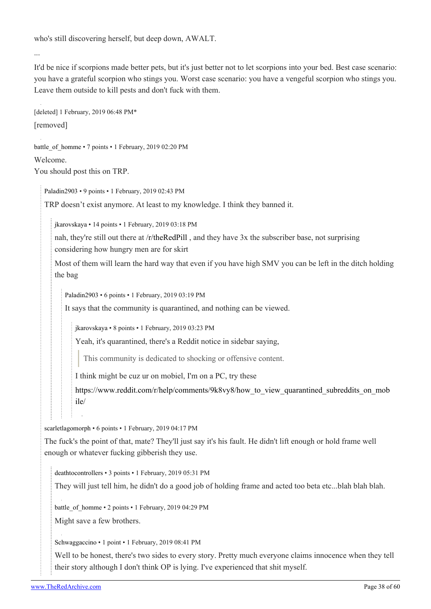who's still discovering herself, but deep down, AWALT.

...

It'd be nice if scorpions made better pets, but it's just better not to let scorpions into your bed. Best case scenario: you have a grateful scorpion who stings you. Worst case scenario: you have a vengeful scorpion who stings you. Leave them outside to kill pests and don't fuck with them.

[deleted] 1 February, 2019 06:48 PM\* [removed]

[battle\\_of\\_homme](https://old.reddit.com/user/battle_of_homme) • 7 points • 1 February, 2019 02:20 PM

Welcome.

You should post this on TRP.

[Paladin2903](https://old.reddit.com/user/Paladin2903) • 9 points • 1 February, 2019 02:43 PM

TRP doesn't exist anymore. At least to my knowledge. I think they banned it.

[jkarovskaya](https://old.reddit.com/user/jkarovskaya) • 14 points • 1 February, 2019 03:18 PM

nah, they're still out there at [/r/theRedPill](https://theredarchive.com/r/theRedPill) , and they have 3x the subscriber base, not surprising considering how hungry men are for skirt

Most of them will learn the hard way that even if you have high SMV you can be left in the ditch holding the bag

[Paladin2903](https://old.reddit.com/user/Paladin2903) • 6 points • 1 February, 2019 03:19 PM

It says that the community is quarantined, and nothing can be viewed.

[jkarovskaya](https://old.reddit.com/user/jkarovskaya) • 8 points • 1 February, 2019 03:23 PM

Yeah, it's quarantined, there's a Reddit notice in sidebar saying,

This community is dedicated to shocking or offensive content.

I think might be cuz ur on mobiel, I'm on a PC, try these

https://www.reddit.com/r/help/comments/9k8vy8/how to view quarantined subreddits on mob [ile/](https://www.reddit.com/r/help/comments/9k8vy8/how_to_view_quarantined_subreddits_on_mobile/)

[scarletlagomorph](https://old.reddit.com/user/scarletlagomorph) • 6 points • 1 February, 2019 04:17 PM

The fuck's the point of that, mate? They'll just say it's his fault. He didn't lift enough or hold frame well enough or whatever fucking gibberish they use.

[deathtocontrollers](https://old.reddit.com/user/deathtocontrollers) • 3 points • 1 February, 2019 05:31 PM

They will just tell him, he didn't do a good job of holding frame and acted too beta etc...blah blah blah.

[battle\\_of\\_homme](https://old.reddit.com/user/battle_of_homme) • 2 points • 1 February, 2019 04:29 PM

Might save a few brothers.

[Schwaggaccino](https://old.reddit.com/user/Schwaggaccino) • 1 point • 1 February, 2019 08:41 PM

Well to be honest, there's two sides to every story. Pretty much everyone claims innocence when they tell their story although I don't think OP is lying. I've experienced that shit myself.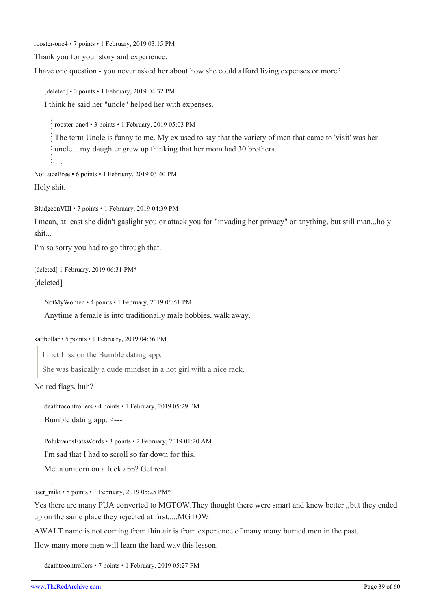[rooster-one4](https://old.reddit.com/user/rooster-one4) • 7 points • 1 February, 2019 03:15 PM

Thank you for your story and experience.

I have one question - you never asked her about how she could afford living expenses or more?

[deleted] • 3 points • 1 February, 2019 04:32 PM I think he said her "uncle" helped her with expenses.

[rooster-one4](https://old.reddit.com/user/rooster-one4) • 3 points • 1 February, 2019 05:03 PM

The term Uncle is funny to me. My ex used to say that the variety of men that came to 'visit' was her uncle....my daughter grew up thinking that her mom had 30 brothers.

[NotLuceBree](https://old.reddit.com/user/NotLuceBree) • 6 points • 1 February, 2019 03:40 PM Holy shit.

[BludgeonVIII](https://old.reddit.com/user/BludgeonVIII) • 7 points • 1 February, 2019 04:39 PM

I mean, at least she didn't gaslight you or attack you for "invading her privacy" or anything, but still man...holy shit...

I'm so sorry you had to go through that.

[deleted] 1 February, 2019 06:31 PM\*

[deleted]

[NotMyWomen](https://old.reddit.com/user/NotMyWomen) • 4 points • 1 February, 2019 06:51 PM

Anytime a female is into traditionally male hobbies, walk away.

[kattbollar](https://old.reddit.com/user/kattbollar) • 5 points • 1 February, 2019 04:36 PM

I met Lisa on the Bumble dating app.

She was basically a dude mindset in a hot girl with a nice rack.

No red flags, huh?

[deathtocontrollers](https://old.reddit.com/user/deathtocontrollers) • 4 points • 1 February, 2019 05:29 PM

Bumble dating app. <---

[PolukranosEatsWords](https://old.reddit.com/user/PolukranosEatsWords) • 3 points • 2 February, 2019 01:20 AM

I'm sad that I had to scroll so far down for this.

Met a unicorn on a fuck app? Get real.

[user\\_miki](https://old.reddit.com/user/user_miki) • 8 points • 1 February, 2019 05:25 PM\*

Yes there are many PUA converted to MGTOW.They thought there were smart and knew better ,,but they ended up on the same place they rejected at first,....MGTOW.

AWALT name is not coming from thin air is from experience of many many burned men in the past.

How many more men will learn the hard way this lesson.

[deathtocontrollers](https://old.reddit.com/user/deathtocontrollers) • 7 points • 1 February, 2019 05:27 PM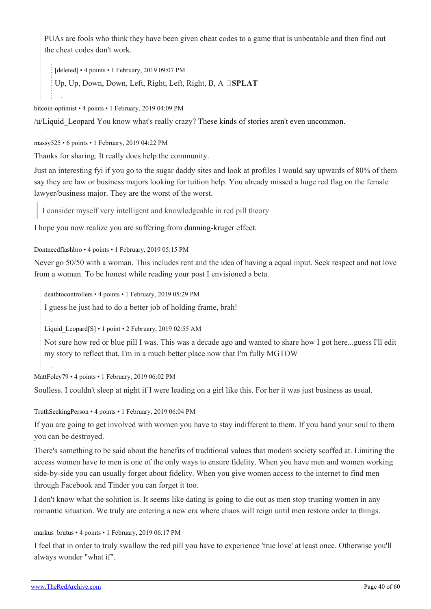PUAs are fools who think they have been given cheat codes to a game that is unbeatable and then find out the cheat codes don't work.

[deleted] • 4 points • 1 February, 2019 09:07 PM Up, Up, Down, Down, Left, Right, Left, Right, B, A **SPLAT** 

[bitcoin-optimist](https://old.reddit.com/user/bitcoin-optimist) • 4 points • 1 February, 2019 04:09 PM

[/u/Liquid\\_Leopard](https://theredarchive.com/u/Liquid_Leopard) You know what's really crazy? [These kinds of stories aren't even uncommon.](https://imgur.com/gallery/yJo7E)

[massy525](https://old.reddit.com/user/massy525) • 6 points • 1 February, 2019 04:22 PM

Thanks for sharing. It really does help the community.

Just an interesting fyi if you go to the sugar daddy sites and look at profiles I would say upwards of 80% of them say they are law or business majors looking for tuition help. You already missed a huge red flag on the female lawyer/business major. They are the worst of the worst.

I consider myself very intelligent and knowledgeable in red pill theory

I hope you now realize you are suffering from [dunning-kruger](https://en.wikipedia.org/wiki/Dunning%E2%80%93Kruger_effect) effect.

[Dontneedflashbro](https://old.reddit.com/user/Dontneedflashbro) • 4 points • 1 February, 2019 05:15 PM

Never go 50/50 with a woman. This includes rent and the idea of having a equal input. Seek respect and not love from a woman. To be honest while reading your post I envisioned a beta.

[deathtocontrollers](https://old.reddit.com/user/deathtocontrollers) • 4 points • 1 February, 2019 05:29 PM

I guess he just had to do a better job of holding frame, brah!

Liquid Leopard[\[S\]](https://theredarchive.com/r/MGTOW/comments/am1u3l/how_my_fully_vetted_carefully_screened_law/) • 1 point • 2 February, 2019 02:55 AM

Not sure how red or blue pill I was. This was a decade ago and wanted to share how I got here...guess I'll edit my story to reflect that. I'm in a much better place now that I'm fully MGTOW

[MattFoley79](https://old.reddit.com/user/MattFoley79) • 4 points • 1 February, 2019 06:02 PM

Soulless. I couldn't sleep at night if I were leading on a girl like this. For her it was just business as usual.

[TruthSeekingPerson](https://old.reddit.com/user/TruthSeekingPerson) • 4 points • 1 February, 2019 06:04 PM

If you are going to get involved with women you have to stay indifferent to them. If you hand your soul to them you can be destroyed.

There's something to be said about the benefits of traditional values that modern society scoffed at. Limiting the access women have to men is one of the only ways to ensure fidelity. When you have men and women working side-by-side you can usually forget about fidelity. When you give women access to the internet to find men through Facebook and Tinder you can forget it too.

I don't know what the solution is. It seems like dating is going to die out as men stop trusting women in any romantic situation. We truly are entering a new era where chaos will reign until men restore order to things.

markus brutus • 4 points • 1 February, 2019 06:17 PM

I feel that in order to truly swallow the red pill you have to experience 'true love' at least once. Otherwise you'll always wonder "what if".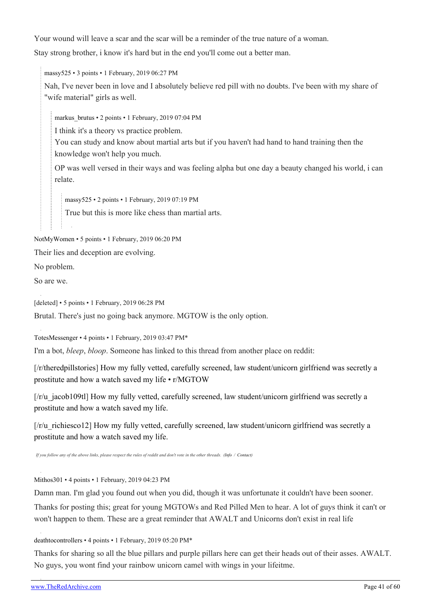Your wound will leave a scar and the scar will be a reminder of the true nature of a woman.

Stay strong brother, i know it's hard but in the end you'll come out a better man.

[massy525](https://old.reddit.com/user/massy525) • 3 points • 1 February, 2019 06:27 PM

Nah, I've never been in love and I absolutely believe red pill with no doubts. I've been with my share of "wife material" girls as well.

markus brutus • 2 points • 1 February, 2019 07:04 PM

I think it's a theory vs practice problem.

You can study and know about martial arts but if you haven't had hand to hand training then the knowledge won't help you much.

OP was well versed in their ways and was feeling alpha but one day a beauty changed his world, i can relate.

[massy525](https://old.reddit.com/user/massy525) • 2 points • 1 February, 2019 07:19 PM

True but this is more like chess than martial arts.

[NotMyWomen](https://old.reddit.com/user/NotMyWomen) • 5 points • 1 February, 2019 06:20 PM

Their lies and deception are evolving.

No problem.

So are we.

[deleted] • 5 points • 1 February, 2019 06:28 PM

Brutal. There's just no going back anymore. MGTOW is the only option.

[TotesMessenger](https://old.reddit.com/user/TotesMessenger) • 4 points • 1 February, 2019 03:47 PM\*

I'm a bot, *bleep*, *bloop*. Someone has linked to this thread from another place on reddit:

[[/r/theredpillstories](https://theredarchive.com/r/theredpillstories)] [How my fully vetted, carefully screened, law student/unicorn girlfriend was secretly a](https://www.reddit.com/r/TheRedPillStories/comments/am3aq0/how_my_fully_vetted_carefully_screened_law/) [prostitute and how a watch saved my life • r/MGTOW](https://www.reddit.com/r/TheRedPillStories/comments/am3aq0/how_my_fully_vetted_carefully_screened_law/)

[[/r/u\\_jacob109tl\]](https://theredarchive.com/r/u_jacob109tl) [How my fully vetted, carefully screened, law student/unicorn girlfriend was secretly a](https://www.reddit.com/r/u_jacob109tl/comments/am5o0o/how_my_fully_vetted_carefully_screened_law/) [prostitute and how a watch saved my life.](https://www.reddit.com/r/u_jacob109tl/comments/am5o0o/how_my_fully_vetted_carefully_screened_law/)

 $\lceil$ [/r/u\\_richiesco12\]](https://theredarchive.com/r/u_richiesco12) [How my fully vetted, carefully screened, law student/unicorn girlfriend was secretly a](https://www.reddit.com/r/u_RICHIESCO12/comments/am7znu/how_my_fully_vetted_carefully_screened_law/) [prostitute and how a watch saved my life.](https://www.reddit.com/r/u_RICHIESCO12/comments/am7znu/how_my_fully_vetted_carefully_screened_law/)

*If you follow any of the above links, please respect the rules of reddit and don't vote in the other threads. ([Info](https://theredarchive.com/r/TotesMessenger) / [Contact](https://theredarchive.com/message/compose?to=/r/TotesMessenger))*

[Mithos301](https://old.reddit.com/user/Mithos301) • 4 points • 1 February, 2019 04:23 PM

Damn man. I'm glad you found out when you did, though it was unfortunate it couldn't have been sooner.

Thanks for posting this; great for young MGTOWs and Red Pilled Men to hear. A lot of guys think it can't or won't happen to them. These are a great reminder that AWALT and Unicorns don't exist in real life

[deathtocontrollers](https://old.reddit.com/user/deathtocontrollers) • 4 points • 1 February, 2019 05:20 PM\*

Thanks for sharing so all the blue pillars and purple pillars here can get their heads out of their asses. AWALT. No guys, you wont find your rainbow unicorn camel with wings in your lifeitme.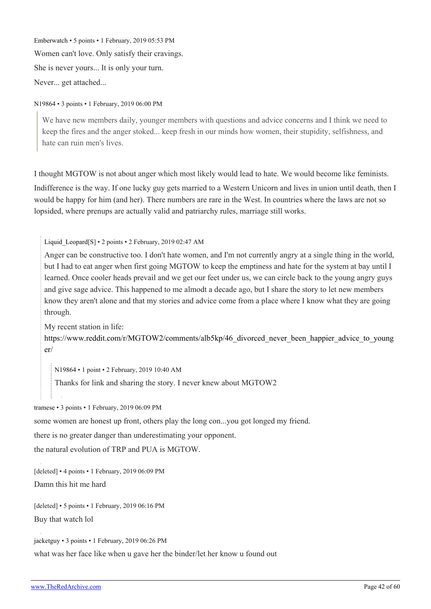[Emberwatch](https://old.reddit.com/user/Emberwatch) • 5 points • 1 February, 2019 05:53 PM Women can't love. Only satisfy their cravings. She is never yours... It is only your turn. Never... get attached...

[N19864](https://old.reddit.com/user/N19864) • 3 points • 1 February, 2019 06:00 PM

We have new members daily, younger members with questions and advice concerns and I think we need to keep the fires and the anger stoked... keep fresh in our minds how women, their stupidity, selfishness, and hate can ruin men's lives.

I thought MGTOW is not about anger which most likely would lead to hate. We would become like feminists.

Indifference is the way. If one lucky guy gets married to a Western Unicorn and lives in union until death, then I would be happy for him (and her). There numbers are rare in the West. In countries where the laws are not so lopsided, where prenups are actually valid and patriarchy rules, marriage still works.

Liquid Leopard[\[S\]](https://theredarchive.com/r/MGTOW/comments/am1u3l/how_my_fully_vetted_carefully_screened_law/) • 2 points • 2 February, 2019 02:47 AM

Anger can be constructive too. I don't hate women, and I'm not currently angry at a single thing in the world, but I had to eat anger when first going MGTOW to keep the emptiness and hate for the system at bay until I learned. Once cooler heads prevail and we get our feet under us, we can circle back to the young angry guys and give sage advice. This happened to me almodt a decade ago, but I share the story to let new members know they aren't alone and that my stories and advice come from a place where I know what they are going through.

My recent station in life:

[https://www.reddit.com/r/MGTOW2/comments/alb5kp/46\\_divorced\\_never\\_been\\_happier\\_advice\\_to\\_young](https://www.reddit.com/r/MGTOW2/comments/alb5kp/46_divorced_never_been_happier_advice_to_younger/) [er/](https://www.reddit.com/r/MGTOW2/comments/alb5kp/46_divorced_never_been_happier_advice_to_younger/)

[N19864](https://old.reddit.com/user/N19864) • 1 point • 2 February, 2019 10:40 AM

Thanks for link and sharing the story. I never knew about MGTOW2

[tramese](https://old.reddit.com/user/tramese) • 3 points • 1 February, 2019 06:09 PM

some women are honest up front, others play the long con...you got longed my friend.

there is no greater danger than underestimating your opponent.

the natural evolution of TRP and PUA is MGTOW.

[deleted] • 4 points • 1 February, 2019 06:09 PM

Damn this hit me hard

[deleted] • 5 points • 1 February, 2019 06:16 PM Buy that watch lol

[jacketguy](https://old.reddit.com/user/jacketguy) • 3 points • 1 February, 2019 06:26 PM what was her face like when u gave her the binder/let her know u found out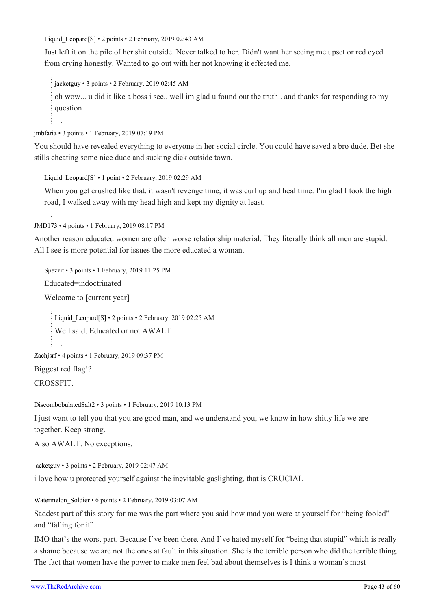Liquid Leopard[\[S\]](https://theredarchive.com/r/MGTOW/comments/am1u3l/how_my_fully_vetted_carefully_screened_law/) • 2 points • 2 February, 2019 02:43 AM

Just left it on the pile of her shit outside. Never talked to her. Didn't want her seeing me upset or red eyed from crying honestly. Wanted to go out with her not knowing it effected me.

[jacketguy](https://old.reddit.com/user/jacketguy) • 3 points • 2 February, 2019 02:45 AM

oh wow... u did it like a boss i see.. well im glad u found out the truth.. and thanks for responding to my question

[jmbfaria](https://old.reddit.com/user/jmbfaria) • 3 points • 1 February, 2019 07:19 PM

You should have revealed everything to everyone in her social circle. You could have saved a bro dude. Bet she stills cheating some nice dude and sucking dick outside town.

Liquid Leopard[\[S\]](https://theredarchive.com/r/MGTOW/comments/am1u3l/how_my_fully_vetted_carefully_screened_law/) • 1 point • 2 February, 2019 02:29 AM

When you get crushed like that, it wasn't revenge time, it was curl up and heal time. I'm glad I took the high road, I walked away with my head high and kept my dignity at least.

[JMD173](https://old.reddit.com/user/JMD173) • 4 points • 1 February, 2019 08:17 PM

Another reason educated women are often worse relationship material. They literally think all men are stupid. All I see is more potential for issues the more educated a woman.

[Spezzit](https://old.reddit.com/user/Spezzit) • 3 points • 1 February, 2019 11:25 PM Educated=indoctrinated Welcome to [current year] Liquid Leopard[[S\]](https://theredarchive.com/r/MGTOW/comments/am1u3l/how_my_fully_vetted_carefully_screened_law/) • 2 points • 2 February, 2019 02:25 AM Well said. Educated or not AWALT

[Zachjsrf](https://old.reddit.com/user/Zachjsrf) • 4 points • 1 February, 2019 09:37 PM

Biggest red flag!?

CROSSFIT.

[DiscombobulatedSalt2](https://old.reddit.com/user/DiscombobulatedSalt2) • 3 points • 1 February, 2019 10:13 PM

I just want to tell you that you are good man, and we understand you, we know in how shitty life we are together. Keep strong.

Also AWALT. No exceptions.

[jacketguy](https://old.reddit.com/user/jacketguy) • 3 points • 2 February, 2019 02:47 AM

i love how u protected yourself against the inevitable gaslighting, that is CRUCIAL

Watermelon Soldier • 6 points • 2 February, 2019 03:07 AM

Saddest part of this story for me was the part where you said how mad you were at yourself for "being fooled" and "falling for it"

IMO that's the worst part. Because I've been there. And I've hated myself for "being that stupid" which is really a shame because we are not the ones at fault in this situation. She is the terrible person who did the terrible thing. The fact that women have the power to make men feel bad about themselves is I think a woman's most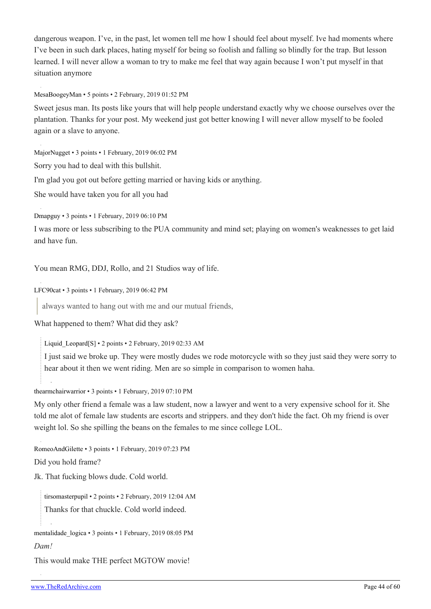dangerous weapon. I've, in the past, let women tell me how I should feel about myself. Ive had moments where I've been in such dark places, hating myself for being so foolish and falling so blindly for the trap. But lesson learned. I will never allow a woman to try to make me feel that way again because I won't put myself in that situation anymore

#### [MesaBoogeyMan](https://old.reddit.com/user/MesaBoogeyMan) • 5 points • 2 February, 2019 01:52 PM

Sweet jesus man. Its posts like yours that will help people understand exactly why we choose ourselves over the plantation. Thanks for your post. My weekend just got better knowing I will never allow myself to be fooled again or a slave to anyone.

[MajorNugget](https://old.reddit.com/user/MajorNugget) • 3 points • 1 February, 2019 06:02 PM

Sorry you had to deal with this bullshit.

I'm glad you got out before getting married or having kids or anything.

She would have taken you for all you had

[Dmapguy](https://old.reddit.com/user/Dmapguy) • 3 points • 1 February, 2019 06:10 PM

I was more or less subscribing to the PUA community and mind set; playing on women's weaknesses to get laid and have fun.

You mean RMG, DDJ, Rollo, and 21 Studios way of life.

[LFC90cat](https://old.reddit.com/user/LFC90cat) • 3 points • 1 February, 2019 06:42 PM

always wanted to hang out with me and our mutual friends,

What happened to them? What did they ask?

Liquid Leopard[\[S\]](https://theredarchive.com/r/MGTOW/comments/am1u3l/how_my_fully_vetted_carefully_screened_law/) • 2 points • 2 February, 2019 02:33 AM

I just said we broke up. They were mostly dudes we rode motorcycle with so they just said they were sorry to hear about it then we went riding. Men are so simple in comparison to women haha.

[thearmchairwarrior](https://old.reddit.com/user/thearmchairwarrior) • 3 points • 1 February, 2019 07:10 PM

My only other friend a female was a law student, now a lawyer and went to a very expensive school for it. She told me alot of female law students are escorts and strippers. and they don't hide the fact. Oh my friend is over weight lol. So she spilling the beans on the females to me since college LOL.

[RomeoAndGilette](https://old.reddit.com/user/RomeoAndGilette) • 3 points • 1 February, 2019 07:23 PM

Did you hold frame?

Jk. That fucking blows dude. Cold world.

[tirsomasterpupil](https://old.reddit.com/user/tirsomasterpupil) • 2 points • 2 February, 2019 12:04 AM Thanks for that chuckle. Cold world indeed.

[mentalidade\\_logica](https://old.reddit.com/user/mentalidade_logica) • 3 points • 1 February, 2019 08:05 PM

#### *Dam!*

This would make THE perfect MGTOW movie!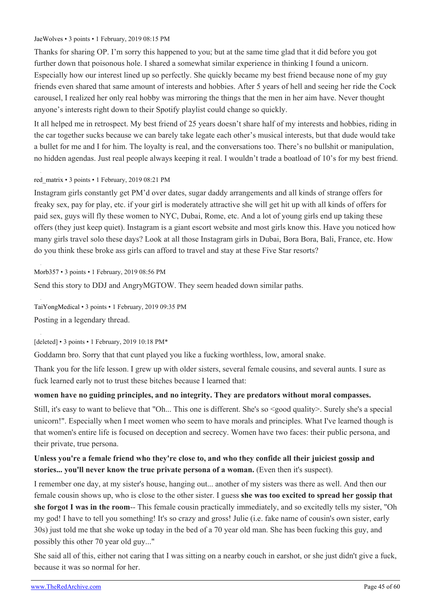#### [JaeWolves](https://old.reddit.com/user/JaeWolves) • 3 points • 1 February, 2019 08:15 PM

Thanks for sharing OP. I'm sorry this happened to you; but at the same time glad that it did before you got further down that poisonous hole. I shared a somewhat similar experience in thinking I found a unicorn. Especially how our interest lined up so perfectly. She quickly became my best friend because none of my guy friends even shared that same amount of interests and hobbies. After 5 years of hell and seeing her ride the Cock carousel, I realized her only real hobby was mirroring the things that the men in her aim have. Never thought anyone's interests right down to their Spotify playlist could change so quickly.

It all helped me in retrospect. My best friend of 25 years doesn't share half of my interests and hobbies, riding in the car together sucks because we can barely take legate each other's musical interests, but that dude would take a bullet for me and I for him. The loyalty is real, and the conversations too. There's no bullshit or manipulation, no hidden agendas. Just real people always keeping it real. I wouldn't trade a boatload of 10's for my best friend.

#### [red\\_matrix](https://old.reddit.com/user/red_matrix) • 3 points • 1 February, 2019 08:21 PM

Instagram girls constantly get PM'd over dates, sugar daddy arrangements and all kinds of strange offers for freaky sex, pay for play, etc. if your girl is moderately attractive she will get hit up with all kinds of offers for paid sex, guys will fly these women to NYC, Dubai, Rome, etc. And a lot of young girls end up taking these offers (they just keep quiet). Instagram is a giant escort website and most girls know this. Have you noticed how many girls travel solo these days? Look at all those Instagram girls in Dubai, Bora Bora, Bali, France, etc. How do you think these broke ass girls can afford to travel and stay at these Five Star resorts?

[Morb357](https://old.reddit.com/user/Morb357) • 3 points • 1 February, 2019 08:56 PM

Send this story to DDJ and AngryMGTOW. They seem headed down similar paths.

[TaiYongMedical](https://old.reddit.com/user/TaiYongMedical) • 3 points • 1 February, 2019 09:35 PM Posting in a legendary thread.

[deleted] • 3 points • 1 February, 2019 10:18 PM\*

Goddamn bro. Sorry that that cunt played you like a fucking worthless, low, amoral snake.

Thank you for the life lesson. I grew up with older sisters, several female cousins, and several aunts. I sure as fuck learned early not to trust these bitches because I learned that:

#### **women have no guiding principles, and no integrity. They are predators without moral compasses.**

Still, it's easy to want to believe that "Oh... This one is different. She's so <good quality>. Surely she's a special unicorn!". Especially when I meet women who seem to have morals and principles. What I've learned though is that women's entire life is focused on deception and secrecy. Women have two faces: their public persona, and their private, true persona.

#### **Unless you're a female friend who they're close to, and who they confide all their juiciest gossip and stories... you'll never know the true private persona of a woman.** (Even then it's suspect).

I remember one day, at my sister's house, hanging out... another of my sisters was there as well. And then our female cousin shows up, who is close to the other sister. I guess **she was too excited to spread her gossip that she forgot I was in the room**-- This female cousin practically immediately, and so excitedly tells my sister, "Oh my god! I have to tell you something! It's so crazy and gross! Julie (i.e. fake name of cousin's own sister, early 30s) just told me that she woke up today in the bed of a 70 year old man. She has been fucking this guy, and possibly this other 70 year old guy..."

She said all of this, either not caring that I was sitting on a nearby couch in earshot, or she just didn't give a fuck, because it was so normal for her.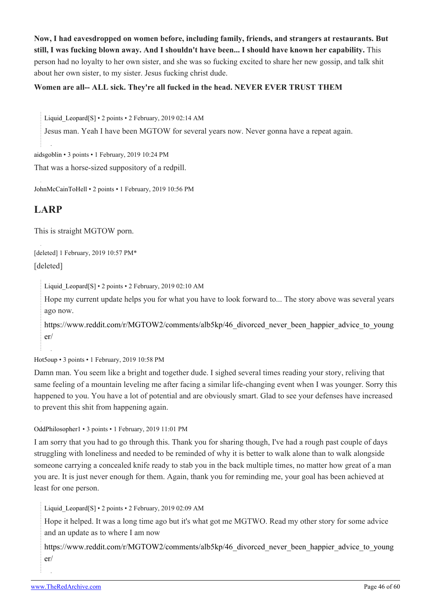**Now, I had eavesdropped on women before, including family, friends, and strangers at restaurants. But still, I was fucking blown away. And I shouldn't have been... I should have known her capability.** This person had no loyalty to her own sister, and she was so fucking excited to share her new gossip, and talk shit about her own sister, to my sister. Jesus fucking christ dude.

#### **Women are all-- ALL sick. They're all fucked in the head. NEVER EVER TRUST THEM**

Liquid Leopard[\[S\]](https://theredarchive.com/r/MGTOW/comments/am1u3l/how_my_fully_vetted_carefully_screened_law/) • 2 points • 2 February, 2019 02:14 AM

Jesus man. Yeah I have been MGTOW for several years now. Never gonna have a repeat again.

[aidsgoblin](https://old.reddit.com/user/aidsgoblin) • 3 points • 1 February, 2019 10:24 PM

That was a horse-sized suppository of a redpill.

[JohnMcCainToHell](https://old.reddit.com/user/JohnMcCainToHell) • 2 points • 1 February, 2019 10:56 PM

## **LARP**

This is straight MGTOW porn.

[deleted] 1 February, 2019 10:57 PM\* [deleted]

[Liquid\\_Leopard](https://old.reddit.com/user/Liquid_Leopard)[\[S\]](https://theredarchive.com/r/MGTOW/comments/am1u3l/how_my_fully_vetted_carefully_screened_law/) • 2 points • 2 February, 2019 02:10 AM

Hope my current update helps you for what you have to look forward to... The story above was several years ago now.

[https://www.reddit.com/r/MGTOW2/comments/alb5kp/46\\_divorced\\_never\\_been\\_happier\\_advice\\_to\\_young](https://www.reddit.com/r/MGTOW2/comments/alb5kp/46_divorced_never_been_happier_advice_to_younger/) [er/](https://www.reddit.com/r/MGTOW2/comments/alb5kp/46_divorced_never_been_happier_advice_to_younger/)

[Hot5oup](https://old.reddit.com/user/Hot5oup) • 3 points • 1 February, 2019 10:58 PM

Damn man. You seem like a bright and together dude. I sighed several times reading your story, reliving that same feeling of a mountain leveling me after facing a similar life-changing event when I was younger. Sorry this happened to you. You have a lot of potential and are obviously smart. Glad to see your defenses have increased to prevent this shit from happening again.

[OddPhilosopher1](https://old.reddit.com/user/OddPhilosopher1) • 3 points • 1 February, 2019 11:01 PM

I am sorry that you had to go through this. Thank you for sharing though, I've had a rough past couple of days struggling with loneliness and needed to be reminded of why it is better to walk alone than to walk alongside someone carrying a concealed knife ready to stab you in the back multiple times, no matter how great of a man you are. It is just never enough for them. Again, thank you for reminding me, your goal has been achieved at least for one person.

[Liquid\\_Leopard](https://old.reddit.com/user/Liquid_Leopard)[\[S\]](https://theredarchive.com/r/MGTOW/comments/am1u3l/how_my_fully_vetted_carefully_screened_law/) • 2 points • 2 February, 2019 02:09 AM

Hope it helped. It was a long time ago but it's what got me MGTWO. Read my other story for some advice and an update as to where I am now

[https://www.reddit.com/r/MGTOW2/comments/alb5kp/46\\_divorced\\_never\\_been\\_happier\\_advice\\_to\\_young](https://www.reddit.com/r/MGTOW2/comments/alb5kp/46_divorced_never_been_happier_advice_to_younger/) [er/](https://www.reddit.com/r/MGTOW2/comments/alb5kp/46_divorced_never_been_happier_advice_to_younger/)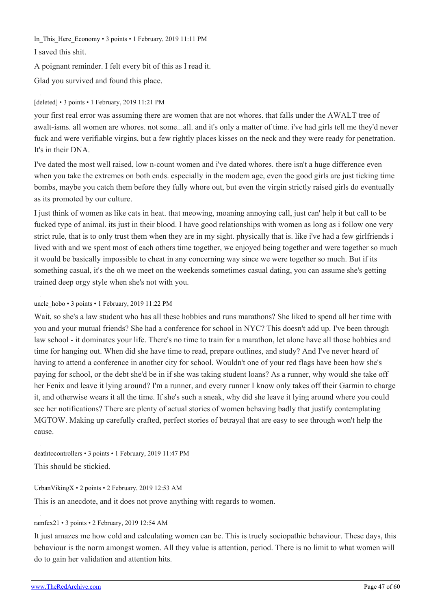In This Here Economy • 3 points • 1 February, 2019 11:11 PM

I saved this shit.

A poignant reminder. I felt every bit of this as I read it.

Glad you survived and found this place.

#### [deleted] • 3 points • 1 February, 2019 11:21 PM

your first real error was assuming there are women that are not whores. that falls under the AWALT tree of awalt-isms. all women are whores. not some...all. and it's only a matter of time. i've had girls tell me they'd never fuck and were verifiable virgins, but a few rightly places kisses on the neck and they were ready for penetration. It's in their DNA.

I've dated the most well raised, low n-count women and i've dated whores. there isn't a huge difference even when you take the extremes on both ends. especially in the modern age, even the good girls are just ticking time bombs, maybe you catch them before they fully whore out, but even the virgin strictly raised girls do eventually as its promoted by our culture.

I just think of women as like cats in heat. that meowing, moaning annoying call, just can' help it but call to be fucked type of animal. its just in their blood. I have good relationships with women as long as i follow one very strict rule, that is to only trust them when they are in my sight. physically that is. like i've had a few girlfriends i lived with and we spent most of each others time together, we enjoyed being together and were together so much it would be basically impossible to cheat in any concerning way since we were together so much. But if its something casual, it's the oh we meet on the weekends sometimes casual dating, you can assume she's getting trained deep orgy style when she's not with you.

#### uncle hobo • 3 points • 1 February, 2019 11:22 PM

Wait, so she's a law student who has all these hobbies and runs marathons? She liked to spend all her time with you and your mutual friends? She had a conference for school in NYC? This doesn't add up. I've been through law school - it dominates your life. There's no time to train for a marathon, let alone have all those hobbies and time for hanging out. When did she have time to read, prepare outlines, and study? And I've never heard of having to attend a conference in another city for school. Wouldn't one of your red flags have been how she's paying for school, or the debt she'd be in if she was taking student loans? As a runner, why would she take off her Fenix and leave it lying around? I'm a runner, and every runner I know only takes off their Garmin to charge it, and otherwise wears it all the time. If she's such a sneak, why did she leave it lying around where you could see her notifications? There are plenty of actual stories of women behaving badly that justify contemplating MGTOW. Making up carefully crafted, perfect stories of betrayal that are easy to see through won't help the cause.

[deathtocontrollers](https://old.reddit.com/user/deathtocontrollers) • 3 points • 1 February, 2019 11:47 PM This should be stickied.

[UrbanVikingX](https://old.reddit.com/user/UrbanVikingX) • 2 points • 2 February, 2019 12:53 AM

This is an anecdote, and it does not prove anything with regards to women.

#### [ramfex21](https://old.reddit.com/user/ramfex21) • 3 points • 2 February, 2019 12:54 AM

It just amazes me how cold and calculating women can be. This is truely sociopathic behaviour. These days, this behaviour is the norm amongst women. All they value is attention, period. There is no limit to what women will do to gain her validation and attention hits.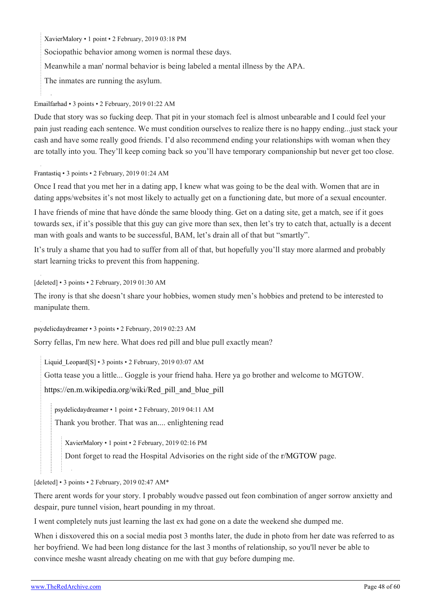[XavierMalory](https://old.reddit.com/user/XavierMalory) • 1 point • 2 February, 2019 03:18 PM

Sociopathic behavior among women is normal these days.

Meanwhile a man' normal behavior is being labeled a mental illness by the APA.

The inmates are running the asylum.

#### [Emailfarhad](https://old.reddit.com/user/Emailfarhad) • 3 points • 2 February, 2019 01:22 AM

Dude that story was so fucking deep. That pit in your stomach feel is almost unbearable and I could feel your pain just reading each sentence. We must condition ourselves to realize there is no happy ending...just stack your cash and have some really good friends. I'd also recommend ending your relationships with woman when they are totally into you. They'll keep coming back so you'll have temporary companionship but never get too close.

#### [Frantastiq](https://old.reddit.com/user/Frantastiq) • 3 points • 2 February, 2019 01:24 AM

Once I read that you met her in a dating app, I knew what was going to be the deal with. Women that are in dating apps/websites it's not most likely to actually get on a functioning date, but more of a sexual encounter.

I have friends of mine that have dónde the same bloody thing. Get on a dating site, get a match, see if it goes towards sex, if it's possible that this guy can give more than sex, then let's try to catch that, actually is a decent man with goals and wants to be successful, BAM, let's drain all of that but "smartly".

It's truly a shame that you had to suffer from all of that, but hopefully you'll stay more alarmed and probably start learning tricks to prevent this from happening.

[deleted] • 3 points • 2 February, 2019 01:30 AM

The irony is that she doesn't share your hobbies, women study men's hobbies and pretend to be interested to manipulate them.

[psydelicdaydreamer](https://old.reddit.com/user/psydelicdaydreamer) • 3 points • 2 February, 2019 02:23 AM

Sorry fellas, I'm new here. What does red pill and blue pull exactly mean?

Liquid Leopard[\[S\]](https://theredarchive.com/r/MGTOW/comments/am1u3l/how_my_fully_vetted_carefully_screened_law/) • 3 points • 2 February, 2019 03:07 AM

Gotta tease you a little... Goggle is your friend haha. Here ya go brother and welcome to MGTOW.

[https://en.m.wikipedia.org/wiki/Red\\_pill\\_and\\_blue\\_pill](https://en.m.wikipedia.org/wiki/Red_pill_and_blue_pill)

[psydelicdaydreamer](https://old.reddit.com/user/psydelicdaydreamer) • 1 point • 2 February, 2019 04:11 AM

Thank you brother. That was an.... enlightening read

[XavierMalory](https://old.reddit.com/user/XavierMalory) • 1 point • 2 February, 2019 02:16 PM

Dont forget to read the Hospital Advisories on the right side of the [r/MGTOW](https://theredarchive.com/r/MGTOW) page.

#### [deleted] • 3 points • 2 February, 2019 02:47 AM\*

There arent words for your story. I probably woudve passed out feon combination of anger sorrow anxietty and despair, pure tunnel vision, heart pounding in my throat.

I went completely nuts just learning the last ex had gone on a date the weekend she dumped me.

When i disxovered this on a social media post 3 months later, the dude in photo from her date was referred to as her boyfriend. We had been long distance for the last 3 months of relationship, so you'll never be able to convince meshe wasnt already cheating on me with that guy before dumping me.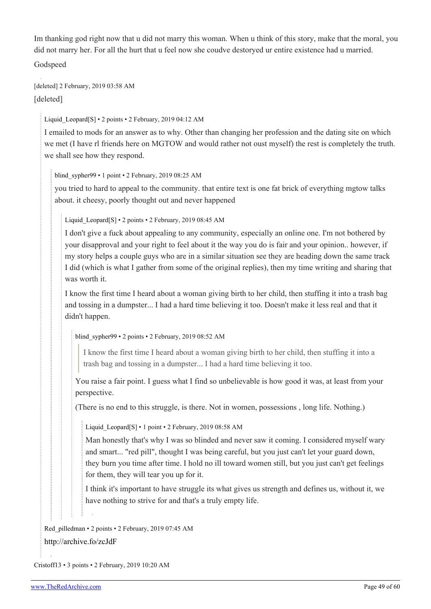Im thanking god right now that u did not marry this woman. When u think of this story, make that the moral, you did not marry her. For all the hurt that u feel now she coudve destoryed ur entire existence had u married.

Godspeed

[deleted] 2 February, 2019 03:58 AM [deleted]

Liquid Leopard[\[S\]](https://theredarchive.com/r/MGTOW/comments/am1u3l/how_my_fully_vetted_carefully_screened_law/) • 2 points • 2 February, 2019 04:12 AM

I emailed to mods for an answer as to why. Other than changing her profession and the dating site on which we met (I have rl friends here on MGTOW and would rather not oust myself) the rest is completely the truth. we shall see how they respond.

blind sypher99 • 1 point • 2 February, 2019 08:25 AM

you tried to hard to appeal to the community. that entire text is one fat brick of everything mgtow talks about. it cheesy, poorly thought out and never happened

Liquid Leopard[[S](https://theredarchive.com/r/MGTOW/comments/am1u3l/how_my_fully_vetted_carefully_screened_law/)] • 2 points • 2 February, 2019 08:45 AM

I don't give a fuck about appealing to any community, especially an online one. I'm not bothered by your disapproval and your right to feel about it the way you do is fair and your opinion.. however, if my story helps a couple guys who are in a similar situation see they are heading down the same track I did (which is what I gather from some of the original replies), then my time writing and sharing that was worth it.

I know the first time I heard about a woman giving birth to her child, then stuffing it into a trash bag and tossing in a dumpster... I had a hard time believing it too. Doesn't make it less real and that it didn't happen.

blind sypher99 • 2 points • 2 February, 2019 08:52 AM

I know the first time I heard about a woman giving birth to her child, then stuffing it into a trash bag and tossing in a dumpster... I had a hard time believing it too.

You raise a fair point. I guess what I find so unbelievable is how good it was, at least from your perspective.

(There is no end to this struggle, is there. Not in women, possessions , long life. Nothing.)

Liquid Leopard[\[S\]](https://theredarchive.com/r/MGTOW/comments/am1u3l/how_my_fully_vetted_carefully_screened_law/) • 1 point • 2 February, 2019 08:58 AM

Man honestly that's why I was so blinded and never saw it coming. I considered myself wary and smart... "red pill", thought I was being careful, but you just can't let your guard down, they burn you time after time. I hold no ill toward women still, but you just can't get feelings for them, they will tear you up for it.

I think it's important to have struggle its what gives us strength and defines us, without it, we have nothing to strive for and that's a truly empty life.

[Red\\_pilledman](https://old.reddit.com/user/Red_pilledman) • 2 points • 2 February, 2019 07:45 AM <http://archive.fo/zcJdF>

[Cristoff13](https://old.reddit.com/user/Cristoff13) • 3 points • 2 February, 2019 10:20 AM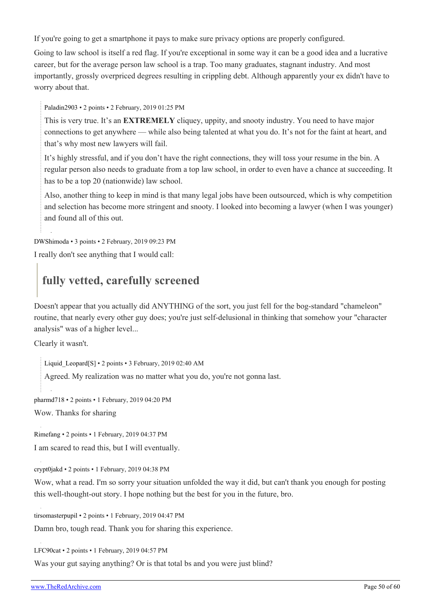If you're going to get a smartphone it pays to make sure privacy options are properly configured.

Going to law school is itself a red flag. If you're exceptional in some way it can be a good idea and a lucrative career, but for the average person law school is a trap. Too many graduates, stagnant industry. And most importantly, grossly overpriced degrees resulting in crippling debt. Although apparently your ex didn't have to worry about that.

[Paladin2903](https://old.reddit.com/user/Paladin2903) • 2 points • 2 February, 2019 01:25 PM

This is very true. It's an **EXTREMELY** cliquey, uppity, and snooty industry. You need to have major connections to get anywhere — while also being talented at what you do. It's not for the faint at heart, and that's why most new lawyers will fail.

It's highly stressful, and if you don't have the right connections, they will toss your resume in the bin. A regular person also needs to graduate from a top law school, in order to even have a chance at succeeding. It has to be a top 20 (nationwide) law school.

Also, another thing to keep in mind is that many legal jobs have been outsourced, which is why competition and selection has become more stringent and snooty. I looked into becoming a lawyer (when I was younger) and found all of this out.

[DWShimoda](https://old.reddit.com/user/DWShimoda) • 3 points • 2 February, 2019 09:23 PM

I really don't see anything that I would call:

## **fully vetted, carefully screened**

Doesn't appear that you actually did ANYTHING of the sort, you just fell for the bog-standard "chameleon" routine, that nearly every other guy does; you're just self-delusional in thinking that somehow your "character analysis" was of a higher level...

Clearly it wasn't.

Liquid Leopard[\[S\]](https://theredarchive.com/r/MGTOW/comments/am1u3l/how_my_fully_vetted_carefully_screened_law/) • 2 points • 3 February, 2019 02:40 AM

Agreed. My realization was no matter what you do, you're not gonna last.

[pharmd718](https://old.reddit.com/user/pharmd718) • 2 points • 1 February, 2019 04:20 PM

Wow. Thanks for sharing

[Rimefang](https://old.reddit.com/user/Rimefang) • 2 points • 1 February, 2019 04:37 PM

I am scared to read this, but I will eventually.

[crypt0jakd](https://old.reddit.com/user/crypt0jakd) • 2 points • 1 February, 2019 04:38 PM

Wow, what a read. I'm so sorry your situation unfolded the way it did, but can't thank you enough for posting this well-thought-out story. I hope nothing but the best for you in the future, bro.

[tirsomasterpupil](https://old.reddit.com/user/tirsomasterpupil) • 2 points • 1 February, 2019 04:47 PM

Damn bro, tough read. Thank you for sharing this experience.

[LFC90cat](https://old.reddit.com/user/LFC90cat) • 2 points • 1 February, 2019 04:57 PM

Was your gut saying anything? Or is that total bs and you were just blind?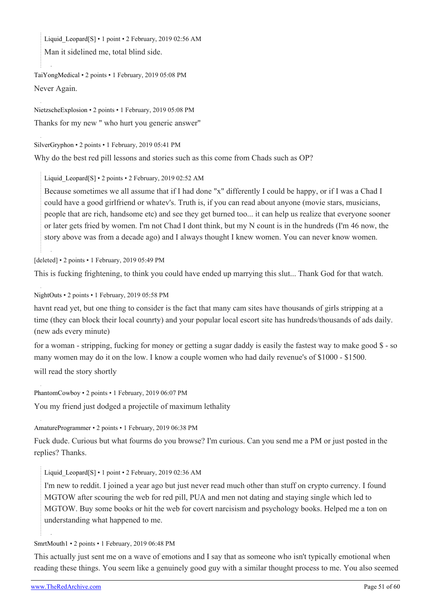Liquid Leopard[\[S\]](https://theredarchive.com/r/MGTOW/comments/am1u3l/how_my_fully_vetted_carefully_screened_law/) • 1 point • 2 February, 2019 02:56 AM Man it sidelined me, total blind side.

```
TaiYongMedical • 2 points • 1 February, 2019 05:08 PM
Never Again.
```
[NietzscheExplosion](https://old.reddit.com/user/NietzscheExplosion) • 2 points • 1 February, 2019 05:08 PM Thanks for my new " who hurt you generic answer"

[SilverGryphon](https://old.reddit.com/user/SilverGryphon) • 2 points • 1 February, 2019 05:41 PM Why do the best red pill lessons and stories such as this come from Chads such as OP?

Liquid Leopard[\[S\]](https://theredarchive.com/r/MGTOW/comments/am1u3l/how_my_fully_vetted_carefully_screened_law/) • 2 points • 2 February, 2019 02:52 AM

Because sometimes we all assume that if I had done "x" differently I could be happy, or if I was a Chad I could have a good girlfriend or whatev's. Truth is, if you can read about anyone (movie stars, musicians, people that are rich, handsome etc) and see they get burned too... it can help us realize that everyone sooner or later gets fried by women. I'm not Chad I dont think, but my N count is in the hundreds (I'm 46 now, the story above was from a decade ago) and I always thought I knew women. You can never know women.

[deleted] • 2 points • 1 February, 2019 05:49 PM

This is fucking frightening, to think you could have ended up marrying this slut... Thank God for that watch.

[NightOuts](https://old.reddit.com/user/NightOuts) • 2 points • 1 February, 2019 05:58 PM

havnt read yet, but one thing to consider is the fact that many cam sites have thousands of girls stripping at a time (they can block their local counrty) and your popular local escort site has hundreds/thousands of ads daily. (new ads every minute)

for a woman - stripping, fucking for money or getting a sugar daddy is easily the fastest way to make good \$ - so many women may do it on the low. I know a couple women who had daily revenue's of \$1000 - \$1500.

will read the story shortly

[PhantomCowboy](https://old.reddit.com/user/PhantomCowboy) • 2 points • 1 February, 2019 06:07 PM

You my friend just dodged a projectile of maximum lethality

[AmatureProgrammer](https://old.reddit.com/user/AmatureProgrammer) • 2 points • 1 February, 2019 06:38 PM

Fuck dude. Curious but what fourms do you browse? I'm curious. Can you send me a PM or just posted in the replies? Thanks.

Liquid Leopard[\[S\]](https://theredarchive.com/r/MGTOW/comments/am1u3l/how_my_fully_vetted_carefully_screened_law/) • 1 point • 2 February, 2019 02:36 AM

I'm new to reddit. I joined a year ago but just never read much other than stuff on crypto currency. I found MGTOW after scouring the web for red pill, PUA and men not dating and staying single which led to MGTOW. Buy some books or hit the web for covert narcisism and psychology books. Helped me a ton on understanding what happened to me.

[SmrtMouth1](https://old.reddit.com/user/SmrtMouth1) • 2 points • 1 February, 2019 06:48 PM

This actually just sent me on a wave of emotions and I say that as someone who isn't typically emotional when reading these things. You seem like a genuinely good guy with a similar thought process to me. You also seemed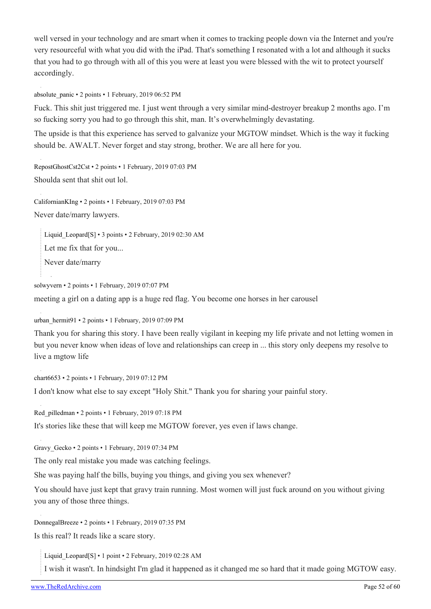well versed in your technology and are smart when it comes to tracking people down via the Internet and you're very resourceful with what you did with the iPad. That's something I resonated with a lot and although it sucks that you had to go through with all of this you were at least you were blessed with the wit to protect yourself accordingly.

[absolute\\_panic](https://old.reddit.com/user/absolute_panic) • 2 points • 1 February, 2019 06:52 PM

Fuck. This shit just triggered me. I just went through a very similar mind-destroyer breakup 2 months ago. I'm so fucking sorry you had to go through this shit, man. It's overwhelmingly devastating.

The upside is that this experience has served to galvanize your MGTOW mindset. Which is the way it fucking should be. AWALT. Never forget and stay strong, brother. We are all here for you.

[RepostGhostCst2Cst](https://old.reddit.com/user/RepostGhostCst2Cst) • 2 points • 1 February, 2019 07:03 PM Shoulda sent that shit out lol.

[CalifornianKIng](https://old.reddit.com/user/CalifornianKIng) • 2 points • 1 February, 2019 07:03 PM Never date/marry lawyers.

Liquid Leopard[\[S\]](https://theredarchive.com/r/MGTOW/comments/am1u3l/how_my_fully_vetted_carefully_screened_law/) • 3 points • 2 February, 2019 02:30 AM

Let me fix that for you...

Never date/marry

[solwyvern](https://old.reddit.com/user/solwyvern) • 2 points • 1 February, 2019 07:07 PM meeting a girl on a dating app is a huge red flag. You become one horses in her carousel

[urban\\_hermit91](https://old.reddit.com/user/urban_hermit91) • 2 points • 1 February, 2019 07:09 PM

Thank you for sharing this story. I have been really vigilant in keeping my life private and not letting women in but you never know when ideas of love and relationships can creep in ... this story only deepens my resolve to live a mgtow life

[chart6653](https://old.reddit.com/user/chart6653) • 2 points • 1 February, 2019 07:12 PM I don't know what else to say except "Holy Shit." Thank you for sharing your painful story.

[Red\\_pilledman](https://old.reddit.com/user/Red_pilledman) • 2 points • 1 February, 2019 07:18 PM It's stories like these that will keep me MGTOW forever, yes even if laws change.

Gravy Gecko • 2 points • 1 February, 2019 07:34 PM

The only real mistake you made was catching feelings.

She was paying half the bills, buying you things, and giving you sex whenever?

You should have just kept that gravy train running. Most women will just fuck around on you without giving you any of those three things.

[DonnegalBreeze](https://old.reddit.com/user/DonnegalBreeze) • 2 points • 1 February, 2019 07:35 PM

Is this real? It reads like a scare story.

Liquid Leopard[\[S\]](https://theredarchive.com/r/MGTOW/comments/am1u3l/how_my_fully_vetted_carefully_screened_law/) • 1 point • 2 February, 2019 02:28 AM

I wish it wasn't. In hindsight I'm glad it happened as it changed me so hard that it made going MGTOW easy.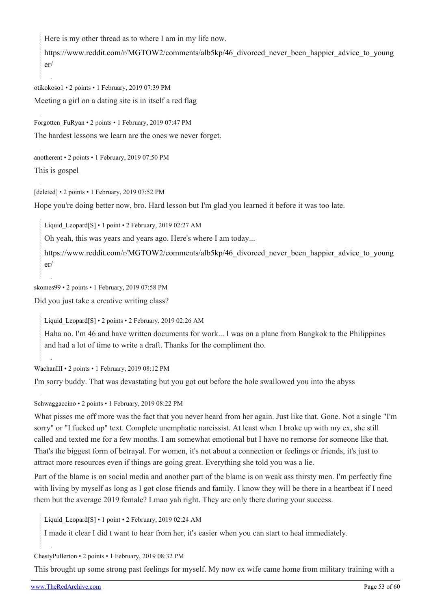Here is my other thread as to where I am in my life now.

[https://www.reddit.com/r/MGTOW2/comments/alb5kp/46\\_divorced\\_never\\_been\\_happier\\_advice\\_to\\_young](https://www.reddit.com/r/MGTOW2/comments/alb5kp/46_divorced_never_been_happier_advice_to_younger/) [er/](https://www.reddit.com/r/MGTOW2/comments/alb5kp/46_divorced_never_been_happier_advice_to_younger/)

[otikokoso1](https://old.reddit.com/user/otikokoso1) • 2 points • 1 February, 2019 07:39 PM Meeting a girl on a dating site is in itself a red flag

[Forgotten\\_FuRyan](https://old.reddit.com/user/Forgotten_FuRyan) • 2 points • 1 February, 2019 07:47 PM The hardest lessons we learn are the ones we never forget.

[anotherent](https://old.reddit.com/user/anotherent) • 2 points • 1 February, 2019 07:50 PM This is gospel

[deleted] • 2 points • 1 February, 2019 07:52 PM

Hope you're doing better now, bro. Hard lesson but I'm glad you learned it before it was too late.

Liquid Leopard[\[S\]](https://theredarchive.com/r/MGTOW/comments/am1u3l/how_my_fully_vetted_carefully_screened_law/) • 1 point • 2 February, 2019 02:27 AM

Oh yeah, this was years and years ago. Here's where I am today...

[https://www.reddit.com/r/MGTOW2/comments/alb5kp/46\\_divorced\\_never\\_been\\_happier\\_advice\\_to\\_young](https://www.reddit.com/r/MGTOW2/comments/alb5kp/46_divorced_never_been_happier_advice_to_younger/) [er/](https://www.reddit.com/r/MGTOW2/comments/alb5kp/46_divorced_never_been_happier_advice_to_younger/)

[skomes99](https://old.reddit.com/user/skomes99) • 2 points • 1 February, 2019 07:58 PM

Did you just take a creative writing class?

Liquid Leopard[\[S\]](https://theredarchive.com/r/MGTOW/comments/am1u3l/how_my_fully_vetted_carefully_screened_law/) • 2 points • 2 February, 2019 02:26 AM

Haha no. I'm 46 and have written documents for work... I was on a plane from Bangkok to the Philippines and had a lot of time to write a draft. Thanks for the compliment tho.

[WachanIII](https://old.reddit.com/user/WachanIII) • 2 points • 1 February, 2019 08:12 PM

I'm sorry buddy. That was devastating but you got out before the hole swallowed you into the abyss

[Schwaggaccino](https://old.reddit.com/user/Schwaggaccino) • 2 points • 1 February, 2019 08:22 PM

What pisses me off more was the fact that you never heard from her again. Just like that. Gone. Not a single "I'm sorry" or "I fucked up" text. Complete unemphatic narcissist. At least when I broke up with my ex, she still called and texted me for a few months. I am somewhat emotional but I have no remorse for someone like that. That's the biggest form of betrayal. For women, it's not about a connection or feelings or friends, it's just to attract more resources even if things are going great. Everything she told you was a lie.

Part of the blame is on social media and another part of the blame is on weak ass thirsty men. I'm perfectly fine with living by myself as long as I got close friends and family. I know they will be there in a heartbeat if I need them but the average 2019 female? Lmao yah right. They are only there during your success.

[Liquid\\_Leopard](https://old.reddit.com/user/Liquid_Leopard)[\[S\]](https://theredarchive.com/r/MGTOW/comments/am1u3l/how_my_fully_vetted_carefully_screened_law/) • 1 point • 2 February, 2019 02:24 AM

I made it clear I did t want to hear from her, it's easier when you can start to heal immediately.

[ChestyPullerton](https://old.reddit.com/user/ChestyPullerton) • 2 points • 1 February, 2019 08:32 PM

This brought up some strong past feelings for myself. My now ex wife came home from military training with a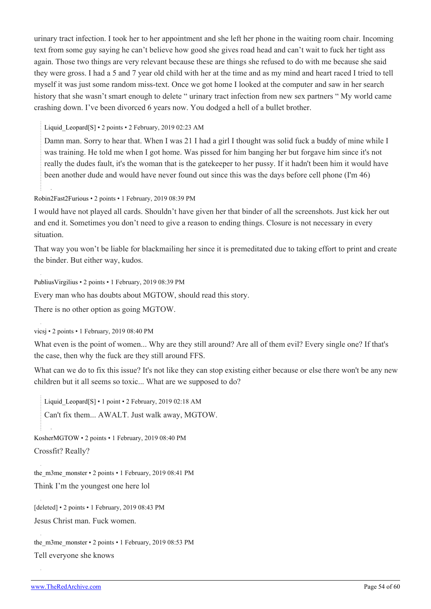urinary tract infection. I took her to her appointment and she left her phone in the waiting room chair. Incoming text from some guy saying he can't believe how good she gives road head and can't wait to fuck her tight ass again. Those two things are very relevant because these are things she refused to do with me because she said they were gross. I had a 5 and 7 year old child with her at the time and as my mind and heart raced I tried to tell myself it was just some random miss-text. Once we got home I looked at the computer and saw in her search history that she wasn't smart enough to delete " urinary tract infection from new sex partners " My world came crashing down. I've been divorced 6 years now. You dodged a hell of a bullet brother.

Liquid Leopard[\[S\]](https://theredarchive.com/r/MGTOW/comments/am1u3l/how_my_fully_vetted_carefully_screened_law/) • 2 points • 2 February, 2019 02:23 AM

Damn man. Sorry to hear that. When I was 21 I had a girl I thought was solid fuck a buddy of mine while I was training. He told me when I got home. Was pissed for him banging her but forgave him since it's not really the dudes fault, it's the woman that is the gatekeeper to her pussy. If it hadn't been him it would have been another dude and would have never found out since this was the days before cell phone (I'm 46)

[Robin2Fast2Furious](https://old.reddit.com/user/Robin2Fast2Furious) • 2 points • 1 February, 2019 08:39 PM

I would have not played all cards. Shouldn't have given her that binder of all the screenshots. Just kick her out and end it. Sometimes you don't need to give a reason to ending things. Closure is not necessary in every situation.

That way you won't be liable for blackmailing her since it is premeditated due to taking effort to print and create the binder. But either way, kudos.

[PubliusVirgilius](https://old.reddit.com/user/PubliusVirgilius) • 2 points • 1 February, 2019 08:39 PM

Every man who has doubts about MGTOW, should read this story.

There is no other option as going MGTOW.

[vicsj](https://old.reddit.com/user/vicsj) • 2 points • 1 February, 2019 08:40 PM

What even is the point of women... Why are they still around? Are all of them evil? Every single one? If that's the case, then why the fuck are they still around FFS.

What can we do to fix this issue? It's not like they can stop existing either because or else there won't be any new children but it all seems so toxic... What are we supposed to do?

Liquid Leopard[\[S\]](https://theredarchive.com/r/MGTOW/comments/am1u3l/how_my_fully_vetted_carefully_screened_law/) • 1 point • 2 February, 2019 02:18 AM Can't fix them... AWALT. Just walk away, MGTOW.

[KosherMGTOW](https://old.reddit.com/user/KosherMGTOW) • 2 points • 1 February, 2019 08:40 PM Crossfit? Really?

the m3me monster • 2 points • 1 February, 2019 08:41 PM Think I'm the youngest one here lol

[deleted] • 2 points • 1 February, 2019 08:43 PM Jesus Christ man. Fuck women.

the m3me monster  $\cdot$  2 points  $\cdot$  1 February, 2019 08:53 PM Tell everyone she knows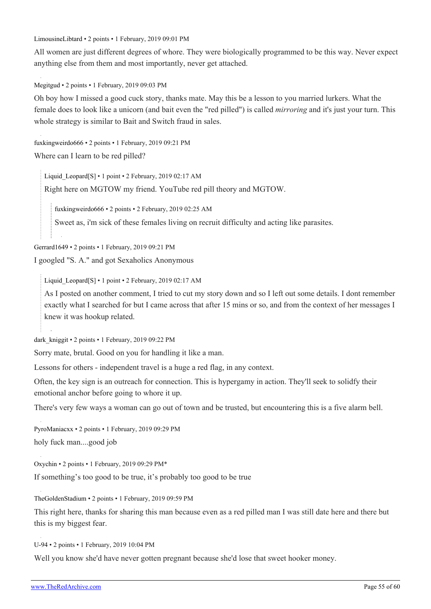[LimousineLibtard](https://old.reddit.com/user/LimousineLibtard) • 2 points • 1 February, 2019 09:01 PM

All women are just different degrees of whore. They were biologically programmed to be this way. Never expect anything else from them and most importantly, never get attached.

[Megitgud](https://old.reddit.com/user/Megitgud) • 2 points • 1 February, 2019 09:03 PM

Oh boy how I missed a good cuck story, thanks mate. May this be a lesson to you married lurkers. What the female does to look like a unicorn (and bait even the "red pilled") is called *mirroring* and it's just your turn. This whole strategy is similar to Bait and Switch fraud in sales.

[fuxkingweirdo666](https://old.reddit.com/user/fuxkingweirdo666) • 2 points • 1 February, 2019 09:21 PM

Where can I learn to be red pilled?

Liquid Leopard[\[S\]](https://theredarchive.com/r/MGTOW/comments/am1u3l/how_my_fully_vetted_carefully_screened_law/) • 1 point • 2 February, 2019 02:17 AM

Right here on MGTOW my friend. YouTube red pill theory and MGTOW.

[fuxkingweirdo666](https://old.reddit.com/user/fuxkingweirdo666) • 2 points • 2 February, 2019 02:25 AM

Sweet as, i'm sick of these females living on recruit difficulty and acting like parasites.

[Gerrard1649](https://old.reddit.com/user/Gerrard1649) • 2 points • 1 February, 2019 09:21 PM

I googled "S. A." and got Sexaholics Anonymous

Liquid Leopard[\[S\]](https://theredarchive.com/r/MGTOW/comments/am1u3l/how_my_fully_vetted_carefully_screened_law/) • 1 point • 2 February, 2019 02:17 AM

As I posted on another comment, I tried to cut my story down and so I left out some details. I dont remember exactly what I searched for but I came across that after 15 mins or so, and from the context of her messages I knew it was hookup related.

dark kniggit • 2 points • 1 February, 2019 09:22 PM

Sorry mate, brutal. Good on you for handling it like a man.

Lessons for others - independent travel is a huge a red flag, in any context.

Often, the key sign is an outreach for connection. This is hypergamy in action. They'll seek to solidfy their emotional anchor before going to whore it up.

There's very few ways a woman can go out of town and be trusted, but encountering this is a five alarm bell.

[PyroManiacxx](https://old.reddit.com/user/PyroManiacxx) • 2 points • 1 February, 2019 09:29 PM holy fuck man....good job

[Oxychin](https://old.reddit.com/user/Oxychin) • 2 points • 1 February, 2019 09:29 PM\*

If something's too good to be true, it's probably too good to be true

[TheGoldenStadium](https://old.reddit.com/user/TheGoldenStadium) • 2 points • 1 February, 2019 09:59 PM

This right here, thanks for sharing this man because even as a red pilled man I was still date here and there but this is my biggest fear.

[U-94](https://old.reddit.com/user/U-94) • 2 points • 1 February, 2019 10:04 PM

Well you know she'd have never gotten pregnant because she'd lose that sweet hooker money.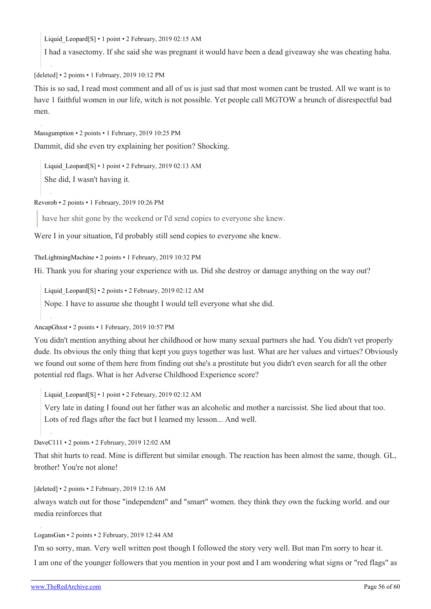Liquid Leopard[\[S\]](https://theredarchive.com/r/MGTOW/comments/am1u3l/how_my_fully_vetted_carefully_screened_law/) • 1 point • 2 February, 2019 02:15 AM

I had a vasectomy. If she said she was pregnant it would have been a dead giveaway she was cheating haha.

[deleted] • 2 points • 1 February, 2019 10:12 PM

This is so sad, I read most comment and all of us is just sad that most women cant be trusted. All we want is to have 1 faithful women in our life, witch is not possible. Yet people call MGTOW a brunch of disrespectful bad men.

[Massgumption](https://old.reddit.com/user/Massgumption) • 2 points • 1 February, 2019 10:25 PM

Dammit, did she even try explaining her position? Shocking.

[Liquid\\_Leopard](https://old.reddit.com/user/Liquid_Leopard)[\[S\]](https://theredarchive.com/r/MGTOW/comments/am1u3l/how_my_fully_vetted_carefully_screened_law/) • 1 point • 2 February, 2019 02:13 AM

She did, I wasn't having it.

[Revorob](https://old.reddit.com/user/Revorob) • 2 points • 1 February, 2019 10:26 PM

have her shit gone by the weekend or I'd send copies to everyone she knew.

Were I in your situation, I'd probably still send copies to everyone she knew.

[TheLightningMachine](https://old.reddit.com/user/TheLightningMachine) • 2 points • 1 February, 2019 10:32 PM

Hi. Thank you for sharing your experience with us. Did she destroy or damage anything on the way out?

Liquid Leopard[\[S\]](https://theredarchive.com/r/MGTOW/comments/am1u3l/how_my_fully_vetted_carefully_screened_law/) • 2 points • 2 February, 2019 02:12 AM

Nope. I have to assume she thought I would tell everyone what she did.

[AncapGhxst](https://old.reddit.com/user/AncapGhxst) • 2 points • 1 February, 2019 10:57 PM

You didn't mention anything about her childhood or how many sexual partners she had. You didn't vet properly dude. Its obvious the only thing that kept you guys together was lust. What are her values and virtues? Obviously we found out some of them here from finding out she's a prostitute but you didn't even search for all the other potential red flags. What is her Adverse Childhood Experience score?

Liquid Leopard[\[S\]](https://theredarchive.com/r/MGTOW/comments/am1u3l/how_my_fully_vetted_carefully_screened_law/) • 1 point • 2 February, 2019 02:12 AM

Very late in dating I found out her father was an alcoholic and mother a narcissist. She lied about that too. Lots of red flags after the fact but I learned my lesson... And well.

[DaveC111](https://old.reddit.com/user/DaveC111) • 2 points • 2 February, 2019 12:02 AM

That shit hurts to read. Mine is different but similar enough. The reaction has been almost the same, though. GL, brother! You're not alone!

[\[deleted\]](https://old.reddit.com/user/[deleted]) • 2 points • 2 February, 2019 12:16 AM

always watch out for those "independent" and "smart" women. they think they own the fucking world. and our media reinforces that

[LogansGun](https://old.reddit.com/user/LogansGun) • 2 points • 2 February, 2019 12:44 AM

I'm so sorry, man. Very well written post though I followed the story very well. But man I'm sorry to hear it. I am one of the younger followers that you mention in your post and I am wondering what signs or "red flags" as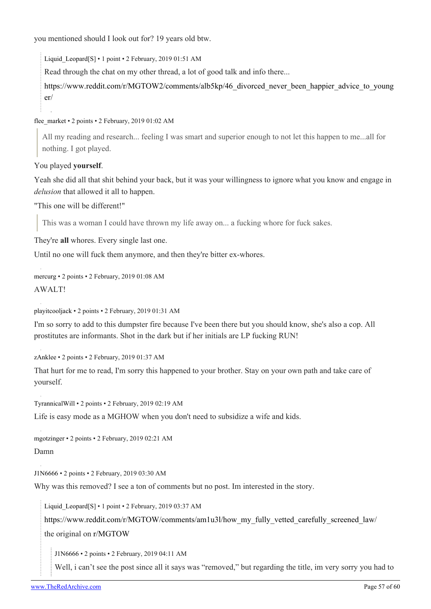you mentioned should I look out for? 19 years old btw.

Liquid Leopard[\[S\]](https://theredarchive.com/r/MGTOW/comments/am1u3l/how_my_fully_vetted_carefully_screened_law/) • 1 point • 2 February, 2019 01:51 AM

Read through the chat on my other thread, a lot of good talk and info there...

[https://www.reddit.com/r/MGTOW2/comments/alb5kp/46\\_divorced\\_never\\_been\\_happier\\_advice\\_to\\_young](https://www.reddit.com/r/MGTOW2/comments/alb5kp/46_divorced_never_been_happier_advice_to_younger/) [er/](https://www.reddit.com/r/MGTOW2/comments/alb5kp/46_divorced_never_been_happier_advice_to_younger/)

[flee\\_market](https://old.reddit.com/user/flee_market) • 2 points • 2 February, 2019 01:02 AM

All my reading and research... feeling I was smart and superior enough to not let this happen to me...all for nothing. I got played.

You played **yourself**.

Yeah she did all that shit behind your back, but it was your willingness to ignore what you know and engage in *delusion* that allowed it all to happen.

"This one will be different!"

This was a woman I could have thrown my life away on... a fucking whore for fuck sakes.

They're **all** whores. Every single last one.

Until no one will fuck them anymore, and then they're bitter ex-whores.

[mercurg](https://old.reddit.com/user/mercurg) • 2 points • 2 February, 2019 01:08 AM AWALT!

[playitcooljack](https://old.reddit.com/user/playitcooljack) • 2 points • 2 February, 2019 01:31 AM

I'm so sorry to add to this dumpster fire because I've been there but you should know, she's also a cop. All prostitutes are informants. Shot in the dark but if her initials are LP fucking RUN!

[zAnklee](https://old.reddit.com/user/zAnklee) • 2 points • 2 February, 2019 01:37 AM

That hurt for me to read, I'm sorry this happened to your brother. Stay on your own path and take care of yourself.

[TyrannicalWill](https://old.reddit.com/user/TyrannicalWill) • 2 points • 2 February, 2019 02:19 AM

Life is easy mode as a MGHOW when you don't need to subsidize a wife and kids.

[mgotzinger](https://old.reddit.com/user/mgotzinger) • 2 points • 2 February, 2019 02:21 AM Damn

[J1N6666](https://old.reddit.com/user/J1N6666) • 2 points • 2 February, 2019 03:30 AM

Why was this removed? I see a ton of comments but no post. Im interested in the story.

Liquid Leopard[\[S\]](https://theredarchive.com/r/MGTOW/comments/am1u3l/how_my_fully_vetted_carefully_screened_law/) • 1 point • 2 February, 2019 03:37 AM

[https://www.reddit.com/r/MGTOW/comments/am1u3l/how\\_my\\_fully\\_vetted\\_carefully\\_screened\\_law/](https://www.reddit.com/r/MGTOW/comments/am1u3l/how_my_fully_vetted_carefully_screened_law/) the original on [r/MGTOW](https://theredarchive.com/r/MGTOW)

[J1N6666](https://old.reddit.com/user/J1N6666) • 2 points • 2 February, 2019 04:11 AM

Well, i can't see the post since all it says was "removed," but regarding the title, im very sorry you had to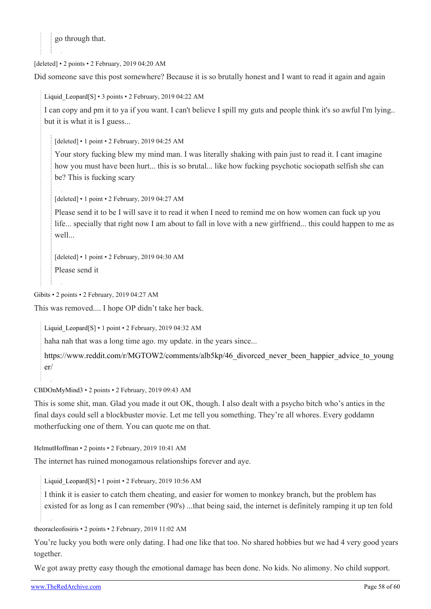go through that.

[deleted] • 2 points • 2 February, 2019 04:20 AM

Did someone save this post somewhere? Because it is so brutally honest and I want to read it again and again

I can copy and pm it to ya if you want. I can't believe I spill my guts and people think it's so awful I'm lying.. but it is what it is I guess...

[deleted] • 1 point • 2 February, 2019 04:25 AM

Liquid Leopard[\[S\]](https://theredarchive.com/r/MGTOW/comments/am1u3l/how_my_fully_vetted_carefully_screened_law/) • 3 points • 2 February, 2019 04:22 AM

Your story fucking blew my mind man. I was literally shaking with pain just to read it. I cant imagine how you must have been hurt... this is so brutal... like how fucking psychotic sociopath selfish she can be? This is fucking scary

[deleted] • 1 point • 2 February, 2019 04:27 AM

Please send it to be I will save it to read it when I need to remind me on how women can fuck up you life... specially that right now I am about to fall in love with a new girlfriend... this could happen to me as well...

[deleted] • 1 point • 2 February, 2019 04:30 AM Please send it

[Gibits](https://old.reddit.com/user/Gibits) • 2 points • 2 February, 2019 04:27 AM

This was removed.... I hope OP didn't take her back.

Liquid Leopard[\[S\]](https://theredarchive.com/r/MGTOW/comments/am1u3l/how_my_fully_vetted_carefully_screened_law/) • 1 point • 2 February, 2019 04:32 AM

haha nah that was a long time ago. my update. in the years since...

[https://www.reddit.com/r/MGTOW2/comments/alb5kp/46\\_divorced\\_never\\_been\\_happier\\_advice\\_to\\_young](https://www.reddit.com/r/MGTOW2/comments/alb5kp/46_divorced_never_been_happier_advice_to_younger/) [er/](https://www.reddit.com/r/MGTOW2/comments/alb5kp/46_divorced_never_been_happier_advice_to_younger/)

[CBDOnMyMind3](https://old.reddit.com/user/CBDOnMyMind3) • 2 points • 2 February, 2019 09:43 AM

This is some shit, man. Glad you made it out OK, though. I also dealt with a psycho bitch who's antics in the final days could sell a blockbuster movie. Let me tell you something. They're all whores. Every goddamn motherfucking one of them. You can quote me on that.

[HelmutHoffman](https://old.reddit.com/user/HelmutHoffman) • 2 points • 2 February, 2019 10:41 AM

The internet has ruined monogamous relationships forever and aye.

Liquid Leopard[\[S\]](https://theredarchive.com/r/MGTOW/comments/am1u3l/how_my_fully_vetted_carefully_screened_law/) • 1 point • 2 February, 2019 10:56 AM

I think it is easier to catch them cheating, and easier for women to monkey branch, but the problem has existed for as long as I can remember (90's) ...that being said, the internet is definitely ramping it up ten fold

[theoracleofosiris](https://old.reddit.com/user/theoracleofosiris) • 2 points • 2 February, 2019 11:02 AM

You're lucky you both were only dating. I had one like that too. No shared hobbies but we had 4 very good years together.

We got away pretty easy though the emotional damage has been done. No kids. No alimony. No child support.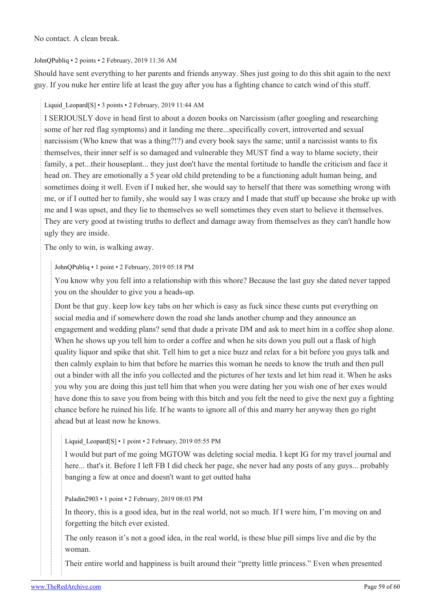No contact. A clean break.

#### [JohnQPubliq](https://old.reddit.com/user/JohnQPubliq) • 2 points • 2 February, 2019 11:36 AM

Should have sent everything to her parents and friends anyway. Shes just going to do this shit again to the next guy. If you nuke her entire life at least the guy after you has a fighting chance to catch wind of this stuff.

#### [Liquid\\_Leopard](https://old.reddit.com/user/Liquid_Leopard)[\[S\]](https://theredarchive.com/r/MGTOW/comments/am1u3l/how_my_fully_vetted_carefully_screened_law/) • 3 points • 2 February, 2019 11:44 AM

I SERIOUSLY dove in head first to about a dozen books on Narcissism (after googling and researching some of her red flag symptoms) and it landing me there...specifically covert, introverted and sexual narcissism (Who knew that was a thing?!?) and every book says the same; until a narcissist wants to fix themselves, their inner self is so damaged and vulnerable they MUST find a way to blame society, their family, a pet...their houseplant... they just don't have the mental fortitude to handle the criticism and face it head on. They are emotionally a 5 year old child pretending to be a functioning adult human being, and sometimes doing it well. Even if I nuked her, she would say to herself that there was something wrong with me, or if I outted her to family, she would say I was crazy and I made that stuff up because she broke up with me and I was upset, and they lie to themselves so well sometimes they even start to believe it themselves. They are very good at twisting truths to deflect and damage away from themselves as they can't handle how ugly they are inside.

The only to win, is walking away.

#### [JohnQPubliq](https://old.reddit.com/user/JohnQPubliq) • 1 point • 2 February, 2019 05:18 PM

You know why you fell into a relationship with this whore? Because the last guy she dated never tapped you on the shoulder to give you a heads-up.

Dont be that guy. keep low key tabs on her which is easy as fuck since these cunts put everything on social media and if somewhere down the road she lands another chump and they announce an engagement and wedding plans? send that dude a private DM and ask to meet him in a coffee shop alone. When he shows up you tell him to order a coffee and when he sits down you pull out a flask of high quality liquor and spike that shit. Tell him to get a nice buzz and relax for a bit before you guys talk and then calmly explain to him that before he marries this woman he needs to know the truth and then pull out a binder with all the info you collected and the pictures of her texts and let him read it. When he asks you why you are doing this just tell him that when you were dating her you wish one of her exes would have done this to save you from being with this bitch and you felt the need to give the next guy a fighting chance before he ruined his life. If he wants to ignore all of this and marry her anyway then go right ahead but at least now he knows.

#### Liquid Leopard[[S](https://theredarchive.com/r/MGTOW/comments/am1u3l/how_my_fully_vetted_carefully_screened_law/)] • 1 point • 2 February, 2019 05:55 PM

I would but part of me going MGTOW was deleting social media. I kept IG for my travel journal and here... that's it. Before I left FB I did check her page, she never had any posts of any guys... probably banging a few at once and doesn't want to get outted haha

#### [Paladin2903](https://old.reddit.com/user/Paladin2903) • 1 point • 2 February, 2019 08:03 PM

In theory, this is a good idea, but in the real world, not so much. If I were him, I'm moving on and forgetting the bitch ever existed.

The only reason it's not a good idea, in the real world, is these blue pill simps live and die by the woman.

Their entire world and happiness is built around their "pretty little princess." Even when presented